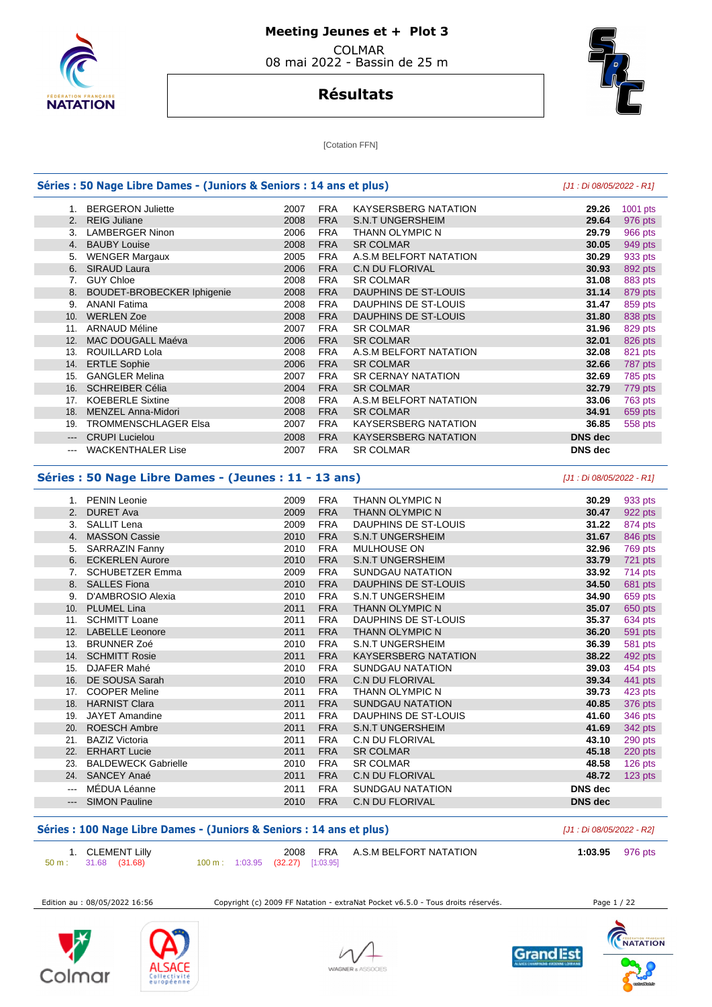

## **Résultats**



**[Cotation FFN]** 

#### **Séries : 50 Nage Libre Dames - (Juniors & Seniors : 14 ans et plus)** [J1 : Di 08/05/2022 - R1] 1. BERGERON Juliette 2007 FRA KAYSERSBERG NATATION **29.26** 1001 pts 2. REIG Juliane 2008 FRA S.N.T UNGERSHEIM **29.64** 976 pts 3. LAMBERGER Ninon 4. BAUBY Louise 2008 FRA SR COLMAR **30.05** 949 pts 5. WENGER Margaux 2005 FRA A.S.M BELFORT NATATION **30.29** 933 pts **6. SIMAL C.N DU FLORIVAL C.N DU FLORIVAL 30.93 30.93 30.93**  7. GUY Chloe 2008 FRA SR COLMAR **31.08** 883 pts 8. BOUDET-BROBECKER Iphigenie 2008 FRA DAUPHINS DE ST-LOUIS **31.14** 879 pts 9. ANANI Fatima 2008 FRA DAUPHINS DE ST-LOUIS **31.47** 859 pts 10. WERLEN Zoe 2008 FRA DAUPHINS DE ST-LOUIS **31.80** 838 pts 11. ARNAUD Méline 2007 FRA SR COLMAR **31.96** 829 pts 12. MAC DOUGALL Maéva 2006 FRA SR COLMAR **32.01** 826 pts 13. ROUILLARD Lola 2008 FRA A.S.M BELFORT NATATION **32.08** 821 pts 14. ERTLE Sophie 2006 FRA SR COLMAR **32.66** 787 pts 15. GANGLER Melina 2007 FRA SR CERNAY NATATION **32.69** 785 pts 16. SCHREIBER Célia 2004 FRA SR COLMAR **32.79** 779 pts 17. KOEBERLE Sixtine **2008 FRA A.S.M BELFORT NATATION 33.06**  18. MENZEL Anna-Midori 2008 FRA SR COLMAR **34.91** 659 pts 19. TROMMENSCHLAGER Elsa 2007 FRA KAYSERSBERG NATATION **36.85** 558 pts --- CRUPI Lucielou 2008 FRA KAYSERSBERG NATATION **DNS dec**  --- WACKENTHALER Lise 2007 FRA SR COLMAR **DNS dec Séries : 50 Nage Libre Dames - (Jeunes : 11 - 13 ans)** [J1 : Di 08/05/2022 - R1] 1. PENIN Leonie 2009 FRA THANN OLYMPIC N **30.29** 933 pts

|                                                                                                                                                                                                                                                                                                                                                                                                                                                                            | <b>PENIN Leone</b>         | zuus | FRA        | THANN ULTIMPIU N            | JU.ZY          | 999 PIS   |
|----------------------------------------------------------------------------------------------------------------------------------------------------------------------------------------------------------------------------------------------------------------------------------------------------------------------------------------------------------------------------------------------------------------------------------------------------------------------------|----------------------------|------|------------|-----------------------------|----------------|-----------|
|                                                                                                                                                                                                                                                                                                                                                                                                                                                                            | 2. DURET Ava               | 2009 | <b>FRA</b> | THANN OLYMPIC N             | 30.47          | 922 pts   |
| 3.                                                                                                                                                                                                                                                                                                                                                                                                                                                                         | SALLIT Lena                | 2009 | <b>FRA</b> | DAUPHINS DE ST-LOUIS        | 31.22          | 874 pts   |
| 4.                                                                                                                                                                                                                                                                                                                                                                                                                                                                         | <b>MASSON Cassie</b>       | 2010 | <b>FRA</b> | <b>S.N.T UNGERSHEIM</b>     | 31.67          | 846 pts   |
| 5.                                                                                                                                                                                                                                                                                                                                                                                                                                                                         | <b>SARRAZIN Fanny</b>      | 2010 | FRA        | MULHOUSE ON                 | 32.96          | 769 pts   |
| 6.                                                                                                                                                                                                                                                                                                                                                                                                                                                                         | <b>ECKERLEN Aurore</b>     | 2010 | <b>FRA</b> | <b>S.N.T UNGERSHEIM</b>     | 33.79          | 721 pts   |
| 7.                                                                                                                                                                                                                                                                                                                                                                                                                                                                         | <b>SCHUBETZER Emma</b>     | 2009 | FRA        | SUNDGAU NATATION            | 33.92          | 714 pts   |
| 8.                                                                                                                                                                                                                                                                                                                                                                                                                                                                         | <b>SALLES Fiona</b>        | 2010 | <b>FRA</b> | DAUPHINS DE ST-LOUIS        | 34.50          | 681 pts   |
| 9.                                                                                                                                                                                                                                                                                                                                                                                                                                                                         | D'AMBROSIO Alexia          | 2010 | <b>FRA</b> | <b>S.N.T UNGERSHEIM</b>     | 34.90          | 659 pts   |
| 10.                                                                                                                                                                                                                                                                                                                                                                                                                                                                        | <b>PLUMEL Lina</b>         | 2011 | <b>FRA</b> | THANN OLYMPIC N             | 35.07          | 650 pts   |
|                                                                                                                                                                                                                                                                                                                                                                                                                                                                            | 11. SCHMITT Loane          | 2011 | <b>FRA</b> | DAUPHINS DE ST-LOUIS        | 35.37          | 634 pts   |
| 12.                                                                                                                                                                                                                                                                                                                                                                                                                                                                        | <b>LABELLE Leonore</b>     | 2011 | <b>FRA</b> | THANN OLYMPIC N             | 36.20          | 591 pts   |
| 13.                                                                                                                                                                                                                                                                                                                                                                                                                                                                        | <b>BRUNNER Zoé</b>         | 2010 | FRA        | <b>S.N.T UNGERSHEIM</b>     | 36.39          | 581 pts   |
|                                                                                                                                                                                                                                                                                                                                                                                                                                                                            | 14. SCHMITT Rosie          | 2011 | <b>FRA</b> | <b>KAYSERSBERG NATATION</b> | 38.22          | 492 pts   |
| 15.                                                                                                                                                                                                                                                                                                                                                                                                                                                                        | DJAFER Mahé                | 2010 | FRA        | SUNDGAU NATATION            | 39.03          | 454 pts   |
|                                                                                                                                                                                                                                                                                                                                                                                                                                                                            | 16. DE SOUSA Sarah         | 2010 | <b>FRA</b> | <b>C.N DU FLORIVAL</b>      | 39.34          | 441 pts   |
| 17.                                                                                                                                                                                                                                                                                                                                                                                                                                                                        | <b>COOPER Meline</b>       | 2011 | <b>FRA</b> | THANN OLYMPIC N             | 39.73          | 423 pts   |
|                                                                                                                                                                                                                                                                                                                                                                                                                                                                            | 18. HARNIST Clara          | 2011 | <b>FRA</b> | <b>SUNDGAU NATATION</b>     | 40.85          | 376 pts   |
| 19.                                                                                                                                                                                                                                                                                                                                                                                                                                                                        | JAYET Amandine             | 2011 | <b>FRA</b> | DAUPHINS DE ST-LOUIS        | 41.60          | 346 pts   |
| 20.                                                                                                                                                                                                                                                                                                                                                                                                                                                                        | <b>ROESCH Ambre</b>        | 2011 | <b>FRA</b> | <b>S.N.T UNGERSHEIM</b>     | 41.69          | 342 pts   |
| 21.                                                                                                                                                                                                                                                                                                                                                                                                                                                                        | <b>BAZIZ Victoria</b>      | 2011 | FRA        | C.N DU FLORIVAL             | 43.10          | 290 pts   |
| 22.                                                                                                                                                                                                                                                                                                                                                                                                                                                                        | <b>ERHART Lucie</b>        | 2011 | <b>FRA</b> | <b>SR COLMAR</b>            | 45.18          | 220 pts   |
| 23.                                                                                                                                                                                                                                                                                                                                                                                                                                                                        | <b>BALDEWECK Gabrielle</b> | 2010 | <b>FRA</b> | <b>SR COLMAR</b>            | 48.58          | 126 pts   |
| 24.                                                                                                                                                                                                                                                                                                                                                                                                                                                                        | SANCEY Anaé                | 2011 | <b>FRA</b> | <b>C.N DU FLORIVAL</b>      | 48.72          | $123$ pts |
| $\qquad \qquad -$                                                                                                                                                                                                                                                                                                                                                                                                                                                          | MÉDUA Léanne               | 2011 | <b>FRA</b> | SUNDGAU NATATION            | DNS dec        |           |
| $\frac{1}{2} \left( \frac{1}{2} \right) \left( \frac{1}{2} \right) \left( \frac{1}{2} \right) \left( \frac{1}{2} \right) \left( \frac{1}{2} \right) \left( \frac{1}{2} \right) \left( \frac{1}{2} \right) \left( \frac{1}{2} \right) \left( \frac{1}{2} \right) \left( \frac{1}{2} \right) \left( \frac{1}{2} \right) \left( \frac{1}{2} \right) \left( \frac{1}{2} \right) \left( \frac{1}{2} \right) \left( \frac{1}{2} \right) \left( \frac{1}{2} \right) \left( \frac$ | <b>SIMON Pauline</b>       | 2010 | <b>FRA</b> | <b>C.N DU FLORIVAL</b>      | <b>DNS</b> dec |           |
|                                                                                                                                                                                                                                                                                                                                                                                                                                                                            |                            |      |            |                             |                |           |

### Séries : 100 Nage Libre Dames - (Juniors & Seniors : 14 ans et plus) **[J1 : Di 08/05/2022 - R2]**

| 1. CLEMENT Lilly              |                                  |  | 2008 FRA A.S.M BELFORT NATATION | 1:03.95 976 pts |  |
|-------------------------------|----------------------------------|--|---------------------------------|-----------------|--|
| $50 \text{ m}: 31.68 (31.68)$ | 100 m: 1:03.95 (32.27) [1:03.95] |  |                                 |                 |  |

Edition au : 08/05/2022 16:56 Copyright (c) 2009 FF Natation - extraNat Pocket v6.5.0 - Tous droits réservés. Page 1 / 22







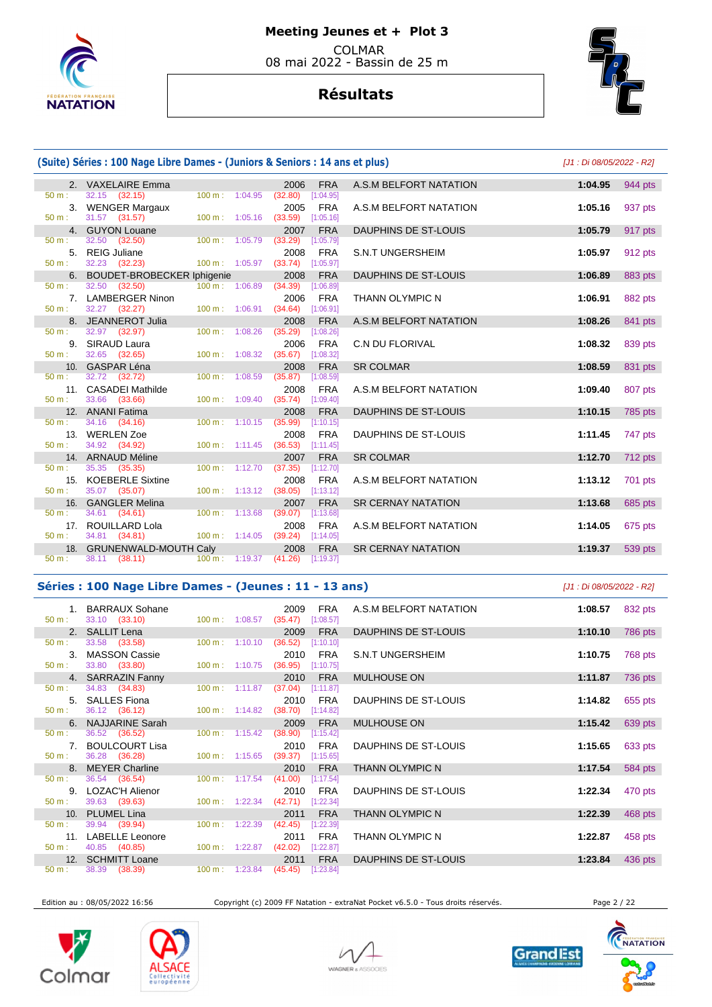

# **Meeting Jeunes et + Plot 3**

 COLMAR 08 mai 2022 - Bassin de 25 m

# **Résultats**



#### **(Suite) Séries : 100 Nage Libre Dames - (Juniors & Seniors : 14 ans et plus)** [J1 : Di 08/05/2022 - R2] 2. VAXELAIRE Emma 2006 FRA A.S.M BELFORT NATATION **1:04.95** 944 pts 32.15 (32.15) 3. WENGER Margaux 2005 FRA A.S.M BELFORT NATATION **1:05.16** 937 pts 31.57 (31.57) 4. GUYON Louane 2007 FRA DAUPHINS DE ST-LOUIS **1:05.79** 917 pts 50 m : 32.50 (32.50) 100 m : 1:05.79 (33.29) [1:05.79] 5. REIG Juliane 2008 FRA S.N.T UNGERSHEIM **1:05.97** 912 pts 32.23 (32.23) 100 m : 1:05.97 (33.74) 6. BOUDET-BROBECKER Iphigenie 2008 FRA DAUPHINS DE ST-LOUIS **1:06.89** 883 pts 50 m : 32.50 (32.50) 100 m : 1:06.89 (34.39) [1:06.89] 7. LAMBERGER Ninon 2006 FRA THANN OLYMPIC N **1:06.91** 882 pts  $(32.27)$  100 m : 1:06.91  $(34.64)$  8. JEANNEROT Julia 2008 FRA A.S.M BELFORT NATATION **1:08.26** 841 pts 50 m : 32.97 (32.97) 100 m : 1:08.26 (35.29) [1:08.26] 9. SIRAUD Laura 2006 FRA C.N DU FLORIVAL **1:08.32** 839 pts  $32.65$   $(32.65)$   $100 \text{ m}$  10. GASPAR Léna 2008 FRA SR COLMAR **1:08.59** 831 pts 50 m : 32.72 (32.72) 100 m : 1:08.59 (35.87) [1:08.59] 11. CASADEI Mathilde 2008 FRA A.S.M BELFORT NATATION **1:09.40** 807 pts  $[1:09.40]$  12. ANANI Fatima 2008 FRA DAUPHINS DE ST-LOUIS **1:10.15** 785 pts 34.16 (34.16) 13. WERLEN Zoe 2008 FRA DAUPHINS DE ST-LOUIS **1:11.45** 747 pts 50 m : 34.92 (34.92) 100 m : 1:11.45 (36.53) [1:11.45] 14. ARNAUD Méline 2007 FRA SR COLMAR **1:12.70** 712 pts 50 m : 35.35 (35.35) 100 m : 1:12.70 (37.35) [1:12.70] 15. KOEBERLE Sixtine 2008 FRA A.S.M BELFORT NATATION **1:13.12** 701 pts 35.07 (35.07) 16. GANGLER Melina 2007 FRA SR CERNAY NATATION **1:13.68** 685 pts 50 m : 34.61 (34.61) 100 m : 1:13.68 (39.07) 17. ROUILLARD Lola 2008 FRA A.S.M BELFORT NATATION **1:14.05** 675 pts  $(34.81)$ 18. GRUNENWALD-MOUTH Caly 2008 FRA SR CERNAY NATATION **1:19.37** 539 pts<br>
50 m i 38.11 (38.11) 100 m i 1:19.37 (41.26) [1:19.37]

### **Séries : 100 Nage Libre Dames - (Jeunes : 11 - 13 ans)** [J1 : Di 08/05/2022 - R2]

(38.11) 100 m : 1:19.37 (41.26) [1:19.37]

| 50 m:             | 1. BARRAUX Sohane<br>33.10 (33.10)                                |                          | $100 \text{ m}: 1:08.57$ (35.47)  | 2009                             | <b>FRA</b><br>[1:08.57] | A.S.M BELFORT NATATION | 1:08.57 | 832 pts |
|-------------------|-------------------------------------------------------------------|--------------------------|-----------------------------------|----------------------------------|-------------------------|------------------------|---------|---------|
|                   | 2. SALLIT Lena                                                    |                          |                                   | 2009                             | <b>FRA</b>              | DAUPHINS DE ST-LOUIS   | 1:10.10 | 786 pts |
| $50 \text{ m}$ :  | 33.58 (33.58)                                                     | $100 \text{ m}: 1:10.10$ |                                   | (36.52)                          | [1:10.10]               |                        |         |         |
|                   | 3. MASSON Cassie                                                  |                          |                                   | 2010                             | FRA                     | S.N.T UNGERSHEIM       | 1:10.75 | 768 pts |
|                   | $50 \text{ m}: 33.80 (33.80)$                                     |                          | $100 \text{ m}: 1:10.75$ (36.95)  |                                  | [1:10.75]               |                        |         |         |
|                   | 4. SARRAZIN Fanny                                                 |                          |                                   | 2010                             | <b>FRA</b>              | <b>MULHOUSE ON</b>     | 1:11.87 | 736 pts |
| 50 m:             | 34.83 (34.83)                                                     |                          | $100 \text{ m}: 1:11.87$ (37.04)  |                                  | [1:11.87]               |                        |         |         |
|                   | 5. SALLES Fiona                                                   |                          |                                   | 2010                             | FRA                     | DAUPHINS DE ST-LOUIS   | 1:14.82 | 655 pts |
| $50 \text{ m}$ :  | 36.12 (36.12)                                                     | $100 \text{ m}: 1:14.82$ |                                   | $(38.70)$ [1:14.82]              |                         |                        |         |         |
|                   | 6. NAJJARINE Sarah                                                |                          |                                   | 2009                             | <b>FRA</b>              | <b>MULHOUSE ON</b>     | 1:15.42 | 639 pts |
|                   | $50 \text{ m}: 36.52 (36.52)$                                     | $100 \text{ m}: 1:15.42$ |                                   | (38.90)                          | [1:15.42]               |                        |         |         |
|                   | 7. BOULCOURT Lisa                                                 |                          |                                   | 2010                             | FRA                     | DAUPHINS DE ST-LOUIS   | 1:15.65 | 633 pts |
| 50 m:             | 36.28 (36.28) 100 m : 1:15.65 (39.37) [1:15.65]                   |                          |                                   |                                  |                         |                        |         |         |
|                   | 8. MEYER Charline                                                 |                          |                                   | 2010                             | <b>FRA</b>              | THANN OLYMPIC N        | 1:17.54 | 584 pts |
| 50 m:             | 36.54 (36.54)                                                     |                          | $100 \text{ m}$ : 1:17.54 (41.00) |                                  | [1:17.54]               |                        |         |         |
|                   | 9. LOZAC'H Alienor                                                |                          |                                   | 2010                             | FRA                     | DAUPHINS DE ST-LOUIS   | 1:22.34 | 470 pts |
| $50 m$ :          | 39.63 (39.63)                                                     |                          | $100 \text{ m}: 1:22.34 (42.71)$  |                                  | $[1:22.34]$             |                        |         |         |
|                   | 10. PLUMEL Lina                                                   |                          |                                   | 2011                             | <b>FRA</b>              | THANN OLYMPIC N        | 1:22.39 | 468 pts |
| 50 m:             | 39.94 (39.94)                                                     | $100 \text{ m}: 1:22.39$ |                                   | (42.45)                          | [1:22.39]               |                        |         |         |
|                   | 11. LABELLE Leonore                                               |                          |                                   | 2011                             | FRA                     | THANN OLYMPIC N        | 1:22.87 | 458 pts |
|                   | $100 \text{ m}: 1:22.87$ (42.02)<br>$50 \text{ m}: 40.85 (40.85)$ |                          |                                   |                                  | [1:22.87]               |                        |         |         |
|                   | 12. SCHMITT Loane                                                 |                          |                                   | 2011                             | <b>FRA</b>              | DAUPHINS DE ST-LOUIS   | 1:23.84 | 436 pts |
| $50~\mathrm{m}$ : | 38.39 (38.39)                                                     |                          |                                   | 100 m: 1:23.84 (45.45) [1:23.84] |                         |                        |         |         |

Edition au : 08/05/2022 16:56 Copyright (c) 2009 FF Natation - extraNat Pocket v6.5.0 - Tous droits réservés. Page 2 / 22









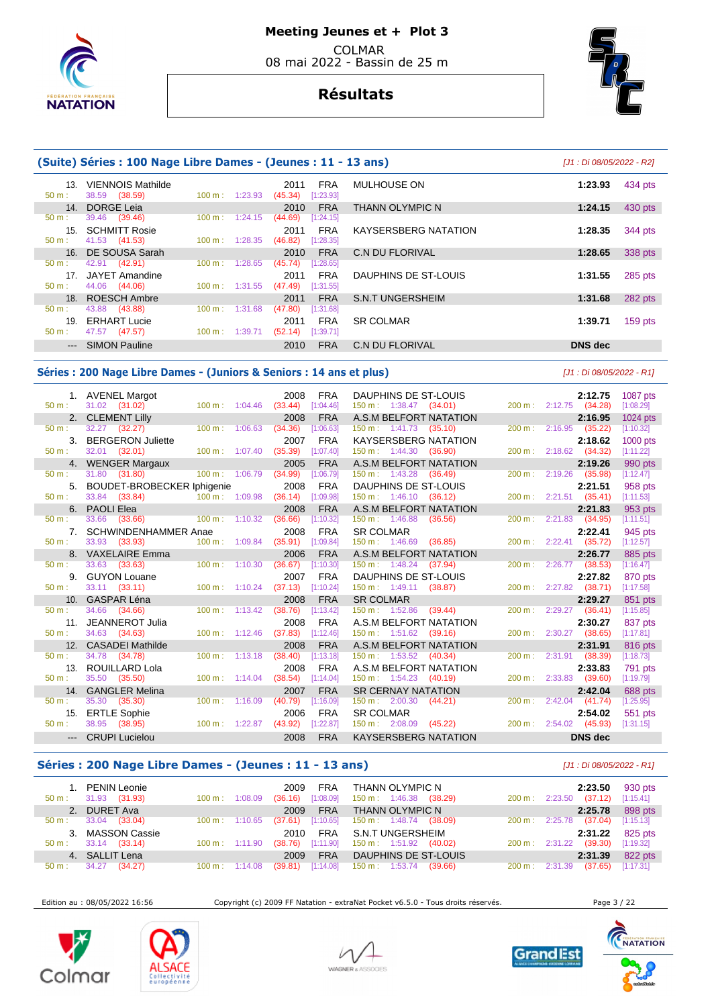

# **Résultats**



|                 | (Suite) Séries : 100 Nage Libre Dames - (Jeunes : 11 - 13 ans) |                          |                          |                                            |                         | [J1 : Di 08/05/2022 - R2] |           |
|-----------------|----------------------------------------------------------------|--------------------------|--------------------------|--------------------------------------------|-------------------------|---------------------------|-----------|
| 13.<br>$50 m$ : | VIENNOIS Mathilde<br>38.59 (38.59)                             |                          | $100 \text{ m}: 1:23.93$ | <b>FRA</b><br>2011<br>(45.34)<br>[1:23.93] | MULHOUSE ON             | 1:23.93                   | 434 pts   |
| 14.             | DORGE Leia                                                     |                          |                          | <b>FRA</b><br>2010                         | <b>THANN OLYMPIC N</b>  | 1:24.15                   | 430 pts   |
| $50 m$ :        | 39.46 (39.46)                                                  |                          | $100 \text{ m}: 1:24.15$ | (44.69)<br>[1:24.15]                       |                         |                           |           |
| 15 <sub>1</sub> | <b>SCHMITT Rosie</b>                                           |                          |                          | <b>FRA</b><br>2011                         | KAYSERSBERG NATATION    | 1:28.35                   | 344 pts   |
| $50 m$ :        | 41.53 (41.53)                                                  | $100 \text{ m}$ :        | 1:28.35                  | (46.82)<br>[1:28.35]                       |                         |                           |           |
|                 | 16. DE SOUSA Sarah                                             |                          |                          | <b>FRA</b><br>2010                         | <b>C.N DU FLORIVAL</b>  | 1:28.65                   | 338 pts   |
| 50 m:           | 42.91 (42.91)                                                  | $100 \text{ m}$ :        | 1:28.65                  | (45.74)<br>[1:28.65]                       |                         |                           |           |
|                 | 17. JAYET Amandine                                             |                          |                          | <b>FRA</b><br>2011                         | DAUPHINS DE ST-LOUIS    | 1:31.55                   | 285 pts   |
| $50 m$ :        | 44.06 (44.06)                                                  |                          | $100 \text{ m}: 1:31.55$ | (47.49)<br>[1:31.55]                       |                         |                           |           |
|                 | 18. ROESCH Ambre                                               |                          |                          | <b>FRA</b><br>2011                         | <b>S.N.T UNGERSHEIM</b> | 1:31.68                   | 282 pts   |
| 50 m:           | 43.88 (43.88)                                                  | $100 \text{ m}$ :        | 1:31.68                  | (47.80)<br>[1:31.68]                       |                         |                           |           |
|                 | 19. ERHART Lucie                                               |                          |                          | <b>FRA</b><br>2011                         | <b>SR COLMAR</b>        | 1:39.71                   | $159$ pts |
| $50 m$ :        | 47.57 (47.57)                                                  | $100 \text{ m}: 1:39.71$ |                          | (52.14)<br>[1:39.71]                       |                         |                           |           |
|                 | --- SIMON Pauline                                              |                          |                          | <b>FRA</b><br>2010                         | <b>C.N DU FLORIVAL</b>  | <b>DNS</b> dec            |           |

#### **Séries : 200 Nage Libre Dames - (Juniors & Seniors : 14 ans et plus)** [J1 : Di 08/05/2022 - R1]

 1. AVENEL Margot 2008 FRA DAUPHINS DE ST-LOUIS **2:12.75** 1087 pts 50 m : 31.02 (31.02) 100 m : 1:04.46 (33.44) [1:04.46] 150 m : 1:38.47 (34.01) 200 m : 2:12.75 (34.28) [1:08.29]<br>2. CLEMENT Lilly 2008 FRA A.S.M BELFORT NATATION 2:16.95 1024 p 2. CLEMENT Lilly 2008 FRA A.S.M BELFORT NATATION **2:16.95** 1024 pts 50 m : 32.27 (32.27) 100 m : 1:06.63 (34.36) [1:06.63] 150 m : 1:41.73 (35.10) 200 m : 2:16.95 (35.22) [1:10.32] 3. BERGERON Juliette 2007 FRA KAYSERSBERG NATATION **2:18.62** 1000 pts 50 m : 32.01 (32.01) 100 m : 1:07.40 (35.39) [1:07.40] 150 m : 1:44.30 (36.90) 200 m : 2:18.62 (34.32) [1:11.22] 4. WENGER Margaux 2005 FRA A.S.M BELFORT NATATION **2:19.26** 990 pts 50 m : 31.80 (31.80) 100 m : 1:06.79 (34.99) [1:06.79] 150 m : 1:43.28 (36.49) 200 m : 2:19.26 (35.98) [1:12.47] 5. BOUDET-BROBECKER Iphigenie 2008 FRA DAUPHINS DE ST-LOUIS **2:21.51** 958 pts 50 m : 33.84 (33.84) 100 m : 1:09.98 (36.14) [1:09.98] 150 m : 1:46.10 (36.12) 200 m : 2:21.51 (35.41) [1:11.53] 6. PAOLI Elea 2008 FRA A.S.M BELFORT NATATION **2:21.83** 953 pts 50 m : 33.66 (33.66) 100 m : 1:10.32 (36.66) [1:10.32] 150 m : 1:46.88 (36.56) 200 m : 2:21.83 (34.95) [1:11.51] 7. SCHWINDENHAMMER Anae 2008 FRA SR COLMAR **2:22.41** 945 pts 50 m : 33.93 (33.93) 100 m : 1:09.84 (35.91) [1:09.84] 150 m : 1:46.69 (36.85) 200 m : 2:22.41 (35.72) [1:12.57] 8. VAXELAIRE Emma 2006 FRA A.S.M BELFORT NATATION **2:26.77** 885 pts 50 m : 33.63 (33.63) 100 m : 1:10.30 (36.67) [1:10.30] 150 m : 1:48.24 (37.94) 200 m : 2:26.77 (38.53) [1:16.47] 9. GUYON Louane 2007 FRA DAUPHINS DE ST-LOUIS **2:27.82** 870 pts 50 m : 33.11 (33.11) 100 m : 1:10.24 (37.13) [1:10.24] 150 m : 1:49.11 (38.87) 200 m : 2:27.82 (38.71) [1:17.58] 10. GASPAR Léna 2008 FRA SR COLMAR **2:29.27** 851 pts 50 m : 34.66 (34.66) 100 m : 1:13.42 (38.76) [1:13.42] 150 m : 1:52.86 (39.44) 200 m : 2:29.27 (36.41) [1:15.85] 11. JEANNEROT Julia 2008 FRA A.S.M BELFORT NATATION **2:30.27** 837 pts 150 m : 1:51.62 (39.16) 12. CASADEI Mathilde 2008 FRA A.S.M BELFORT NATATION **2:31.91** 816 pts 50 m : 34.78 (34.78) 100 m : 1:13.18 (38.40) [1:13.18] 150 m : 1:53.52 (40.34) 200 m : 2:31.91 (38.39) [1:18.73] 13. ROUILLARD Lola 2008 FRA A.S.M BELFORT NATATION **2:33.83** 791 pts 50 m : 35.50 (35.50) 100 m : 1:14.04 (38.54) [1:14.04] 150 m : 1:54.23 (40.19) 200 m : 2:33.83 (39.60) [1:19.79] 14. GANGLER Melina 2007 FRA SR CERNAY NATATION **2:42.04** 688 pts 50 m : 35.30 (35.30) 100 m : 1:16.09 (40.79) [1:16.09] 150 m : 2:00.30 (44.21) 200 m : 2:42.04 (41.74) [1:25.95] 15. ERTLE Sophie 2006 FRA SR COLMAR **2:54.02** 551 pts 50 m : 38.95 (38.95) 100 m : 1:22.87 (43.92) [1:22.87] 150 m : 2:08.09 (45.22) 200 m : 2:54.02 (45.93) [1:31.15] --- CRUPI Lucielou 2008 FRA KAYSERSBERG NATATION **DNS dec** 

### **Séries : 200 Nage Libre Dames - (Jeunes : 11 - 13 ans)** [J1 : Di 08/05/2022 - R1]

| 1. PENIN Leonie<br>31.93 (31.93)<br>50 m: | 1:08.09<br>$100 \text{ m}$ : | <b>FRA</b><br>2009<br>[1:08.09]<br>(36.16) | THANN OLYMPIC N<br>150 m : 1:46.38<br>(38.29) | 2:23.50<br>(37.12)<br>[1:15.41]<br>2:23.50<br>$200 \text{ m}$ : | 930 pts |
|-------------------------------------------|------------------------------|--------------------------------------------|-----------------------------------------------|-----------------------------------------------------------------|---------|
| 2. DURET Ava                              |                              | FRA<br>2009                                | THANN OLYMPIC N                               | 2:25.78                                                         | 898 pts |
| 33.04<br>(33.04)<br>$50 \text{ m}$ :      | $100 \text{ m}$ : 1:10.65    | [1:10.65]<br>(37.61)                       | $150 \text{ m}: 1:48.74$ (38.09)              | (37.04)<br>200 m: 2:25.78<br>[1:15.13]                          |         |
| 3. MASSON Cassie                          |                              | FRA<br>2010                                | S.N.T UNGERSHEIM                              | 2:31.22                                                         | 825 pts |
| 33.14 (33.14)<br>$50 m$ :                 | $100 \text{ m}$ : 1:11.90    | [1:11.90]<br>(38.76)                       | 150 m : 1:51.92 (40.02)                       | (39.30)<br>[1:19.32]<br>200 m: 2:31.22                          |         |
| 4. SALLIT Lena                            |                              | <b>FRA</b><br>2009                         | DAUPHINS DE ST-LOUIS                          | 2:31.39                                                         | 822 pts |
| 34.27<br>(34.27)<br>$50 \text{ m}$ :      | $100 \text{ m}$ :<br>1:14.08 | [1:14.08]<br>(39.81)                       | 150 m : 1:53.74 (39.66)                       | (37.65)<br>[1:17.31]<br>$200 \text{ m}$ : 2:31.39               |         |

Edition au : 08/05/2022 16:56 Copyright (c) 2009 FF Natation - extraNat Pocket v6.5.0 - Tous droits réservés. Page 3 / 22









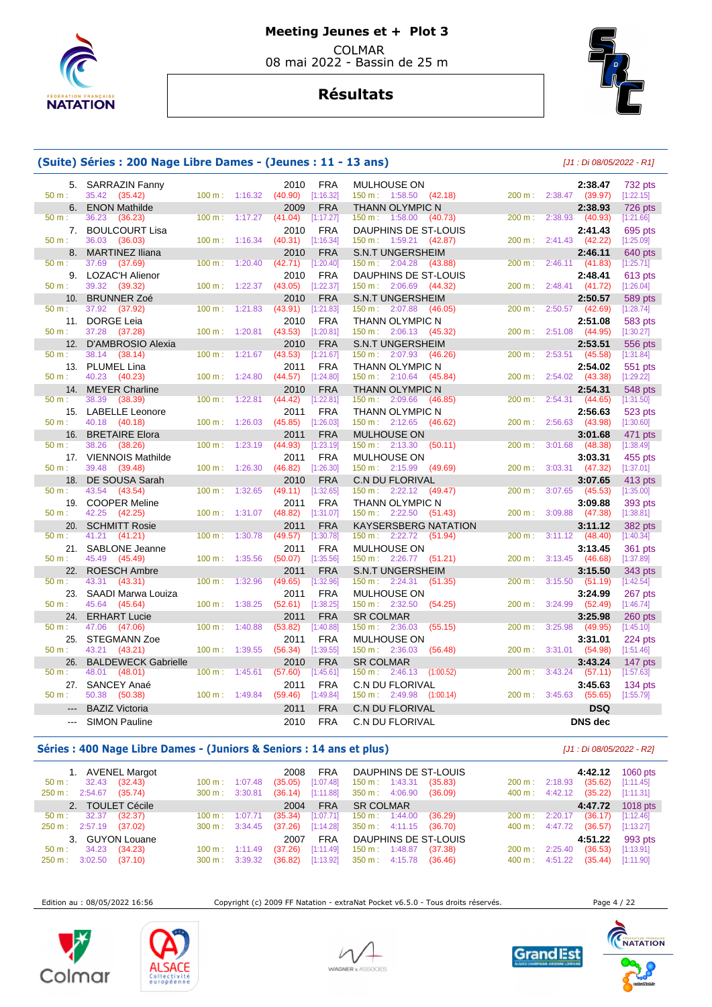

# **Résultats**



# **(Suite) Séries : 200 Nage Libre Dames - (Jeunes : 11 - 13 ans)** [J1 : Di 08/05/2022 - R1]

| $50 m$ :        | 5. SARRAZIN Fanny<br>35.42<br>(35.42)   |                   | 100 m: 1:16.32 | 2010<br>(40.90) | FRA<br>[1:16.32]        | <b>MULHOUSE ON</b><br>$150 \text{ m}: 1:58.50$ (42.18)    | 200 m: 2:38.47               | 2:38.47<br>(39.97) | 732 pts<br>[1:22.15] |
|-----------------|-----------------------------------------|-------------------|----------------|-----------------|-------------------------|-----------------------------------------------------------|------------------------------|--------------------|----------------------|
|                 | <b>ENON Mathilde</b>                    |                   |                |                 |                         |                                                           |                              |                    |                      |
| 6.<br>50 m:     | 36.23<br>(36.23)                        | 100 m:            | 1:17.27        | 2009<br>(41.04) | <b>FRA</b><br>[1:17.27] | <b>THANN OLYMPIC N</b><br>150 m: 1:58.00<br>(40.73)       | 2:38.93<br>200 m:            | 2:38.93<br>(40.93) | 726 pts<br>[1:21.66] |
| 7.              | <b>BOULCOURT Lisa</b>                   |                   |                | 2010            | <b>FRA</b>              | DAUPHINS DE ST-LOUIS                                      |                              | 2:41.43            | 695 pts              |
| 50 m:           | 36.03<br>(36.03)                        | 100 m:            | 1:16.34        | (40.31)         | [1:16.34]               | 150 m: 1:59.21 (42.87)                                    | 200 m:<br>2:41.43            | (42.22)            | [1:25.09]            |
| 8.              | <b>MARTINEZ Iliana</b>                  |                   |                | 2010            | <b>FRA</b>              | <b>S.N.T UNGERSHEIM</b>                                   |                              | 2:46.11            | 640 pts              |
| $50 m$ :        | 37.69<br>(37.69)                        | 100 m:            | 1:20.40        | (42.71)         | [1:20.40]               | 150 m: 2:04.28<br>(43.88)                                 | $200 \text{ m}$ :<br>2:46.11 | (41.83)            | [1:25.71]            |
| 9.              | LOZAC'H Alienor                         |                   |                | 2010            | <b>FRA</b>              | DAUPHINS DE ST-LOUIS                                      |                              | 2:48.41            | 613 pts              |
| 50 m:           | 39.32<br>(39.32)                        | 100 m:            | 1:22.37        | (43.05)         | [1:22.37]               | $150 \text{ m}: 2:06.69$<br>(44.32)                       | 200 m:<br>2:48.41            | (41.72)            | [1:26.04]            |
| 10.             | <b>BRUNNER Zoé</b>                      |                   |                | 2010            | <b>FRA</b>              | <b>S.N.T UNGERSHEIM</b>                                   |                              | 2:50.57            | 589 pts              |
| 50 m:           | 37.92<br>(37.92)                        | $100 \text{ m}$ : | 1:21.83        | (43.91)         | [1:21.83]               | 150 m:<br>2:07.88<br>(46.05)                              | 200 m:<br>2:50.57            | (42.69)            | [1:28.74]            |
| 11.             | <b>DORGE Leia</b>                       |                   |                | 2010            | <b>FRA</b>              | <b>THANN OLYMPIC N</b>                                    |                              | 2:51.08            | 583 pts              |
| 50 m:           | 37.28<br>(37.28)                        | 100 m:            | 1:20.81        | (43.53)         | [1:20.81]               | 150 m: 2:06.13<br>(45.32)                                 | 2:51.08<br>200 m:            | (44.95)            | [1:30.27]            |
| 12.             | D'AMBROSIO Alexia                       |                   |                | 2010            | <b>FRA</b>              | <b>S.N.T UNGERSHEIM</b>                                   |                              | 2:53.51            | 556 pts              |
| 50 m:           | 38.14<br>(38.14)                        | 100 m:            | 1:21.67        | (43.53)         | [1:21.67]               | 2:07.93<br>150 m:<br>(46.26)                              | 2:53.51<br>200 m:            | (45.58)            | [1:31.84]            |
| 13.             | <b>PLUMEL Lina</b>                      |                   |                | 2011            | <b>FRA</b>              | <b>THANN OLYMPIC N</b>                                    |                              | 2:54.02            | 551 pts              |
| 50 m:           | 40.23<br>(40.23)                        | 100 m:            | 1:24.80        | (44.57)         | [1:24.80]               | 150 m: 2:10.64<br>(45.84)                                 | 200 m:<br>2:54.02            | (43.38)            | [1:29.22]            |
| 14.             | <b>MEYER Charline</b>                   |                   |                | 2010            | <b>FRA</b>              | <b>THANN OLYMPIC N</b>                                    |                              | 2:54.31            | 548 pts              |
| 50 m:           | 38.39<br>(38.39)                        | 100 m:            | 1:22.81        | (44.42)         | [1:22.81]               | $150 \text{ m}: 2:09.66$<br>(46.85)                       | 200 m:<br>2:54.31            | (44.65)            | [1:31.50]            |
| 15.             | <b>LABELLE Leonore</b>                  |                   |                | 2011            | <b>FRA</b>              | <b>THANN OLYMPIC N</b>                                    |                              | 2:56.63            | 523 pts              |
| $50 m$ :        | 40.18<br>(40.18)                        | 100 m:            | 1:26.03        | (45.85)         | [1:26.03]               | $150 \text{ m}: 2:12.65$<br>(46.62)                       | 200 m:<br>2:56.63            | (43.98)            | [1:30.60]            |
| 16.             | <b>BRETAIRE Elora</b>                   |                   |                | 2011            | <b>FRA</b>              | <b>MULHOUSE ON</b>                                        |                              | 3:01.68            | 471 pts              |
| 50 m:           | 38.26<br>(38.26)                        | 100 m:            | 1:23.19        | (44.93)         | [1:23.19]               | $150 \text{ m}: 2:13.30$<br>(50.11)                       | 200 m:<br>3:01.68            | (48.38)            | [1:38.49]            |
| 17.             | <b>VIENNOIS Mathilde</b>                |                   |                | 2011            | <b>FRA</b>              | <b>MULHOUSE ON</b>                                        |                              | 3:03.31            | 455 pts              |
| $50 m$ :        | 39.48<br>(39.48)                        | 100 m:            | 1:26.30        | (46.82)         | [1:26.30]               | 150 m: 2:15.99<br>(49.69)                                 | 200 m:<br>3:03.31            | (47.32)            | [1:37.01]            |
| 18.             | DE SOUSA Sarah                          |                   |                | 2010            | <b>FRA</b>              | <b>C.N DU FLORIVAL</b>                                    |                              | 3:07.65            | 413 pts              |
| 50 m:           | 43.54<br>(43.54)                        | 100 m:            | 1:32.65        | (49.11)         | [1:32.65]               | 150 m : 2:22.12<br>(49.47)                                | 3:07.65<br>200 m:            | (45.53)            | [1:35.00]            |
| 19.             | <b>COOPER Meline</b>                    |                   |                | 2011            | <b>FRA</b>              | <b>THANN OLYMPIC N</b>                                    |                              | 3:09.88            | 393 pts              |
| $50 m$ :        | 42.25<br>(42.25)                        | 100 m:            | 1:31.07        | (48.82)         | [1:31.07]               | $150 \text{ m}: 2:22.50$<br>(51.43)                       | 200 m:<br>3:09.88            | (47.38)            | [1:38.81]            |
| 20.             | <b>SCHMITT Rosie</b>                    |                   |                | 2011            | <b>FRA</b>              | <b>KAYSERSBERG NATATION</b>                               |                              | 3:11.12            | <b>382 pts</b>       |
| 50 m:           | 41.21<br>(41.21)                        | 100 m:            | 1:30.78        | (49.57)         | [1:30.78]               | $150 \text{ m}: 2:22.72$ (51.94)                          | $200 \text{ m}$ :            | $3:11.12$ (48.40)  | [1:40.34]            |
| 21.             | <b>SABLONE</b> Jeanne                   |                   |                | 2011            | <b>FRA</b>              | MULHOUSE ON                                               |                              | 3:13.45            | 361 pts              |
| $50 m$ :        | 45.49<br>(45.49)                        | 100 m:            | 1:35.56        | (50.07)         | [1:35.56]               | $150 \text{ m}: 2:26.77$ (51.21)                          | 3:13.45<br>200 m:            | (46.68)            | [1:37.89]            |
| 22.<br>50 m:    | <b>ROESCH Ambre</b><br>(43.31)<br>43.31 | 100 m:            | 1:32.96        | 2011<br>(49.65) | FRA<br>[1:32.96]        | <b>S.N.T UNGERSHEIM</b>                                   | 200 m:<br>3:15.50            | 3:15.50            | 343 pts<br>[1:42.54] |
|                 |                                         |                   |                |                 |                         | $150 \text{ m}: 2:24.31$<br>(51.35)<br><b>MULHOUSE ON</b> |                              | (51.19)            |                      |
| 23.<br>$50 m$ : | SAADI Marwa Louiza<br>45.64<br>(45.64)  | 100 m:            | 1:38.25        | 2011<br>(52.61) | <b>FRA</b><br>[1:38.25] | 150 m: 2:32.50<br>(54.25)                                 | 200 m:<br>3:24.99            | 3:24.99<br>(52.49) | 267 pts<br>[1:46.74] |
| 24.             | <b>ERHART Lucie</b>                     |                   |                | 2011            | <b>FRA</b>              | <b>SR COLMAR</b>                                          |                              | 3:25.98            | $260$ pts            |
| 50 m:           | 47.06<br>(47.06)                        | 100 m:            | 1:40.88        | (53.82)         | [1:40.88]               | 150 m: 2:36.03<br>(55.15)                                 | 3:25.98<br>200 m:            | (49.95)            | [1:45.10]            |
| 25.             | STEGMANN Zoe                            |                   |                | 2011            | <b>FRA</b>              | MULHOUSE ON                                               |                              | 3:31.01            | 224 pts              |
| 50 m:           | 43.21<br>(43.21)                        | 100 m:            | 1:39.55        | (56.34)         | [1:39.55]               | 150 m: 2:36.03<br>(56.48)                                 | 200 m:<br>3:31.01            | (54.98)            | [1:51.46]            |
| 26.             | <b>BALDEWECK Gabrielle</b>              |                   |                | 2010            | <b>FRA</b>              | <b>SR COLMAR</b>                                          |                              | 3:43.24            | 147 pts              |
| $50 m$ :        | 48.01<br>(48.01)                        | 100 m:            | 1:45.61        | (57.60)         | [1:45.61]               | (1:00.52)<br>$150 \text{ m}: 2:46.13$                     | 3:43.24<br>200 m:            | (57.11)            | [1:57.63]            |
| 27.             | SANCEY Anaé                             |                   |                | 2011            | <b>FRA</b>              | <b>C.N DU FLORIVAL</b>                                    |                              | 3:45.63            | $134$ pts            |
| $50 m$ :        | 50.38<br>(50.38)                        |                   | 100 m: 1:49.84 | (59.46)         | [1:49.84]               | 150 m: 2:49.98<br>(1:00.14)                               | 3:45.63<br>200 m :           | (55.65)            | [1:55.79]            |
|                 | <b>BAZIZ Victoria</b>                   |                   |                | 2011            | <b>FRA</b>              | <b>C.N DU FLORIVAL</b>                                    |                              | <b>DSQ</b>         |                      |
| $-$             |                                         |                   |                |                 |                         |                                                           |                              | <b>DNS</b> dec     |                      |
|                 | <b>SIMON Pauline</b>                    |                   |                | 2010            | <b>FRA</b>              | <b>C.N DU FLORIVAL</b>                                    |                              |                    |                      |

## **Séries : 400 Nage Libre Dames - (Juniors & Seniors : 14 ans et plus)** [J1 : Di 08/05/2022 - R2]

| 1. AVENEL Margot                                                                |                                                  |                               | <b>FRA</b><br>2008     |                                                      | DAUPHINS DE ST-LOUIS |                             | 4:42.12                                  | 1060 pts               |
|---------------------------------------------------------------------------------|--------------------------------------------------|-------------------------------|------------------------|------------------------------------------------------|----------------------|-----------------------------|------------------------------------------|------------------------|
| 32.43<br>(32.43)<br>$50 \text{ m}$ :<br>2:54.67<br>(35.74)<br>$250 \text{ m}$ : | $100 \text{ m}$ :<br>$300 \text{ m}$ : $3:30.81$ | (35.05)<br>1:07.48<br>(36.14) | [1:07.48]<br>[1:11.88] | $150 \text{ m}: 1:43.31$<br>$350 \text{ m}: 4:06.90$ | (35.83)<br>(36.09)   | 200 m:<br>$400 \text{ m}$ : | (35.62)<br>2:18.93<br>4:42.12<br>(35.22) | [1:11.45]<br>[1:11.31] |
| 2. TOULET Cécile                                                                |                                                  |                               | <b>FRA</b><br>2004     | <b>SR COLMAR</b>                                     |                      |                             |                                          | 4:47.72 1018 pts       |
| 32.37<br>(32.37)<br>$50 \text{ m}$ :                                            | $100 \text{ m}$ :                                | (35.34)<br>1:07.71            | [1:07.71]              | 150 m : 1:44.00                                      | (36.29)              | $200 \text{ m}: 2:20.17$    | (36.17)                                  | [1:12.46]              |
| 250 m : 2:57.19 (37.02)                                                         | $300 \text{ m}$ : $3:34.45$                      | (37.26)                       | [1:14.28]              | 350 m : 4:11.15 (36.70)                              |                      | 400 m: 4:47.72              | (36.57)                                  | [1:13.27]              |
| 3. GUYON Louane                                                                 |                                                  |                               | FRA<br>2007            |                                                      | DAUPHINS DE ST-LOUIS |                             | 4:51.22                                  | 993 pts                |
| 34.23<br>(34.23)<br>50 m:                                                       | $100 \text{ m}$ :                                | (37.26)<br>1:11.49            | [1:11.49]              | 150 m: 1:48.87                                       | (37.38)              | $200 \text{ m}$ :           | (36.53)<br>2:25.40                       | [1:13.91]              |
| 3:02.50<br>(37.10)<br>250 m:                                                    | $300 \text{ m}$ : $3:39.32$                      | (36.82)                       | [1:13.92]              | $350 \text{ m}: 4:15.78$                             | (36.46)              | 400 m :                     | 4:51.22<br>(35.44)                       | [1:11.90]              |

Edition au : 08/05/2022 16:56 Copyright (c) 2009 FF Natation - extraNat Pocket v6.5.0 - Tous droits réservés. Page 4 / 22







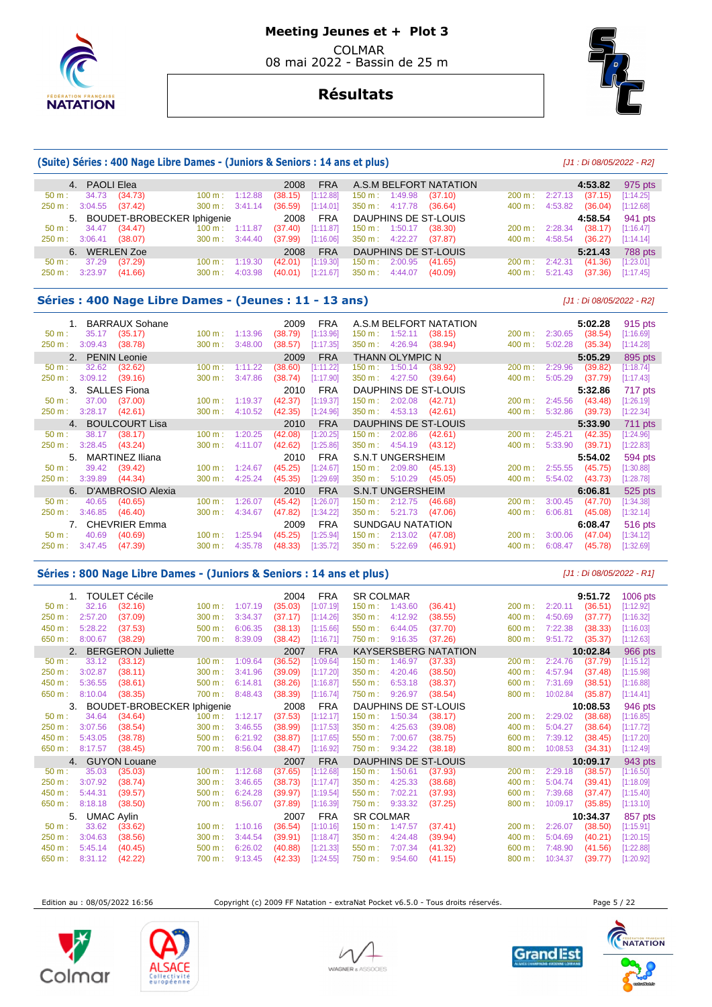



## **Résultats**

#### **(Suite) Séries : 400 Nage Libre Dames - (Juniors & Seniors : 14 ans et plus)** [J1 : Di 08/05/2022 - R2]

| 4. PAOLI Elea             |                                        |                             |         | 2008    | <b>FRA</b> |                          |                          | A.S.M BELFORT NATATION |                             |         | 4:53.82 | 975 pts   |
|---------------------------|----------------------------------------|-----------------------------|---------|---------|------------|--------------------------|--------------------------|------------------------|-----------------------------|---------|---------|-----------|
| 34.73<br>$50 \text{ m}$ : | (34.73)                                | $100 \text{ m}: 1:12.88$    |         | (38.15) | [1:12.88]  | $150 \text{ m}: 1:49.98$ |                          | (37.10)                | $200 \text{ m}$ :           | 2:27.13 | (37.15) | [1:14.25] |
| 250 m : 3:04.55 (37.42)   |                                        | $300 \text{ m}$ : $3:41.14$ |         | (36.59) | [1:14.01]  | $350 \text{ m}: 4:17.78$ |                          | (36.64)                | 400 m : 4:53.82             |         | (36.04) | [1:12.68] |
|                           | 5. BOUDET-BROBECKER Iphigenie 2008 FRA |                             |         |         |            |                          |                          | DAUPHINS DE ST-LOUIS   |                             |         | 4:58.54 | 941 pts   |
| 34.47<br>$50 \text{ m}$ : | (34.47)                                | $100 \text{ m}: 1:11.87$    |         | (37.40) | [1:11.87]  | 150 m : 1:50.17          |                          | (38.30)                | 200 m :                     | 2:28.34 | (38.17) | [1:16.47] |
| 250 m: 3:06.41            | (38.07)                                | $300 \text{ m}$ : $3:44.40$ |         | (37.99) | [1:16.06]  |                          | 350 m : 4:22.27          | (37.87)                | $400 \text{ m}$ : $4:58.54$ |         | (36.27) | [1:14.14] |
| 6. WERLEN Zoe             |                                        |                             |         | 2008    | <b>FRA</b> |                          |                          | DAUPHINS DE ST-LOUIS   |                             |         | 5:21.43 | 788 pts   |
| 37.29<br>$50 \text{ m}$ : | (37.29)                                | $100 \text{ m}$ :           | 1:19.30 | (42.01) | [1:19.30]  |                          | $150 \text{ m}: 2:00.95$ | (41.65)                | $200 \text{ m}$ :           | 2:42.31 | (41.36) | [1:23.01] |
| 3:23.97<br>250 m:         | (41.66)                                | $300 \text{ m}$ : 4:03.98   |         | (40.01) | [1:21.67]  |                          | $350 \text{ m}: 4:44.07$ | (40.09)                | $400 \text{ m}$ :           | 5:21.43 | (37.36) | [1:17.45] |

#### **Séries : 400 Nage Libre Dames - (Jeunes : 11 - 13 ans)** [J1 : Di 08/05/2022 - R2]

| 1. BARRAUX Sohane               |                              | 2009<br><b>FRA</b>   | A.S.M BELFORT NATATION                  |        | 5:02.28            | 915 pts   |
|---------------------------------|------------------------------|----------------------|-----------------------------------------|--------|--------------------|-----------|
| 35.17<br>(35.17)<br>$50 m$ :    | 1:13.96<br>$100 \text{ m}$ : | [1:13.96]<br>(38.79) | (38.15)<br>1:52.11<br>$150 \text{ m}$ : | 200 m: | 2:30.65<br>(38.54) | [1:16.69] |
| 3:09.43<br>(38.78)<br>250 m:    | 3:48.00<br>300 m:            | (38.57)<br>[1:17.35] | 4:26.94<br>350 m:<br>(38.94)            | 400 m: | 5:02.28<br>(35.34) | [1:14.28] |
| 2. PENIN Leonie                 |                              | <b>FRA</b><br>2009   | <b>THANN OLYMPIC N</b>                  |        | 5:05.29            | 895 pts   |
| (32.62)<br>32.62<br>$50 m$ :    | 1:11.22<br>100 m:            | (38.60)<br>[1:11.22] | 1:50.14<br>$150 \text{ m}$ :<br>(38.92) | 200 m: | (39.82)<br>2:29.96 | [1:18.74] |
| 3:09.12<br>250 m:<br>(39.16)    | 300 m:<br>3:47.86            | (38.74)<br>[1:17.90] | 4:27.50<br>350 m:<br>(39.64)            | 400 m: | 5:05.29<br>(37.79) | [1:17.43] |
| <b>SALLES Fiona</b><br>3.       |                              | <b>FRA</b><br>2010   | DAUPHINS DE ST-LOUIS                    |        | 5:32.86            | 717 pts   |
| (37.00)<br>37.00<br>$50 m$ :    | 1:19.37<br>$100 \text{ m}$ : | (42.37)<br>[1:19.37] | 2:02.08<br>(42.71)<br>150 m:            | 200 m: | 2:45.56<br>(43.48) | [1:26.19] |
| (42.61)<br>$250 m$ :<br>3:28.17 | 4:10.52<br>300 m:            | (42.35)<br>[1:24.96] | 4:53.13<br>350 m:<br>(42.61)            | 400 m: | 5:32.86<br>(39.73) | [1:22.34] |
| 4. BOULCOURT Lisa               |                              | <b>FRA</b><br>2010   | DAUPHINS DE ST-LOUIS                    |        | 5:33.90            | 711 pts   |
| 38.17<br>(38.17)<br>$50 m$ :    | 1:20.25<br>100 m:            | (42.08)<br>[1:20.25] | 2:02.86<br>(42.61)<br>$150 \text{ m}$ : | 200 m: | 2:45.21<br>(42.35) | [1:24.96] |
| (43.24)<br>250 m:<br>3:28.45    | 300 m:<br>4:11.07            | (42.62)<br>[1:25.86] | 350 m:<br>4:54.19<br>(43.12)            | 400 m: | 5:33.90<br>(39.71) | [1:22.83] |
| <b>MARTINEZ Iliana</b><br>5.    |                              | <b>FRA</b><br>2010   | <b>S.N.T UNGERSHEIM</b>                 |        | 5:54.02            | 594 pts   |
| (39.42)<br>39.42<br>$50 m$ :    | 100 m:<br>1:24.67            | (45.25)<br>[1:24.67] | 2:09.80<br>(45.13)<br>$150 \text{ m}$ : | 200 m: | 2:55.55<br>(45.75) | [1:30.88] |
| 3:39.89<br>250 m:<br>(44.34)    | 4:25.24<br>300 m:            | (45.35)<br>[1:29.69] | 350 m:<br>5:10.29<br>(45.05)            | 400 m: | 5:54.02<br>(43.73) | [1:28.78] |
| D'AMBROSIO Alexia               |                              | <b>FRA</b><br>2010   | <b>S.N.T UNGERSHEIM</b>                 |        | 6:06.81            | 525 pts   |
| 40.65<br>(40.65)<br>$50 m$ :    | 1:26.07<br>100 m:            | (45.42)<br>[1:26.07] | 2:12.75<br>(46.68)<br>$150 \text{ m}$ : | 200 m: | 3:00.45<br>(47.70) | [1:34.38] |
| 3:46.85<br>(46.40)<br>$250 m$ : | 4:34.67<br>300 m:            | (47.82)<br>[1:34.22] | 5:21.73<br>350 m:<br>(47.06)            | 400 m: | 6:06.81<br>(45.08) | [1:32.14] |
| 7. CHEVRIER Emma                |                              | <b>FRA</b><br>2009   | SUNDGAU NATATION                        |        | 6:08.47            | 516 pts   |
| 40.69<br>(40.69)<br>$50 m$ :    | 1:25.94<br>$100 \text{ m}$ : | (45.25)<br>[1:25.94] | 2:13.02<br>$150 \text{ m}$ :<br>(47.08) | 200 m: | 3:00.06<br>(47.04) | [1:34.12] |
| 3:47.45<br>(47.39)<br>250 m:    | 4:35.78<br>300 m:            | (48.33)<br>[1:35.72] | 350 m:<br>5:22.69<br>(46.91)            | 400 m: | 6:08.47<br>(45.78) | [1:32.69] |

#### **Séries : 800 Nage Libre Dames - (Juniors & Seniors : 14 ans et plus)** [J1 : Di 08/05/2022 - R1]

 1. TOULET Cécile 2004 FRA SR COLMAR **9:51.72** 1006 pts 50 m : 32.16 (32.16) 100 m : 1:07.19 (35.03) [1:07.19] 150 m : 1:43.60 (36.41) 200 m : 2:20.11 (36.51) [1:12.92] 250 m : 2:57.20 (37.09) 300 m : 3:34.37 (37.17) [1:14.26] 350 m : 4:12.92 (38.55) 400 m : 4:50.69 (37.77) [1:16.32] 450 m : 5:28.22 (37.53) 500 m : 6:06.35 (38.13) [1:15.66] 550 m : 6:44.05 (37.70) 600 m : 7:22.38 (38.33) [1:16.03] 650 m : 8:00.67 (38.29) 700 m : 8:39.09 (38.42) [1:16.71] 750 m : 9:16.35 (37.26) 800 m : 9:51.72 (35.37) [1:12.63] 2. BERGERON Juliette **2007 FRA KAYSERSBERG NATATION 10:02.84** 966 pts<br>
50 m : 33.12 (33.12) 100 m : 1:09.64 (36.52) [1:09.64] 150 m : 1:46.97 (37.33) 200 m : 2:24.76 (37.79) [1:15.12] 50 m : 33.12 (33.12) 100 m : 1:09.64 (36.52) [1:09.64] 150 m : 1:46.97 (37.33) 200 m : 2:24.76 (37.79) [1:15.12] 250 m : 3:02.87 (38.11) 300 m : 3:41.96 (39.09) [1:17.20] 350 m : 4:20.46 (38.50) 400 m : 4:57.94 (37.48) [1:15.98] 450 m : 5:36.55 (38.61) 500 m : 6:14.81 (38.26) [1:16.87] 550 m : 6:53.18 (38.37) 600 m : 7:31.69 (38.51) [1:16.88] 650 m : 8:10.04 (38.35) 700 m : 8:48.43 (38.39) [1:16.74] 750 m : 9:26.97 (38.54) 800 m : 10:02.84 (35.87) [1:14.41] 3. BOUDET-BROBECKER Iphigenie 2008 FRA DAUPHINS DE ST-LOUIS **10:08.53** 946 pts 50 m : 34.64 (34.64) 100 m : 1:12.17 (37.53) [1:12.17] 150 m : 1:50.34 (38.17) 200 m : 2:29.02 (38.68) [1:16.85] 250 m : 3:07.56 (38.54) 300 m : 3:46.55 (38.99) [1:17.53] 350 m : 4:25.63 (39.08) 400 m : 5:04.27 (38.64) [1:17.72]<br>450 m : 5:43.05 (38.78) 500 m : 6:21.92 (38.87) [1:17.65] 550 m : 7:00.67 (38.75) 600 m : 7:39.12 (38.45) 450 m : 5:43.05 (38.78) 500 m : 6:21.92 (38.87) [1:17.65] 550 m : 7:00.67 (38.75) 600 m : 7:39.12 (38.45) [1:17.20] 650 m : 8:17.57 (38.45) 700 m : 8:56.04 (38.47) [1:16.92] 750 m : 9:34.22 (38.18) 800 m : 10:08.53 (34.31) [1:12.49] 4. GUYON Louane 2007 FRA DAUPHINS DE ST-LOUIS **10:09.17** 943 pts 50 m : 35.03 (35.03) 100 m : 1:12.68 (37.65) [1:12.68] 150 m : 1:50.61 (37.93) 200 m : 2:29.18 (38.57) [1:16.50] 250 m : 3:07.92 (38.74) 300 m : 3:46.65 (38.73) [1:17.47] 350 m : 4:25.33 (38.68) 400 m : 5:04.74 (39.41) [1:18.09] 450 m : 5:44.31 (39.57) 500 m : 6:24.28 (39.97) [1:19.54] 550 m : 7:02.21 (37.93) 600 m : 7:39.68 (37.47) [1:15.40] 650 m : 8:18.18 (38.50) 700 m : 8:56.07 (37.89) [1:16.39] 750 m : 9:33.32 (37.25) 800 m : 10:09.17 (35.85) [1:13.10] 5. UMAC Aylin 2007 FRA SR COLMAR **10:34.37** 857 pts 50 m : 33.62 (33.62) 100 m : 1:10.16 (36.54) [1:10.16] 150 m : 1:47.57 (37.41) 200 m : 2:26.07 (38.50) [1:15.91] 250 m : 3:04.63 (38.56) 300 m : 3:44.54 (39.91) [1:18.47] 350 m : 4:24.48 (39.94) 400 m : 5:04.69 (40.21) [1:20.15] 450 m : 5:45.14 (40.45) 500 m : 6:26.02 (40.88) [1:21.33] 550 m : 7:07.34 (41.32) 600 m : 7:48.90 (41.56) [1:22.88] 650 m : 8:31.12 (42.22) 700 m : 9:13.45 (42.33) [1:24.55] 750 m : 9:54.60 (41.15) 800 m : 10:34.37 (39.77) [1:20.92]

Edition au : 08/05/2022 16:56 Copyright (c) 2009 FF Natation - extraNat Pocket v6.5.0 - Tous droits réservés. Page 5 / 22







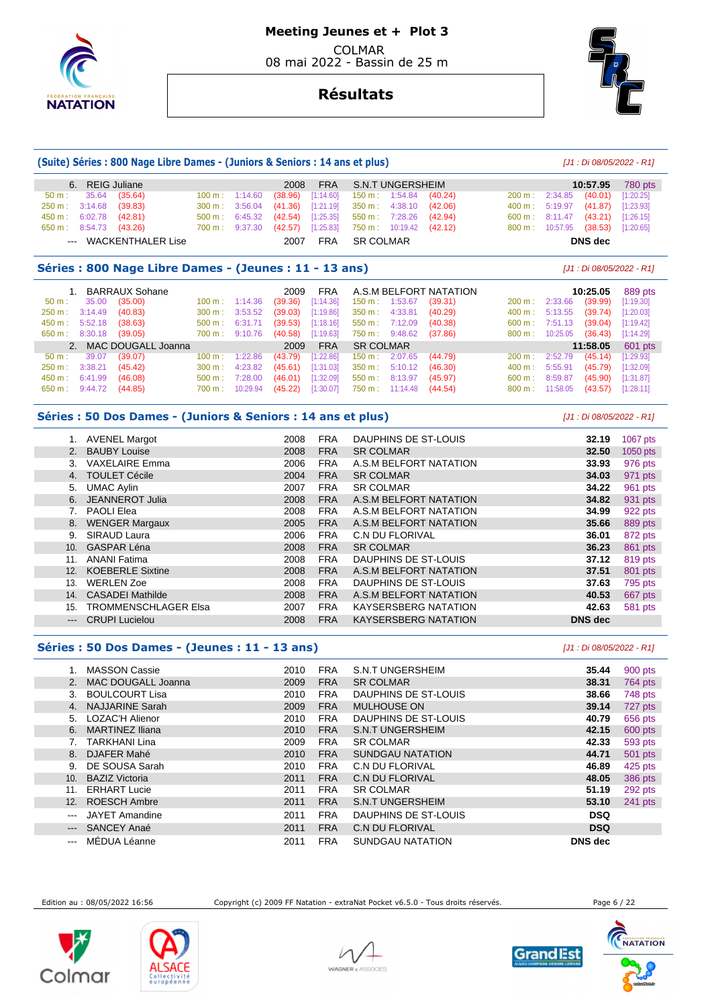

## **Résultats**

**(Suite) Séries : 800 Nage Libre Dames - (Juniors & Seniors : 14 ans et plus)** [J1 : Di 08/05/2022 - R1]

| 6.                                                                                  | <b>REIG Juliane</b>          |         | 2008    | <b>FRA</b> | <b>S.N.T UNGERSHEIM</b> |         |        |          | 10:57.95       | 780 pts   |
|-------------------------------------------------------------------------------------|------------------------------|---------|---------|------------|-------------------------|---------|--------|----------|----------------|-----------|
| 35.64<br>$50 m$ :                                                                   | (35.64)<br>100 m:            | 1:14.60 | (38.96) | [1:14.60]  | 1:54.84<br>150 m :      | (40.24) | 200 m: | 2:34.85  | (40.01)        | [1:20.25] |
| 3:14.68<br>250 m:                                                                   | (39.83)<br>300 m:            | 3:56.04 | (41.36) | [1:21.19]  | 4:38.10<br>350 m:       | (42.06) | 400 m: | 5:19.97  | (41.87)        | [1:23.93] |
| 450 m:<br>6:02.78                                                                   | (42.81)<br>500 m:            | 6:45.32 | (42.54) | [1:25.35]  | 7:28.26<br>$550 m$ :    | (42.94) | 600 m: | 8:11.47  | (43.21)        | [1:26.15] |
| 650 m:<br>8:54.73                                                                   | (43.26)<br>$700 \text{ m}$ : | 9:37.30 | (42.57) | [1:25.83]  | 10:19.42<br>750 m :     | (42.12) | 800 m: | 10:57.95 | (38.53)        | [1:20.65] |
|                                                                                     | <b>WACKENTHALER Lise</b>     |         | 2007    | <b>FRA</b> | <b>SR COLMAR</b>        |         |        |          | <b>DNS</b> dec |           |
| Séries : 800 Nage Libre Dames - (Jeunes : 11 - 13 ans)<br>[J1 : Di 08/05/2022 - R1] |                              |         |         |            |                         |         |        |          |                |           |
|                                                                                     |                              |         |         |            |                         |         |        |          |                |           |
|                                                                                     | <b>BARRAUX Sohane</b>        |         | 2009    | <b>FRA</b> | A.S.M BELFORT NATATION  |         |        |          | 10:25.05       | 889 pts   |
| 35.00<br>50 m:                                                                      | (35.00)<br>100 m:            | 1:14.36 | (39.36) | [1:14.36]  | 1:53.67<br>150 m:       | (39.31) | 200 m: | 2:33.66  | (39.99)        | [1:19.30] |
| 3:14.49<br>250 m:                                                                   | (40.83)<br>300 m:            | 3:53.52 | (39.03) | [1:19.86]  | 4:33.81<br>$350 m$ :    | (40.29) | 400 m: | 5:13.55  | (39.74)        | [1:20.03] |
| 5:52.18<br>450 m:                                                                   | (38.63)<br>500 m:            | 6:31.71 | (39.53) | [1:18.16]  | 7:12.09<br>550 m:       | (40.38) | 600 m: | 7:51.13  | (39.04)        | [1:19.42] |
| 650 m:<br>8:30.18                                                                   | (39.05)<br>$700 \text{ m}$ : | 9:10.76 | (40.58) | [1:19.63]  | 750 m :<br>9:48.62      | (37.86) | 800 m: | 10:25.05 | (36.43)        | [1:14.29] |
|                                                                                     | MAC DOUGALL Joanna           |         | 2009    | <b>FRA</b> | <b>SR COLMAR</b>        |         |        |          | 11:58.05       | 601 pts   |
| 39.07<br>50 m:                                                                      | (39.07)<br>100 m:            | 1:22.86 | (43.79) | [1:22.86]  | 2:07.65<br>$150 m$ :    | (44.79) | 200 m: | 2:52.79  | (45.14)        | [1:29.93] |
| $250 m$ :<br>3:38.21                                                                | (45.42)<br>300 m:            | 4:23.82 | (45.61) | [1:31.03]  | 5:10.12<br>350 m:       | (46.30) | 400 m: | 5:55.91  | (45.79)        | [1:32.09] |
| 450 m:<br>6:41.99                                                                   | (46.08)<br>500 m:            | 7:28.00 | (46.01) | [1:32.09]  | 8:13.97<br>550 m:       | (45.97) | 600 m: | 8:59.87  | (45.90)        | [1:31.87] |

#### **Séries : 50 Dos Dames - (Juniors & Seniors : 14 ans et plus)** [J1 : Di 08/05/2022 - R1]

|       | <b>AVENEL Margot</b>        | 2008 | <b>FRA</b> | DAUPHINS DE ST-LOUIS        | 32.19   | 1067 pts |
|-------|-----------------------------|------|------------|-----------------------------|---------|----------|
|       | 2. BAUBY Louise             | 2008 | <b>FRA</b> | <b>SR COLMAR</b>            | 32.50   | 1050 pts |
| 3.    | <b>VAXELAIRE Emma</b>       | 2006 | <b>FRA</b> | A.S.M BELFORT NATATION      | 33.93   | 976 pts  |
| 4.    | <b>TOULET Cécile</b>        | 2004 | <b>FRA</b> | <b>SR COLMAR</b>            | 34.03   | 971 pts  |
| 5.    | <b>UMAC Aylin</b>           | 2007 | <b>FRA</b> | <b>SR COLMAR</b>            | 34.22   | 961 pts  |
| 6.    | JEANNEROT Julia             | 2008 | <b>FRA</b> | A.S.M BELFORT NATATION      | 34.82   | 931 pts  |
|       | <b>PAOLI Elea</b>           | 2008 | <b>FRA</b> | A.S.M BELFORT NATATION      | 34.99   | 922 pts  |
| 8.    | <b>WENGER Margaux</b>       | 2005 | <b>FRA</b> | A.S.M BELFORT NATATION      | 35.66   | 889 pts  |
| 9.    | <b>SIRAUD Laura</b>         | 2006 | <b>FRA</b> | <b>C.N DU FLORIVAL</b>      | 36.01   | 872 pts  |
| 10.   | <b>GASPAR Léna</b>          | 2008 | <b>FRA</b> | <b>SR COLMAR</b>            | 36.23   | 861 pts  |
| 11.   | <b>ANANI Fatima</b>         | 2008 | <b>FRA</b> | DAUPHINS DE ST-LOUIS        | 37.12   | 819 pts  |
| 12.   | <b>KOEBERLE Sixtine</b>     | 2008 | <b>FRA</b> | A.S.M BELFORT NATATION      | 37.51   | 801 pts  |
| 13.   | <b>WERLEN Zoe</b>           | 2008 | <b>FRA</b> | DAUPHINS DE ST-LOUIS        | 37.63   | 795 pts  |
| 14.   | <b>CASADEI Mathilde</b>     | 2008 | <b>FRA</b> | A.S.M BELFORT NATATION      | 40.53   | 667 pts  |
| 15.   | <b>TROMMENSCHLAGER Elsa</b> | 2007 | <b>FRA</b> | <b>KAYSERSBERG NATATION</b> | 42.63   | 581 pts  |
| $---$ | <b>CRUPI Lucielou</b>       | 2008 | <b>FRA</b> | <b>KAYSERSBERG NATATION</b> | DNS dec |          |

#### **Séries : 50 Dos Dames - (Jeunes : 11 - 13 ans)** [J1 : Di 08/05/2022 - R1]

|                           | <b>MASSON Cassie</b>   | 2010 | <b>FRA</b> | S.N.T UNGERSHEIM        | 35.44          | 900 pts |
|---------------------------|------------------------|------|------------|-------------------------|----------------|---------|
|                           | MAC DOUGALL Joanna     | 2009 | <b>FRA</b> | <b>SR COLMAR</b>        | 38.31          | 764 pts |
| 3.                        | <b>BOULCOURT Lisa</b>  | 2010 | <b>FRA</b> | DAUPHINS DE ST-LOUIS    | 38.66          | 748 pts |
| 4.                        | <b>NAJJARINE Sarah</b> | 2009 | <b>FRA</b> | <b>MULHOUSE ON</b>      | 39.14          | 727 pts |
| 5.                        | LOZAC'H Alienor        | 2010 | <b>FRA</b> | DAUPHINS DE ST-LOUIS    | 40.79          | 656 pts |
| 6.                        | <b>MARTINEZ Iliana</b> | 2010 | <b>FRA</b> | <b>S.N.T UNGERSHEIM</b> | 42.15          | 600 pts |
|                           | <b>TARKHANI Lina</b>   | 2009 | <b>FRA</b> | <b>SR COLMAR</b>        | 42.33          | 593 pts |
| 8.                        | <b>DJAFER Mahé</b>     | 2010 | <b>FRA</b> | <b>SUNDGAU NATATION</b> | 44.71          | 501 pts |
| 9.                        | DE SOUSA Sarah         | 2010 | <b>FRA</b> | <b>C.N DU FLORIVAL</b>  | 46.89          | 425 pts |
| 10.                       | <b>BAZIZ Victoria</b>  | 2011 | <b>FRA</b> | <b>C.N DU FLORIVAL</b>  | 48.05          | 386 pts |
| 11.                       | <b>ERHART Lucie</b>    | 2011 | <b>FRA</b> | <b>SR COLMAR</b>        | 51.19          | 292 pts |
| 12.                       | <b>ROESCH Ambre</b>    | 2011 | <b>FRA</b> | <b>S.N.T UNGERSHEIM</b> | 53.10          | 241 pts |
| $\qquad \qquad \cdots$    | <b>JAYET Amandine</b>  | 2011 | <b>FRA</b> | DAUPHINS DE ST-LOUIS    | <b>DSQ</b>     |         |
| $\qquad \qquad -\qquad -$ | SANCEY Anaé            | 2011 | <b>FRA</b> | <b>C.N DU FLORIVAL</b>  | <b>DSQ</b>     |         |
| $---$                     | MÉDUA Léanne           | 2011 | <b>FRA</b> | SUNDGAU NATATION        | <b>DNS</b> dec |         |

Edition au : 08/05/2022 16:56 Copyright (c) 2009 FF Natation - extraNat Pocket v6.5.0 - Tous droits réservés. Page 6 / 22











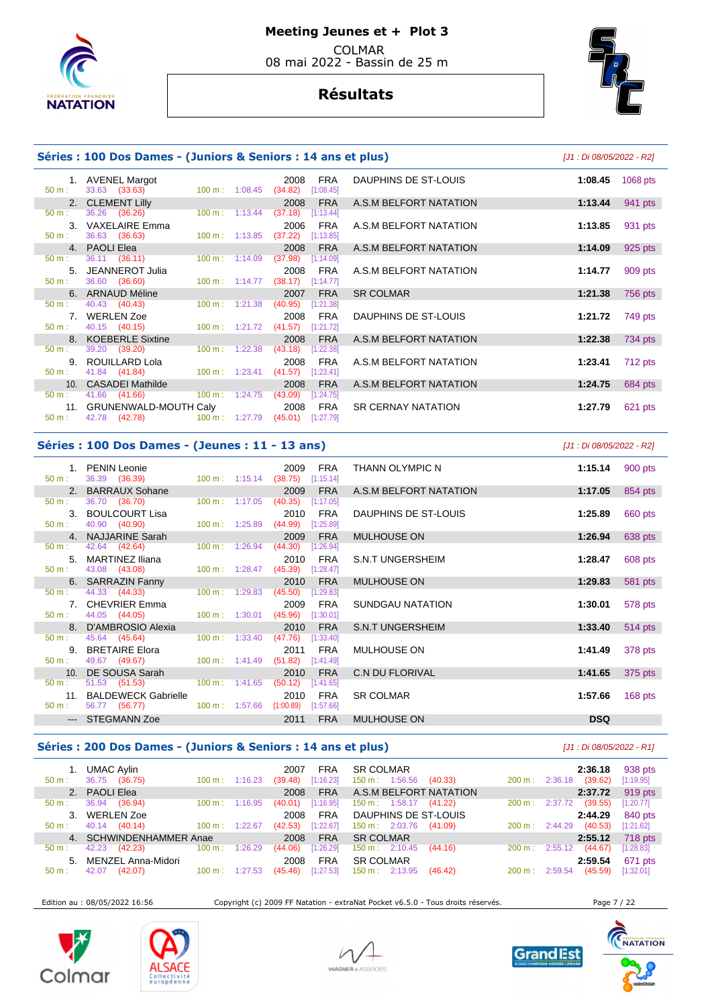

# **Résultats**



## **Séries : 100 Dos Dames - (Juniors & Seniors : 14 ans et plus)** [J1 : Di 08/05/2022 - R2]

|                  | 1. AVENEL Margot                 |        |                          | 2008                             | <b>FRA</b> |
|------------------|----------------------------------|--------|--------------------------|----------------------------------|------------|
| 50 m:            | 33.63 (33.63)                    |        |                          | $100 \text{ m}: 1:08.45$ (34.82) | [1:08.45]  |
|                  | 2. CLEMENT Lilly                 |        |                          | 2008                             | <b>FRA</b> |
| 50 m:            | 36.26 (36.26)                    |        | $100 \text{ m}: 1:13.44$ | (37.18)                          | [1:13.44]  |
| 3.               | VAXELAIRE Emma                   |        |                          | 2006                             | <b>FRA</b> |
| $50 \text{ m}$ : | 36.63 (36.63)                    |        | $100 \text{ m}: 1:13.85$ | $(37.22)$ [1:13.85]              |            |
|                  | 4. PAOLI Elea                    |        |                          |                                  | 2008 FRA   |
| 50 m:            | 36.11 (36.11)                    | 100 m: | 1:14.09                  | (37.98)                          | [1:14.09]  |
|                  | 5. JEANNEROT Julia               |        |                          | 2008                             | <b>FRA</b> |
| 50 m:            | 36.60 (36.60)                    |        | $100 \text{ m}: 1:14.77$ | (38.17)                          | [1:14.77]  |
|                  | 6. ARNAUD Méline                 |        |                          | 2007                             | <b>FRA</b> |
| 50 m:            | 40.43 (40.43)                    |        | $100 \text{ m}: 1:21.38$ | $(40.95)$ [1:21.38]              |            |
|                  | 7. WERLEN Zoe                    |        |                          | 2008                             | <b>FRA</b> |
|                  | $50 \text{ m}$ : $40.15$ (40.15) |        | 100 m: 1:21.72           | (41.57)                          | [1:21.72]  |
|                  | 8. KOEBERLE Sixtine              |        |                          | 2008                             | <b>FRA</b> |
| 50 m:            | 39.20 (39.20)                    |        | $100 \text{ m}: 1:22.38$ | (43.18)                          | [1:22.38]  |
| 9.               | ROUILLARD Lola                   |        |                          | 2008                             | <b>FRA</b> |
| 50 m:            | 41.84 (41.84)                    |        | $100 \text{ m}: 1:23.41$ | $(41.57)$ [1:23.41]              |            |
|                  | 10. CASADEI Mathilde             |        |                          | 2008                             | <b>FRA</b> |
| $50 \text{ m}$ : | 41.66 (41.66)                    |        | $100 \text{ m}: 1:24.75$ | (43.09)                          | [1:24.75]  |
|                  | 11. GRUNENWALD-MOUTH Caly 2008   |        |                          |                                  | <b>FRA</b> |
| 50 m:            | 42.78 (42.78)                    |        | 100 m: 1:27.79           | (45.01)                          | [1:27.79]  |
|                  |                                  |        |                          |                                  |            |

| 1.              | <b>AVENEL Margot</b><br>33.63 (33.63) | 100 m: 1:08.45           |                                                      | 2008<br>(34.82) | FRA<br>[1:08.45] | DAUPHINS DE ST-LOUIS      | 1:08.45 | 1068 pts |
|-----------------|---------------------------------------|--------------------------|------------------------------------------------------|-----------------|------------------|---------------------------|---------|----------|
| 2.              | <b>CLEMENT Lilly</b>                  |                          |                                                      | 2008            | <b>FRA</b>       | A.S.M BELFORT NATATION    | 1:13.44 | 941 pts  |
|                 | 36.26 (36.26)                         | $100 \text{ m}: 1:13.44$ |                                                      | (37.18)         | [1:13.44]        |                           |         |          |
| 3.              | <b>VAXELAIRE Emma</b>                 |                          |                                                      | 2006            | <b>FRA</b>       | A.S.M BELFORT NATATION    | 1:13.85 | 931 pts  |
|                 | 36.63 (36.63)                         | $100 \text{ m}: 1:13.85$ |                                                      | (37.22)         | [1:13.85]        |                           |         |          |
| 4.              | <b>PAOLI Elea</b>                     |                          |                                                      | 2008            | <b>FRA</b>       | A.S.M BELFORT NATATION    | 1:14.09 | 925 pts  |
|                 | 36.11 (36.11)                         | 100 m: 1:14.09           |                                                      | (37.98)         | [1:14.09]        |                           |         |          |
| 5.              | JEANNEROT Julia                       |                          |                                                      | 2008            | <b>FRA</b>       | A.S.M BELFORT NATATION    | 1:14.77 | 909 pts  |
|                 | 36.60 (36.60)                         | $100 \text{ m}: 1:14.77$ |                                                      | (38.17)         | [1:14.77]        |                           |         |          |
| 6.              | <b>ARNAUD Méline</b>                  |                          |                                                      | 2007            | <b>FRA</b>       | <b>SR COLMAR</b>          | 1:21.38 | 756 pts  |
|                 | 40.43 (40.43)                         | $100 \text{ m}: 1:21.38$ |                                                      | (40.95)         | [1:21.38]        |                           |         |          |
| 7.              | <b>WERLEN Zoe</b>                     |                          |                                                      | 2008            | <b>FRA</b>       | DAUPHINS DE ST-LOUIS      | 1:21.72 | 749 pts  |
|                 | 40.15 (40.15)                         | 100 m: 1:21.72           |                                                      | (41.57)         | [1:21.72]        |                           |         |          |
| 8.              | <b>KOEBERLE Sixtine</b>               |                          |                                                      | 2008            | <b>FRA</b>       | A.S.M BELFORT NATATION    | 1:22.38 | 734 pts  |
|                 | 39.20 (39.20)                         | $100 \text{ m}$ :        | 1:22.38                                              | (43.18)         | [1:22.38]        |                           |         |          |
| 9.              | ROUILLARD Lola                        |                          |                                                      | 2008            | <b>FRA</b>       | A.S.M BELFORT NATATION    | 1:23.41 | 712 pts  |
| ÷.              | 41.84 (41.84)                         | 100 m: 1:23.41           |                                                      | (41.57)         | [1:23.41]        |                           |         |          |
| 10 <sub>1</sub> | <b>CASADEI Mathilde</b>               |                          |                                                      | 2008            | <b>FRA</b>       | A.S.M BELFORT NATATION    | 1:24.75 | 684 pts  |
|                 | 41.66 (41.66)                         | 100 m: 1:24.75           |                                                      | (43.09)         | [1:24.75]        |                           |         |          |
|                 | 11. GRUNENWALD-MOUTH Caly             |                          |                                                      | 2008            | <b>FRA</b>       | <b>SR CERNAY NATATION</b> | 1:27.79 | 621 pts  |
|                 | $10.70$ $110.70$                      |                          | $100 \, \text{m}$ $\cdot$ $107.70$ $14.01$ $1107.70$ |                 |                  |                           |         |          |

#### **Séries : 100 Dos Dames - (Jeunes : 11 - 13 ans)** [J1 : Di 08/05/2022 - R2]

| $50 \text{ m}$ : | 1. PENIN Leonie<br>36.39 (36.39) 100 m : 1:15.14 (38.75) [1:15.14] |                           | FRA<br>2009          | THANN OLYMPIC N         | 1:15.14    | 900 pts   |
|------------------|--------------------------------------------------------------------|---------------------------|----------------------|-------------------------|------------|-----------|
|                  | 2. BARRAUX Sohane                                                  |                           | 2009<br><b>FRA</b>   | A.S.M BELFORT NATATION  | 1:17.05    | 854 pts   |
| $50 \text{ m}$ : | 36.70 (36.70)                                                      | $100 \text{ m}: 1:17.05$  | (40.35)<br>[1:17.05] |                         |            |           |
|                  | 3. BOULCOURT Lisa                                                  |                           | <b>FRA</b><br>2010   | DAUPHINS DE ST-LOUIS    | 1:25.89    | 660 pts   |
| $50 \text{ m}$ : | 40.90 (40.90)                                                      | $100 \text{ m}: 1:25.89$  | $(44.99)$ [1:25.89]  |                         |            |           |
|                  | 4. NAJJARINE Sarah                                                 |                           | <b>FRA</b><br>2009   | <b>MULHOUSE ON</b>      | 1:26.94    | 638 pts   |
| $50 \text{ m}$ : | 42.64 (42.64)                                                      | $100 \text{ m}: 1:26.94$  | (44.30)<br>[1:26.94] |                         |            |           |
|                  | 5. MARTINEZ Iliana                                                 |                           | FRA<br>2010          | S.N.T UNGERSHEIM        | 1:28.47    | 608 pts   |
| $50 \text{ m}$ : | 43.08 (43.08)                                                      | $100 \text{ m}: 1:28.47$  | $(45.39)$ [1:28.47]  |                         |            |           |
|                  | 6. SARRAZIN Fanny                                                  |                           | 2010<br>FRA          | MULHOUSE ON             | 1:29.83    | 581 pts   |
| $50 m$ :         | 44.33 (44.33)                                                      | $100 \text{ m}: 1:29.83$  | (45.50)<br>[1:29.83] |                         |            |           |
|                  | 7. CHEVRIER Emma                                                   |                           | 2009<br>FRA          | SUNDGAU NATATION        | 1:30.01    | 578 pts   |
| $50 \text{ m}$ : | 44.05 (44.05) 100 m : 1:30.01                                      |                           | (45.96)<br>[1:30.01] |                         |            |           |
|                  | 8. D'AMBROSIO Alexia                                               |                           | 2010<br><b>FRA</b>   | <b>S.N.T UNGERSHEIM</b> | 1:33.40    | $514$ pts |
| $50 \text{ m}$ : | 45.64 (45.64)                                                      | $100 \text{ m}$ : 1:33.40 | (47.76)<br>[1:33.40] |                         |            |           |
|                  | 9. BRETAIRE Elora                                                  |                           | 2011<br>FRA          | MULHOUSE ON             | 1:41.49    | 378 pts   |
| $50 \text{ m}$ : | 49.67 (49.67) 100 m : 1:41.49 (51.82)                              |                           | [1:41.49]            |                         |            |           |
|                  | 10. DE SOUSA Sarah                                                 |                           | 2010<br><b>FRA</b>   | C.N DU FLORIVAL         | 1:41.65    | 375 pts   |
| $50 \text{ m}$ : | 51.53 (51.53) 100 m : 1:41.65                                      |                           | (50.12)<br>[1:41.65] |                         |            |           |
|                  | 11. BALDEWECK Gabrielle                                            |                           | 2010<br><b>FRA</b>   | <b>SR COLMAR</b>        | 1:57.66    | 168 $pts$ |
| $50 \text{ m}$ : | 56.77 (56.77) 100 m : 1:57.66 (1:00.89) [1:57.66]                  |                           |                      |                         |            |           |
|                  | --- STEGMANN Zoe                                                   |                           | 2011<br><b>FRA</b>   | <b>MULHOUSE ON</b>      | <b>DSQ</b> |           |

#### **Séries : 200 Dos Dames - (Juniors & Seniors : 14 ans et plus)** [J1 : Di 08/05/2022 - R1]

#### 1. UMAC Aylin 2007 FRA SR COLMAR **2:36.18** 938 pts 150 m : 1:56.56 (40.33) 200 m : 2:36.18 (39.62) 2. PAOLI Elea 2008 FRA A.S.M BELFORT NATATION **2:37.72** 919 pts 50 m : 36.94 (36.94) 100 m : 1:16.95 (40.01) [1:16.95] 150 m : 1:58.17 (41.22) 200 m : 2:37.72 (39.55) [1:20.77] 3. WERLEN Zoe 2008 FRA DAUPHINS DE ST-LOUIS **2:44.29** 840 pts 50 m : 40.14 (40.14) 100 m : 1:22.67 (42.53) [1:22.67] 150 m : 2:03.76 (41.09) 4. SCHWINDENHAMMER Anae 2008 FRA SR COLMAR **2:55.12** 718 pts 50 m : 2:10.45 (44.16) 150 m : 2:55.12 (44.67) contract to the 1.67 m : 2:55.12 (44.67) contract to the 1.67 m : 2.59.54 5. MENZEL Anna-Midori 2008 FRA SR COLMAR **2:59.54** 671 pts 50 m : 42.07 (42.07) 100 m : 1:27.53 (45.46) [1:27.53] 150 m : 2:13.95 (46.42) 200 m : 2:59.54 (45.59) [1:32.01]

Edition au : 08/05/2022 16:56 Copyright (c) 2009 FF Natation - extraNat Pocket v6.5.0 - Tous droits réservés. Page 7 / 22









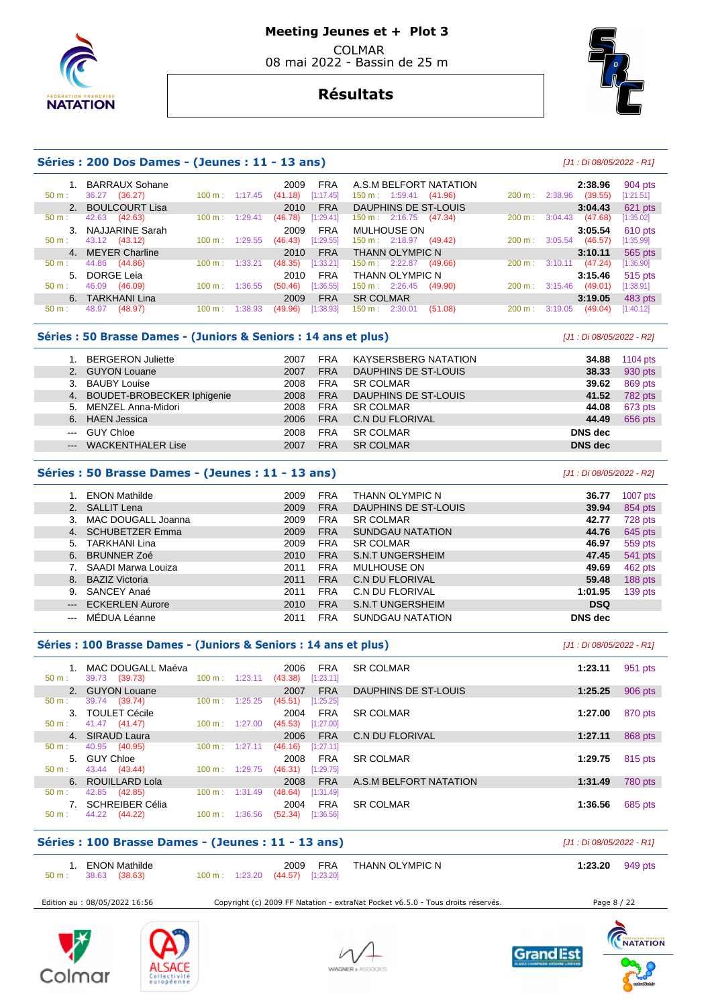

# **Résultats**



|                            | Séries : 200 Dos Dames - (Jeunes : 11 - 13 ans) |                              |                                            |                                                               |                   | [J1 : Di 08/05/2022 - R1]     |                      |
|----------------------------|-------------------------------------------------|------------------------------|--------------------------------------------|---------------------------------------------------------------|-------------------|-------------------------------|----------------------|
| $50 m$ :                   | <b>BARRAUX Sohane</b><br>36.27<br>(36.27)       | $100 \text{ m}$ :<br>1:17.45 | <b>FRA</b><br>2009<br>[1:17.45]<br>(41.18) | A.S.M BELFORT NATATION<br>$150 \text{ m}: 1:59.41$<br>(41.96) | $200 \text{ m}$ : | 2:38.96<br>2:38.96<br>(39.55) | 904 pts<br>[1:21.51] |
| $50 m$ :                   | 2. BOULCOURT Lisa<br>42.63<br>(42.63)           | 1:29.41<br>100 m:            | <b>FRA</b><br>2010<br>[1:29.41]<br>(46.78) | DAUPHINS DE ST-LOUIS<br>$150 \text{ m}: 2:16.75$<br>(47.34)   | 200 m:            | 3:04.43<br>3:04.43<br>(47.68) | 621 pts<br>[1:35.02] |
| 3 <sub>1</sub><br>$50 m$ : | NAJJARINE Sarah<br>43.12 (43.12)                | 100 m:<br>1:29.55            | <b>FRA</b><br>2009<br>[1:29.55]<br>(46.43) | MULHOUSE ON<br>150 m: 2:18.97<br>(49.42)                      | $200 \text{ m}$ : | 3:05.54<br>(46.57)<br>3:05.54 | 610 pts<br>[1:35.99] |
| $50 m$ :                   | 4. MEYER Charline<br>44.86<br>(44.86)           | 1:33.21<br>100 m:            | <b>FRA</b><br>2010<br>[1:33.21]<br>(48.35) | <b>THANN OLYMPIC N</b><br>$150 \text{ m}: 2:22.87$<br>(49.66) | 200 m:            | 3:10.11<br>(47.24)<br>3:10.11 | 565 pts<br>[1:36.90] |
| 5 <sub>1</sub><br>$50 m$ : | DORGE Leia<br>(46.09)<br>46.09                  | 100 m:<br>1:36.55            | <b>FRA</b><br>2010<br>[1:36.55]<br>(50.46) | <b>THANN OLYMPIC N</b><br>150 m : 2:26.45<br>(49.90)          | $200 \text{ m}$ : | 3:15.46<br>(49.01)<br>3:15.46 | 515 pts<br>[1:38.91] |
| 50 m:                      | 6. TARKHANI Lina<br>(48.97)<br>48.97            | 100 m:<br>:38.93             | <b>FRA</b><br>2009<br>[1:38.93]<br>(49.96) | <b>SR COLMAR</b><br>2:30.01<br>$150 \text{ m}$ :<br>(51.08)   | $200 \text{ m}$ : | 3:19.05<br>3:19.05<br>(49.04) | 483 pts<br>[1:40.12] |

## Séries : 50 Brasse Dames - (Juniors & Seniors : 14 ans et plus)  $[J1:Di 08/05/2022 - R2]$

| 1. BERGERON Juliette  |                               | 2007 | <b>FRA</b> | <b>KAYSERSBERG NATATION</b> | 34.88          | 1104 $pts$ |
|-----------------------|-------------------------------|------|------------|-----------------------------|----------------|------------|
| 2. GUYON Louane       |                               | 2007 | <b>FRA</b> | DAUPHINS DE ST-LOUIS        | 38.33          | 930 pts    |
| 3. BAUBY Louise       |                               | 2008 | <b>FRA</b> | <b>SR COLMAR</b>            | 39.62          | 869 pts    |
|                       | 4. BOUDET-BROBECKER Iphigenie | 2008 | <b>FRA</b> | DAUPHINS DE ST-LOUIS        | 41.52          | 782 pts    |
| 5. MENZEL Anna-Midori |                               | 2008 | <b>FRA</b> | <b>SR COLMAR</b>            | 44.08          | 673 pts    |
| 6. HAEN Jessica       |                               | 2006 | <b>FRA</b> | C.N DU FLORIVAL             | 44.49          | 656 pts    |
| GUY Chloe<br>$\cdots$ |                               | 2008 | <b>FRA</b> | <b>SR COLMAR</b>            | DNS dec        |            |
| $\qquad \qquad - -$   | <b>WACKENTHALER Lise</b>      | 2007 | <b>FRA</b> | <b>SR COLMAR</b>            | <b>DNS</b> dec |            |

## **Séries : 50 Brasse Dames - (Jeunes : 11 - 13 ans)** [J1 : Di 08/05/2022 - R2]

|    | <b>ENON Mathilde</b>   | 2009 | <b>FRA</b> | THANN OLYMPIC N         | 36.77          | 1007 pts |
|----|------------------------|------|------------|-------------------------|----------------|----------|
|    | SALLIT Lena            | 2009 | <b>FRA</b> | DAUPHINS DE ST-LOUIS    | 39.94          | 854 pts  |
| 3. | MAC DOUGALL Joanna     | 2009 | <b>FRA</b> | <b>SR COLMAR</b>        | 42.77          | 728 pts  |
| 4. | SCHUBETZER Emma        | 2009 | <b>FRA</b> | <b>SUNDGAU NATATION</b> | 44.76          | 645 pts  |
| 5. | TARKHANI Lina          | 2009 | <b>FRA</b> | <b>SR COLMAR</b>        | 46.97          | 559 pts  |
| 6. | <b>BRUNNER Zoé</b>     | 2010 | <b>FRA</b> | <b>S.N.T UNGERSHEIM</b> | 47.45          | 541 pts  |
|    | SAADI Marwa Louiza     | 2011 | <b>FRA</b> | MULHOUSE ON             | 49.69          | 462 pts  |
| 8. | <b>BAZIZ Victoria</b>  | 2011 | <b>FRA</b> | <b>C.N DU FLORIVAL</b>  | 59.48          | 188 pts  |
| 9. | SANCEY Anaé            | 2011 | <b>FRA</b> | <b>C.N DU FLORIVAL</b>  | 1:01.95        | 139 pts  |
|    | <b>ECKERLEN Aurore</b> | 2010 | <b>FRA</b> | <b>S.N.T UNGERSHEIM</b> | <b>DSQ</b>     |          |
|    | MÉDUA Léanne           | 2011 | <b>FRA</b> | SUNDGAU NATATION        | <b>DNS</b> dec |          |
|    |                        |      |            |                         |                |          |

|                  | Séries : 100 Brasse Dames - (Juniors & Seniors : 14 ans et plus) |                          |         |                              |                                      |         |         |  |  |  |  |
|------------------|------------------------------------------------------------------|--------------------------|---------|------------------------------|--------------------------------------|---------|---------|--|--|--|--|
| 50 m:            | MAC DOUGALL Maéva<br>39.73 (39.73)                               | $100 \text{ m}: 1:23.11$ |         | 2006<br>(43.38)<br>[1:23.11] | <b>FRA</b><br><b>SR COLMAR</b>       | 1:23.11 | 951 pts |  |  |  |  |
|                  | 2. GUYON Louane                                                  |                          |         | 2007                         | <b>FRA</b><br>DAUPHINS DE ST-LOUIS   | 1:25.25 | 906 pts |  |  |  |  |
| 50 m:            | 39.74 (39.74)                                                    | $100 \text{ m}$ :        | 1:25.25 | (45.51)<br>[1:25.25]         |                                      |         |         |  |  |  |  |
|                  | 3. TOULET Cécile                                                 |                          |         | 2004                         | <b>FRA</b><br><b>SR COLMAR</b>       | 1:27.00 | 870 pts |  |  |  |  |
| 50 m:            | 41.47 (41.47)                                                    | $100 \text{ m}$ :        | 1:27.00 | (45.53)<br>[1:27.00]         |                                      |         |         |  |  |  |  |
|                  | 4. SIRAUD Laura                                                  |                          |         | 2006                         | <b>FRA</b><br>C.N DU FLORIVAL        | 1:27.11 | 868 pts |  |  |  |  |
| 50 m:            | 40.95 (40.95)                                                    | $100 \text{ m}$ :        | 1:27.11 | (46.16)<br>[1:27.11]         |                                      |         |         |  |  |  |  |
|                  | 5. GUY Chloe                                                     |                          |         | 2008                         | FRA<br><b>SR COLMAR</b>              | 1:29.75 | 815 pts |  |  |  |  |
| $50 \text{ m}$ : | 43.44 (43.44)                                                    | $100 \text{ m}$ :        | 1:29.75 | $(46.31)$ [1:29.75]          |                                      |         |         |  |  |  |  |
|                  | 6. ROUILLARD Lola                                                |                          |         | 2008                         | A.S.M BELFORT NATATION<br><b>FRA</b> | 1:31.49 | 780 pts |  |  |  |  |
| $50 m$ :         | 42.85 (42.85)                                                    | $100 \text{ m}$ :        | 1:31.49 | (48.64)<br>[1:31.49]         |                                      |         |         |  |  |  |  |
|                  | <b>SCHREIBER Célia</b>                                           |                          |         | 2004                         | <b>FRA</b><br><b>SR COLMAR</b>       | 1:36.56 | 685 pts |  |  |  |  |
| $50 m$ :         | 44.22 (44.22)                                                    | $100 \text{ m}$ :        | 1:36.56 | (52.34)<br>[1:36.56]         |                                      |         |         |  |  |  |  |

# **Séries : 100 Brasse Dames - (Jeunes : 11 - 13 ans)** [J1 : Di 08/05/2022 - R1]

| 1. ENON Mathilde     |  |                                   | 2009 FRA THANN OLYMPIC N | 1:23.20 $949 \text{ pts}$ |  |
|----------------------|--|-----------------------------------|--------------------------|---------------------------|--|
| 50 m : 38.63 (38.63) |  | 100 m : 1:23.20 (44.57) [1:23.20] |                          |                           |  |

Edition au : 08/05/2022 16:56 Copyright (c) 2009 FF Natation - extraNat Pocket v6.5.0 - Tous droits réservés. Page 8 / 22









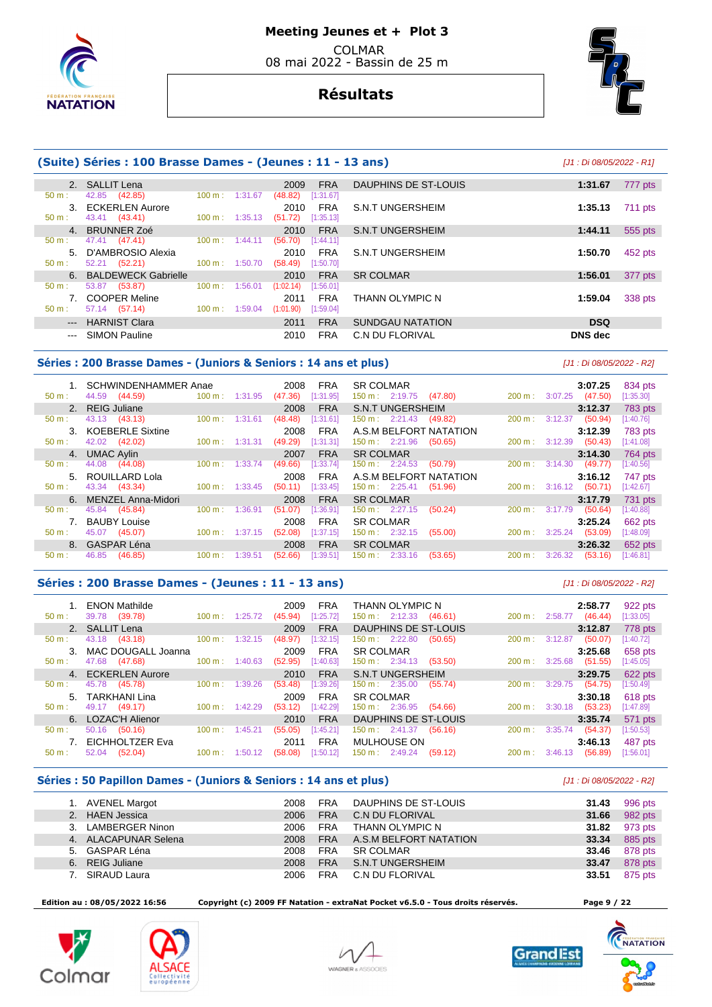

# **Résultats**



#### **(Suite) Séries : 100 Brasse Dames - (Jeunes : 11 - 13 ans)** [J1 : Di 08/05/2022 - R1] 2. SALLIT Lena 2009 FRA DAUPHINS DE ST-LOUIS **1:31.67** 777 pts **1:31.67** 777 pts **1:31.67 1:31.67 1:31.67 1:31.67 1:31.67 1:31.67 1:31.67 1:31.67 1:31.67 1:31.67 1:31.67 1:31.67 1:31.67 1:31.67** 42.85 (42.85) 100 m : 1:31.67 (48.82) [1:31.67] 3. ECKERLEN Aurore 2010 FRA S.N.T UNGERSHEIM **1:35.13** 711 pts 43.41 (43.41) 4. BRUNNER Zoé 2010 FRA S.N.T UNGERSHEIM **1:44.11** 555 pts 50 m : 47.41 (47.41) 100 m : 1:44.11 (56.70) [1:44.11] 5. D'AMBROSIO Alexia 2010 FRA S.N.T UNGERSHEIM **1:50.70** 452 pts 50 m : 52.21 (52.21) 100 m : 1:50.70 (58.49) [1:50.70] 6. BALDEWECK Gabrielle 2010 FRA SR COLMAR **1:56.01** 377 pts 53.87 (53.87) 100 m : 1:56.01 (1:02.14) 7. COOPER Meline 2011 FRA THANN OLYMPIC N **1:59.04** 338 pts 57.14 (57.14) --- HARNIST Clara 2011 FRA SUNDGAU NATATION **DSQ**  --- SIMON Pauline 2010 FRA C.N DU FLORIVAL **DNS dec**

## **Séries : 200 Brasse Dames - (Juniors & Seniors : 14 ans et plus)** [J1 : Di 08/05/2022 - R2]

 1. SCHWINDENHAMMER Anae 2008 FRA SR COLMAR **3:07.25** 834 pts 150 m : 2:19.75 2. REIG Juliane 2008 FRA S.N.T UNGERSHEIM **3:12.37** 783 pts 50 m : 43.13 (43.13) 100 m : 1:31.61 (48.48) [1:31.61] 150 m : 2:21.43 (49.82) 200 m : 3:12.37 (50.94) [1:40.76] 3. KOEBERLE Sixtine 2008 FRA A.S.M BELFORT NATATION **3:12.39** 783 pts 50 m : 42.02 (42.02) 100 m : 1:31.31 (49.29) [1:31.31] 150 m : 2:21.96 (50.65) 200 m : 3:12.39 (50.43) [1:41.08] 4. UMAC Aylin 2007 FRA SR COLMAR **3:14.30** 764 pts 50 m : 44.08 (44.08) 100 m : 1:33.74 (49.66) [1:33.74] 150 m : 2:24.53 (50.79) 200 m : 3:14.30 (49.77) [1:40.56] 5. ROUILLARD Lola 2008 FRA A.S.M BELFORT NATATION **3:16.12** 747 pts 150 m : 2:25.41 (51.96) 6. MENZEL Anna-Midori 2008 FRA SR COLMAR **3:17.79** 731 pts 50 m : 45.84 (45.84) 100 m : 1:36.91 (51.07) [1:36.91] 150 m : 2:27.15 (50.24) 200 m : 3:17.79 (50.64) [1:40.88] 7. BAUBY Louise 2008 FRA SR COLMAR **3:25.24** 662 pts 50 m : 45.07 (45.07) 100 m : 1:37.15 (52.08) [1:37.15] 150 m : 2:32.15 (55.00) 200 m : 3:25.24 (53.09) [1:48.09] 8. GASPAR Léna 2008 FRA SR COLMAR **3:26.32** 652 pts 50 m : 46.85 (46.85) 100 m : 1:39.51 (52.66) 1:39.51 (52.66) 1:39.51 (52.66) 1:39.51 (53.65) 150 m : 2:33.16 (53.65) 200 m : 3:26.32 (53.16) [1:46.81]

## **Séries : 200 Brasse Dames - (Jeunes : 11 - 13 ans)** [J1 : Di 08/05/2022 - R2]

|                  | <b>ENON Mathilde</b>   |                           |         | FRA<br>2009          | THANN OLYMPIC N                     |        | 2:58.77                             | 922 pts   |
|------------------|------------------------|---------------------------|---------|----------------------|-------------------------------------|--------|-------------------------------------|-----------|
| $50 \text{ m}$ : | 39.78<br>(39.78)       | $100 \text{ m}: 1:25.72$  |         | [1:25.72]<br>(45.94) | (46.61)<br>$150 \text{ m}: 2:12.33$ |        | (46.44)<br>$200 \text{ m}: 2:58.77$ | [1:33.05] |
|                  | 2. SALLIT Lena         |                           |         | <b>FRA</b><br>2009   | <b>DAUPHINS DE ST-LOUIS</b>         |        | 3:12.87                             | 778 pts   |
| 50 m:            | (43.18)<br>43.18       | 100 m:                    | 1:32.15 | [1:32.15]<br>(48.97) | 150 m: 2:22.80<br>(50.65)           | 200 m: | 3:12.87<br>(50.07)                  | [1:40.72] |
|                  | 3. MAC DOUGALL Joanna  |                           |         | 2009<br><b>FRA</b>   | <b>SR COLMAR</b>                    |        | 3:25.68                             | 658 pts   |
| $50 \text{ m}$ : | 47.68<br>(47.68)       | $100 \text{ m}$ :         | 1:40.63 | (52.95)<br>[1:40.63] | $150 \text{ m}: 2:34.13$<br>(53.50) | 200 m: | 3:25.68<br>(51.55)                  | [1:45.05] |
|                  | 4. ECKERLEN Aurore     |                           |         | <b>FRA</b><br>2010   | <b>S.N.T UNGERSHEIM</b>             |        | 3:29.75                             | 622 pts   |
| $50 \text{ m}$ : | 45.78 (45.78)          | 100 m:                    | 1:39.26 | (53.48)<br>[1:39.26] | $150 \text{ m}: 2:35.00$<br>(55.74) | 200 m: | 3:29.75<br>(54.75)                  | [1:50.49] |
|                  | 5. TARKHANI Lina       |                           |         | <b>FRA</b><br>2009   | <b>SR COLMAR</b>                    |        | 3:30.18                             | 618 pts   |
| $50 \text{ m}$ : | 49.17<br>(49.17)       | $100 \text{ m}: 1:42.29$  |         | [1:42.29]<br>(53.12) | $150 \text{ m}: 2:36.95$<br>(54.66) |        | $200 \text{ m}: 3:30.18$<br>(53.23) | [1:47.89] |
|                  | 6. LOZAC'H Alienor     |                           |         | <b>FRA</b><br>2010   | DAUPHINS DE ST-LOUIS                |        | 3:35.74                             | 571 pts   |
| $50 \text{ m}$ : | 50.16<br>(50.16)       | 100 m:                    | 1:45.21 | [1:45.21]<br>(55.05) | $150 \text{ m}: 2:41.37$<br>(56.16) | 200 m: | 3:35.74<br>(54.37)                  | [1:50.53] |
|                  | <b>EICHHOLTZER Eva</b> |                           |         | <b>FRA</b><br>2011   | MULHOUSE ON                         |        | 3:46.13                             | 487 pts   |
| $50 m$ :         | (52.04)<br>52.04       | $100 \text{ m}$ : 1:50.12 |         | [1:50.12]<br>(58.08) | $150 \text{ m}: 2:49.24$<br>(59.12) | 200 m: | 3:46.13<br>(56.89)                  | [1:56.01] |

#### **Séries : 50 Papillon Dames - (Juniors & Seniors : 14 ans et plus)** [J1 : Di 08/05/2022 - R2]

|    | AVENEL Margot        | 2008 | <b>FRA</b> | DAUPHINS DE ST-LOUIS   | 31.43 | 996 pts |
|----|----------------------|------|------------|------------------------|-------|---------|
| 2. | <b>HAEN Jessica</b>  | 2006 | <b>FRA</b> | C.N DU FLORIVAL        | 31.66 | 982 pts |
|    | 3. LAMBERGER Ninon   | 2006 | <b>FRA</b> | THANN OLYMPIC N        | 31.82 | 973 pts |
|    | 4. ALACAPUNAR Selena | 2008 | <b>FRA</b> | A.S.M BELFORT NATATION | 33.34 | 885 pts |
|    | 5. GASPAR Léna       | 2008 | <b>FRA</b> | <b>SR COLMAR</b>       | 33.46 | 878 pts |
| 6. | <b>REIG Juliane</b>  | 2008 | <b>FRA</b> | S.N.T UNGERSHEIM       | 33.47 | 878 pts |
|    | <b>SIRAUD Laura</b>  | 2006 | <b>FRA</b> | C.N DU FLORIVAL        | 33.51 | 875 pts |

 **Edition au : 08/05/2022 16:56 Copyright (c) 2009 FF Natation - extraNat Pocket v6.5.0 - Tous droits réservés. Page 9 / 22** 









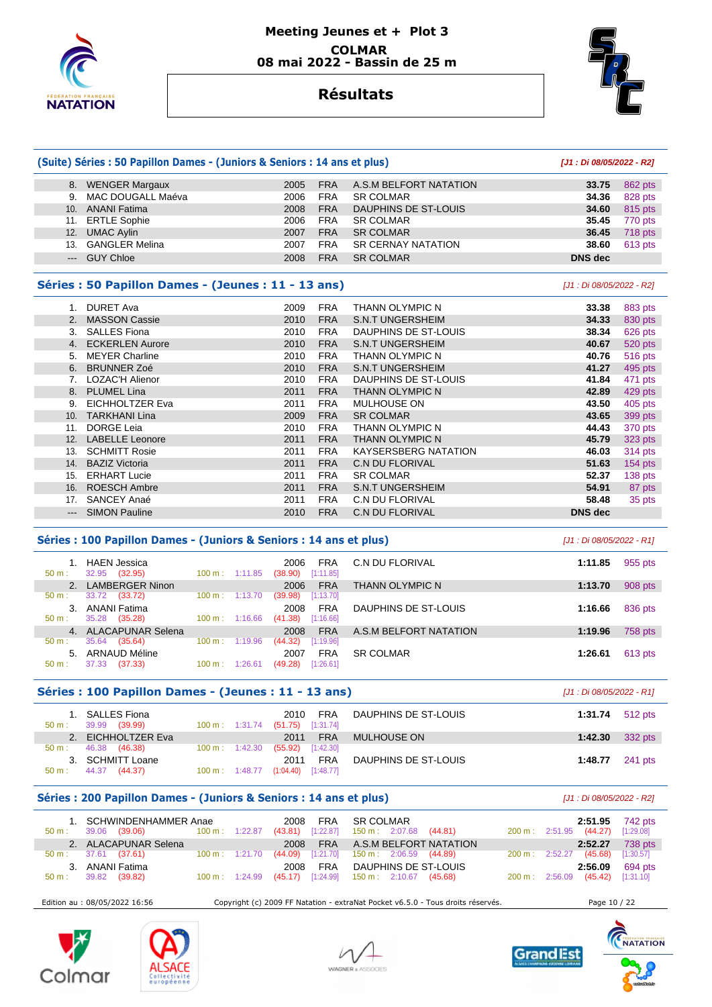

## **Meeting Jeunes et + Plot 3 COLMAR 08 mai 2022 - Bassin de 25 m**



## **Résultats**

|             | (Suite) Séries : 50 Papillon Dames - (Juniors & Seniors : 14 ans et plus) |      | [J1 : Di 08/05/2022 - R2] |                             |                |                |
|-------------|---------------------------------------------------------------------------|------|---------------------------|-----------------------------|----------------|----------------|
|             | 8. WENGER Margaux                                                         | 2005 | <b>FRA</b>                | A.S.M BELFORT NATATION      | 33.75          | 862 pts        |
| 9.          | MAC DOUGALL Maéva                                                         | 2006 | <b>FRA</b>                | <b>SR COLMAR</b>            | 34.36          | 828 pts        |
| 10.         | <b>ANANI Fatima</b>                                                       | 2008 | <b>FRA</b>                | DAUPHINS DE ST-LOUIS        | 34.60          | 815 pts        |
| 11.         | <b>ERTLE Sophie</b>                                                       | 2006 | <b>FRA</b>                | <b>SR COLMAR</b>            | 35.45          | 770 pts        |
| 12.         | <b>UMAC Aylin</b>                                                         | 2007 | <b>FRA</b>                | <b>SR COLMAR</b>            | 36.45          | 718 pts        |
| 13.         | <b>GANGLER Melina</b>                                                     | 2007 | <b>FRA</b>                | <b>SR CERNAY NATATION</b>   | 38.60          | 613 pts        |
| $\cdots$    | <b>GUY Chloe</b>                                                          | 2008 | <b>FRA</b>                | <b>SR COLMAR</b>            | <b>DNS</b> dec |                |
|             | Séries : 50 Papillon Dames - (Jeunes : 11 - 13 ans)                       |      |                           | [J1 : Di 08/05/2022 - R2]   |                |                |
| $1_{\cdot}$ | <b>DURET Ava</b>                                                          | 2009 | <b>FRA</b>                | <b>THANN OLYMPIC N</b>      | 33.38          | 883 pts        |
| 2.          | <b>MASSON Cassie</b>                                                      | 2010 | <b>FRA</b>                | <b>S.N.T UNGERSHEIM</b>     | 34.33          | 830 pts        |
| 3.          | <b>SALLES Fiona</b>                                                       | 2010 | <b>FRA</b>                | DAUPHINS DE ST-LOUIS        | 38.34          | 626 pts        |
| 4.          | <b>ECKERLEN Aurore</b>                                                    | 2010 | <b>FRA</b>                | <b>S.N.T UNGERSHEIM</b>     | 40.67          | 520 pts        |
| 5.          | <b>MEYER Charline</b>                                                     | 2010 | <b>FRA</b>                | <b>THANN OLYMPIC N</b>      | 40.76          | <b>516 pts</b> |
| 6.          | <b>BRUNNER Zoé</b>                                                        | 2010 | <b>FRA</b>                | <b>S.N.T UNGERSHEIM</b>     | 41.27          | 495 pts        |
| 7.          | <b>LOZAC'H Alienor</b>                                                    | 2010 | <b>FRA</b>                | DAUPHINS DE ST-LOUIS        | 41.84          | 471 pts        |
| 8.          | <b>PLUMEL Lina</b>                                                        | 2011 | <b>FRA</b>                | <b>THANN OLYMPIC N</b>      | 42.89          | 429 pts        |
| 9.          | <b>EICHHOLTZER Eva</b>                                                    | 2011 | <b>FRA</b>                | <b>MULHOUSE ON</b>          | 43.50          | 405 pts        |
| 10.         | <b>TARKHANI Lina</b>                                                      | 2009 | <b>FRA</b>                | <b>SR COLMAR</b>            | 43.65          | 399 pts        |
| 11.         | <b>DORGE Leia</b>                                                         | 2010 | <b>FRA</b>                | <b>THANN OLYMPIC N</b>      | 44.43          | 370 pts        |
| 12.         | <b>LABELLE Leonore</b>                                                    | 2011 | <b>FRA</b>                | <b>THANN OLYMPIC N</b>      | 45.79          | 323 pts        |
| 13.         | <b>SCHMITT Rosie</b>                                                      | 2011 | <b>FRA</b>                | <b>KAYSERSBERG NATATION</b> | 46.03          | 314 pts        |
| 14.         | <b>BAZIZ Victoria</b>                                                     | 2011 | <b>FRA</b>                | <b>C.N DU FLORIVAL</b>      | 51.63          | 154 pts        |
| 15.         | <b>ERHART Lucie</b>                                                       | 2011 | <b>FRA</b>                | <b>SR COLMAR</b>            | 52.37          | 138 pts        |
| 16.         | <b>ROESCH Ambre</b>                                                       | 2011 | <b>FRA</b>                | <b>S.N.T UNGERSHEIM</b>     | 54.91          | 87 pts         |
| 17.         | SANCEY Anaé                                                               | 2011 | <b>FRA</b>                | C.N DU FLORIVAL             | 58.48          | 35 pts         |
| $---$       | <b>SIMON Pauline</b>                                                      | 2010 | <b>FRA</b>                | <b>C.N DU FLORIVAL</b>      | <b>DNS</b> dec |                |

#### **Séries : 100 Papillon Dames - (Juniors & Seniors : 14 ans et plus)** [J1 : Di 08/05/2022 - R1]

| $50 m$ : | <b>HAEN Jessica</b><br>32.95<br>(32.95) | $100 \text{ m}$ : | 1:11.85 | 2006<br>(38.90) | FRA<br>[1:11.85] | C.N DU FLORIVAL        | 1:11.85 | 955 pts |
|----------|-----------------------------------------|-------------------|---------|-----------------|------------------|------------------------|---------|---------|
|          | 2. LAMBERGER Ninon                      |                   |         | 2006            | <b>FRA</b>       | THANN OLYMPIC N        | 1:13.70 | 908 pts |
| $50 m$ : | 33.72<br>(33.72)                        | $100 \text{ m}$ : | 1:13.70 | (39.98)         | [1:13.70]        |                        |         |         |
| 3.       | <b>ANANI Fatima</b>                     |                   |         | 2008            | <b>FRA</b>       | DAUPHINS DE ST-LOUIS   | 1:16.66 | 836 pts |
| $50 m$ : | 35.28<br>(35.28)                        | $100 \text{ m}$ : | 1:16.66 | (41.38)         | [1:16.66]        |                        |         |         |
|          | 4. ALACAPUNAR Selena                    |                   |         | 2008            | <b>FRA</b>       | A.S.M BELFORT NATATION | 1:19.96 | 758 pts |
| $50 m$ : | 35.64<br>(35.64)                        | 100 m:            | 1:19.96 | (44.32)         | [1:19.96]        |                        |         |         |
| 5.       | ARNAUD Méline                           |                   |         | 2007            | <b>FRA</b>       | <b>SR COLMAR</b>       | 1:26.61 | 613 pts |
| $50 m$ : | (37.33)<br>37.33                        | 100 m:            | 1:26.61 | (49.28)         | [1:26.61]        |                        |         |         |
|          |                                         |                   |         |                 |                  |                        |         |         |

## **Séries : 100 Papillon Dames - (Jeunes : 11 - 13 ans)** [J1 : Di 08/05/2022 - R1]

| 1. SALLES Fiona<br>39.99 (39.99)<br>50 m: |                          | FRA<br>2010<br>100 m: 1:31.74 (51.75) [1:31.74] | DAUPHINS DE ST-LOUIS | 1:31.74 $512 \text{ pts}$ |  |
|-------------------------------------------|--------------------------|-------------------------------------------------|----------------------|---------------------------|--|
| 2. EICHHOLTZER Eva                        |                          | 2011 FRA                                        | MULHOUSE ON          | 1:42.30 $332 \text{ pts}$ |  |
| 46.38 (46.38)<br>$50 \text{ m}$ :         | $100 \text{ m}: 1:42.30$ | $(55.92)$ [1:42.30]                             |                      |                           |  |
| 3. SCHMITT Loane                          |                          | <b>FRA</b><br>2011                              | DAUPHINS DE ST-LOUIS | 1:48.77 241 pts           |  |
| 44.37<br>(44.37)<br>$50 m$ :              | 100 m: 1:48.77           | $(1:04.40)$ [1:48.77]                           |                      |                           |  |

#### Séries : 200 Papillon Dames - (Juniors & Seniors : 14 ans et plus)  $[J1:Di 08/05/2022 - R2]$

| 50 m:            | 1. SCHWINDENHAMMER Anae<br>39.06 ( <b>39.06</b> ) | 100 m: 1:22.87           | 2008 FRA<br>$(43.81)$ [1:22.87]                     |     | SR COLMAR<br>150 m : 2:07.68 (44.81) |                                 |                          | 200 m : 2:51.95 (44.27)          |         | 2:51.95 742 pts<br>[1:29.08] |
|------------------|---------------------------------------------------|--------------------------|-----------------------------------------------------|-----|--------------------------------------|---------------------------------|--------------------------|----------------------------------|---------|------------------------------|
|                  | 2. ALACAPUNAR Selena                              |                          |                                                     |     |                                      | 2008 FRA A.S.M BELFORT NATATION |                          |                                  |         | 2:52.27 738 pts              |
|                  | $50 \text{ m}: 37.61 (37.61)$                     | 100 m: 1:21.70           | $(44.09)$ [1:21.70] 150 m : 2:06.59 (44.89)         |     |                                      |                                 | $200 \text{ m}: 2:52.27$ |                                  | (45.68) | [1:30.57]                    |
| $50 \text{ m}$ : | 3. ANANI Fatima<br>39.82 (39.82)                  | $100 \text{ m}: 1:24.99$ | 2008<br>$(45.17)$ [1:24.99] 150 m : 2:10.67 (45.68) | FRA |                                      | DAUPHINS DE ST-LOUIS            |                          | 200 m: 2:56.09 (45.42) [1:31.10] | 2:56.09 | 694 pts                      |

Edition au : 08/05/2022 16:56 Copyright (c) 2009 FF Natation - extraNat Pocket v6.5.0 - Tous droits réservés. Page 10 / 22









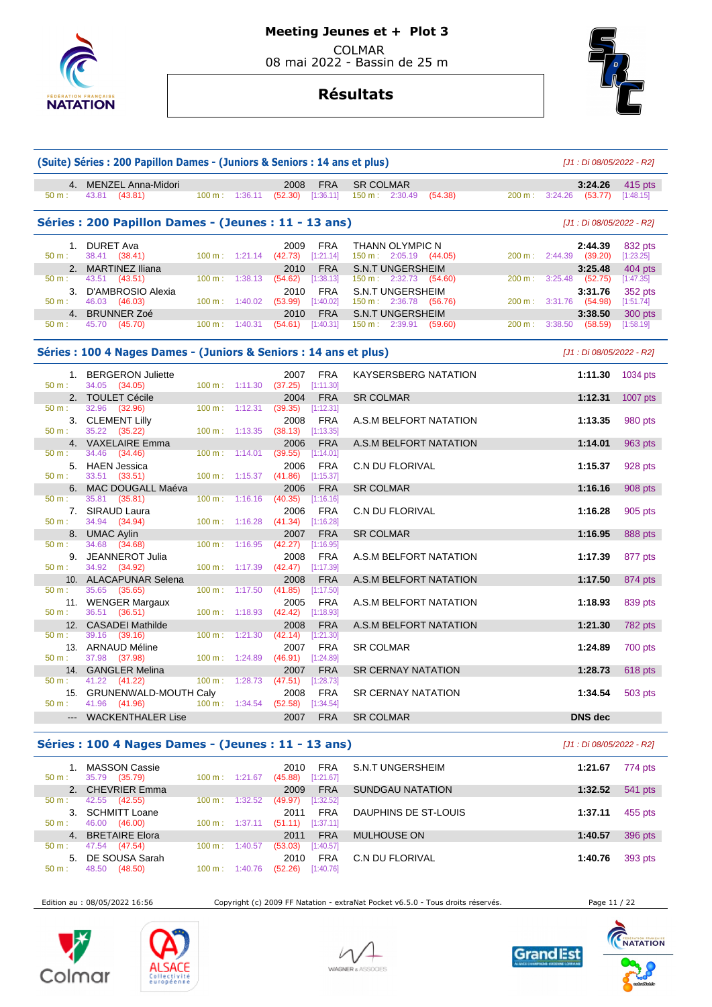

# **Résultats**



|                 | (Suite) Séries : 200 Papillon Dames - (Juniors & Seniors : 14 ans et plus) |        | [J1 : Di 08/05/2022 - R2] |                             |                         |                                                   |                   |                               |                      |
|-----------------|----------------------------------------------------------------------------|--------|---------------------------|-----------------------------|-------------------------|---------------------------------------------------|-------------------|-------------------------------|----------------------|
|                 | 4. MENZEL Anna-Midori                                                      |        |                           | 2008                        | <b>FRA</b>              | <b>SR COLMAR</b>                                  |                   | 3:24.26                       | 415 pts              |
| 50 m:           | 43.81<br>(43.81)                                                           |        | 100 m: 1:36.11            | $(52.30)$ [1:36.11]         |                         | 150 m: 2:30.49<br>(54.38)                         | 200 m:            | 3:24.26<br>(53.77)            | [1:48.15]            |
|                 | Séries : 200 Papillon Dames - (Jeunes : 11 - 13 ans)                       |        |                           |                             |                         |                                                   |                   | [J1 : Di 08/05/2022 - R2]     |                      |
|                 | 1. DURET Ava                                                               |        |                           | 2009                        | <b>FRA</b>              | THANN OLYMPIC N                                   |                   | 2:44.39                       | 832 pts              |
| $50 m$ :        | 38.41 (38.41)                                                              |        | $100 \text{ m}: 1:21.14$  | $(42.73)$ [1:21.14]         |                         | $150 \text{ m}: 2:05.19$ (44.05)                  | $200 \text{ m}$ : | 2:44.39<br>(39.20)            | [1:23.25]            |
| 2.<br>50 m:     | <b>MARTINEZ Iliana</b><br>43.51<br>(43.51)                                 | 100 m: | 1:38.13                   | 2010<br>(54.62)             | <b>FRA</b><br>[1:38.13] | <b>S.N.T UNGERSHEIM</b><br>150 m: 2:32.73 (54.60) | 200 m:            | 3:25.48<br>3:25.48<br>(52.75) | 404 pts<br>[1:47.35] |
| 3.              | D'AMBROSIO Alexia                                                          |        |                           | 2010                        | <b>FRA</b>              | <b>S.N.T UNGERSHEIM</b>                           |                   | 3:31.76                       | 352 pts              |
| $50 m$ :        | 46.03<br>(46.03)                                                           | 100 m: | 1:40.02                   | (53.99)                     | [1:40.02]               | 150 m : 2:36.78 (56.76)                           | 200 m:            | (54.98)<br>3:31.76            | [1:51.74]            |
| 4.              | <b>BRUNNER Zoé</b>                                                         |        |                           | 2010                        | <b>FRA</b>              | <b>S.N.T UNGERSHEIM</b>                           |                   | 3:38.50                       | 300 pts              |
| 50 m:           | 45.70<br>(45.70)                                                           | 100 m: | 1:40.31                   | (54.61)                     | [1:40.31]               | 150 m: 2:39.91<br>(59.60)                         | 200 m:            | 3:38.50<br>(58.59)            | [1:58.19]            |
|                 | Séries : 100 4 Nages Dames - (Juniors & Seniors : 14 ans et plus)          |        |                           |                             |                         |                                                   |                   | [J1 : Di 08/05/2022 - R2]     |                      |
| 1.              | <b>BERGERON Juliette</b>                                                   |        |                           | 2007                        | <b>FRA</b>              | <b>KAYSERSBERG NATATION</b>                       |                   | 1:11.30                       | 1034 pts             |
| $50 m$ :        | 34.05<br>(34.05)                                                           |        | $100 \text{ m}: 1:11.30$  | (37.25)                     | [1:11.30]               |                                                   |                   |                               |                      |
| 2.<br>$50 m$ :  | <b>TOULET Cécile</b><br>32.96<br>(32.96)                                   | 100 m: | 1:12.31                   | 2004<br>(39.35)             | <b>FRA</b><br>[1:12.31] | <b>SR COLMAR</b>                                  |                   | 1:12.31                       | $1007$ pts           |
| 3.              | <b>CLEMENT Lilly</b>                                                       |        |                           | 2008                        | <b>FRA</b>              | A.S.M BELFORT NATATION                            |                   | 1:13.35                       | 980 pts              |
| $50 m$ :        | 35.22<br>(35.22)                                                           |        | 100 m: 1:13.35            | (38.13)                     | [1:13.35]               |                                                   |                   |                               |                      |
|                 | 4. VAXELAIRE Emma                                                          |        |                           | 2006                        | <b>FRA</b>              | A.S.M BELFORT NATATION                            |                   | 1:14.01                       | 963 pts              |
| 50 m:           | 34.46<br>(34.46)                                                           | 100 m: | 1:14.01                   | (39.55)                     | [1:14.01]               |                                                   |                   |                               |                      |
|                 | 5. HAEN Jessica                                                            |        |                           | 2006                        | <b>FRA</b>              | <b>C.N DU FLORIVAL</b>                            |                   | 1:15.37                       | 928 pts              |
| $50 m$ :        | 33.51<br>(33.51)                                                           |        | $100 m$ : 1:15.37         | (41.86)                     | [1:15.37]               |                                                   |                   |                               |                      |
| 6.              | MAC DOUGALL Maéva                                                          |        |                           | 2006                        | <b>FRA</b>              | <b>SR COLMAR</b>                                  |                   | 1:16.16                       | 908 pts              |
| 50 m:           | 35.81<br>(35.81)                                                           | 100 m: | 1:16.16                   | (40.35)                     | [1:16.16]               |                                                   |                   |                               |                      |
| 7.<br>50 m:     | <b>SIRAUD Laura</b><br>34.94<br>(34.94)                                    |        | $100 \text{ m}$ : 1:16.28 | 2006<br>$(41.34)$ [1:16.28] | <b>FRA</b>              | <b>C.N DU FLORIVAL</b>                            |                   | 1:16.28                       | 905 pts              |
| 8.              | <b>UMAC Aylin</b>                                                          |        |                           | 2007                        | <b>FRA</b>              | <b>SR COLMAR</b>                                  |                   | 1:16.95                       | 888 pts              |
| $50 m$ :        | 34.68<br>(34.68)                                                           | 100 m: | 1:16.95                   | (42.27)                     | [1:16.95]               |                                                   |                   |                               |                      |
| 9.              | JEANNEROT Julia                                                            |        |                           | 2008                        | <b>FRA</b>              | A.S.M BELFORT NATATION                            |                   | 1:17.39                       | 877 pts              |
| $50 m$ :        | 34.92<br>(34.92)                                                           |        | 100 m: 1:17.39            | (42.47)                     | [1:17.39]               |                                                   |                   |                               |                      |
|                 | 10. ALACAPUNAR Selena                                                      |        |                           | 2008                        | <b>FRA</b>              | A.S.M BELFORT NATATION                            |                   | 1:17.50                       | 874 pts              |
| 50 m:           | 35.65<br>(35.65)                                                           | 100 m: | 1:17.50                   | (41.85)                     | [1:17.50]               |                                                   |                   |                               |                      |
|                 | 11. WENGER Margaux                                                         |        |                           | 2005                        | <b>FRA</b>              | A.S.M BELFORT NATATION                            |                   | 1:18.93                       | 839 pts              |
| $50 m$ :        | 36.51<br>(36.51)                                                           | 100 m: | 1:18.93                   | (42.42)                     | [1:18.93]               |                                                   |                   |                               |                      |
| 12.<br>$50 m$ : | <b>CASADEI Mathilde</b><br>39.16<br>(39.16)                                | 100 m: | 1:21.30                   | 2008<br>(42.14)             | <b>FRA</b><br>[1:21.30] | A.S.M BELFORT NATATION                            |                   | 1:21.30                       | 782 pts              |
|                 | 13. ARNAUD Méline                                                          |        |                           | 2007                        | <b>FRA</b>              | <b>SR COLMAR</b>                                  |                   | 1:24.89                       | 700 pts              |
| 50 m:           | 37.98<br>(37.98)                                                           |        | $100 \text{ m}: 1:24.89$  | (46.91)                     | [1:24.89]               |                                                   |                   |                               |                      |
| 14.             | <b>GANGLER Melina</b>                                                      |        |                           | 2007                        | <b>FRA</b>              | <b>SR CERNAY NATATION</b>                         |                   | 1:28.73                       | 618 pts              |
| 50 m:           | 41.22<br>(41.22)                                                           | 100 m: | 1:28.73                   | (47.51)                     | [1:28.73]               |                                                   |                   |                               |                      |
| 15.             | <b>GRUNENWALD-MOUTH Caly</b>                                               |        |                           | 2008                        | <b>FRA</b>              | <b>SR CERNAY NATATION</b>                         |                   | 1:34.54                       | 503 pts              |
| $50 m$ :        | 41.96 (41.96)                                                              |        | 100 m: 1:34.54            | (52.58)                     | [1:34.54]               |                                                   |                   |                               |                      |
|                 | <b>WACKENTHALER Lise</b>                                                   |        |                           | 2007                        | <b>FRA</b>              | <b>SR COLMAR</b>                                  |                   | <b>DNS</b> dec                |                      |
|                 |                                                                            |        |                           |                             |                         |                                                   |                   |                               |                      |

## **Séries : 100 4 Nages Dames - (Jeunes : 11 - 13 ans)** [J1 : Di 08/05/2022 - R2]

| <b>MASSON Cassie</b><br>35.79<br>(35.79)<br>50 m: | $100 \text{ m}$ : 1:21.67    | FRA<br>2010<br>[1:21.67]<br>(45.88) | S.N.T UNGERSHEIM     | 774 pts<br>1:21.67 |
|---------------------------------------------------|------------------------------|-------------------------------------|----------------------|--------------------|
| 2. CHEVRIER Emma                                  |                              | <b>FRA</b><br>2009                  | SUNDGAU NATATION     | 541 pts<br>1:32.52 |
| 42.55<br>(42.55)<br>$50 m$ :                      | 1:32.52<br>100 m:            | [1:32.52]<br>(49.97)                |                      |                    |
| <b>SCHMITT Loane</b><br>3.                        |                              | FRA<br>2011                         | DAUPHINS DE ST-LOUIS | 455 pts<br>1:37.11 |
| 46.00<br>(46.00)<br>$50 m$ :                      | $100 \text{ m}$ :<br>1:37.11 | [1:37.11]<br>(51.11)                |                      |                    |
| <b>BRETAIRE Elora</b><br>4.                       |                              | <b>FRA</b><br>2011                  | <b>MULHOUSE ON</b>   | 396 pts<br>1:40.57 |
| 47.54<br>(47.54)<br>$50 m$ :                      | 100 m:<br>1:40.57            | [1:40.57]<br>(53.03)                |                      |                    |
| DE SOUSA Sarah<br>5.                              |                              | <b>FRA</b><br>2010                  | C.N DU FLORIVAL      | 393 pts<br>1:40.76 |
| 48.50<br>(48.50)<br>50 m:                         | 100 m:<br>.76                | (52.26)<br>[1:40.76]                |                      |                    |

Edition au : 08/05/2022 16:56 Copyright (c) 2009 FF Natation - extraNat Pocket v6.5.0 - Tous droits réservés. Page 11 / 22









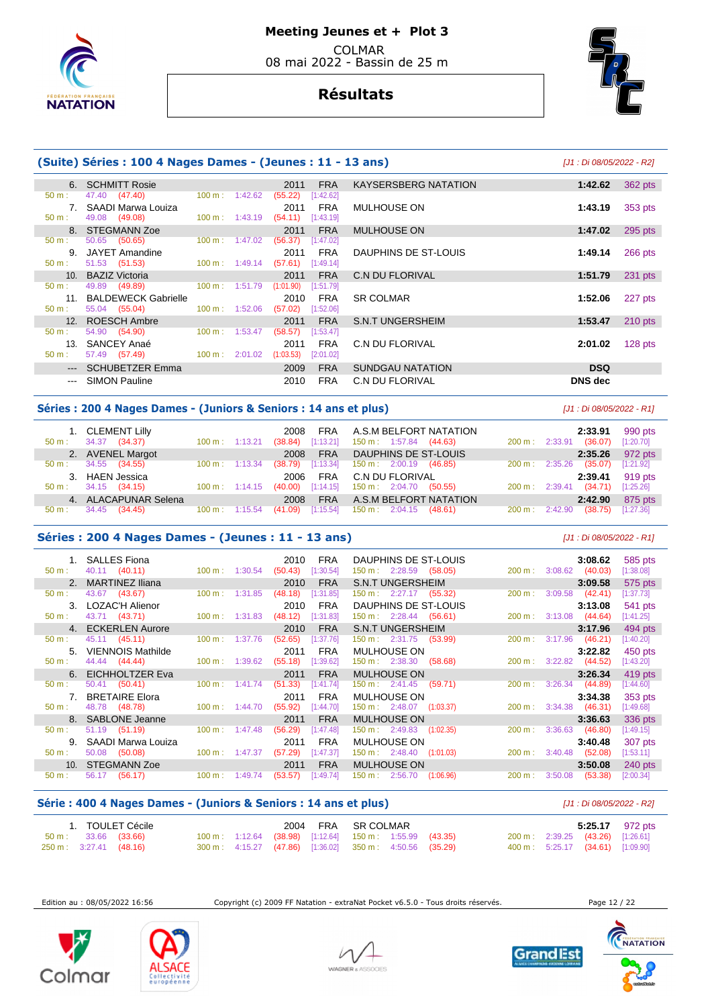

# **Résultats**



|                 | (Suite) Séries : 100 4 Nages Dames - (Jeunes : 11 - 13 ans) |                          | [J1 : Di 08/05/2022 - R2] |            |                             |                |           |
|-----------------|-------------------------------------------------------------|--------------------------|---------------------------|------------|-----------------------------|----------------|-----------|
|                 | 6. SCHMITT Rosie                                            |                          | 2011                      | <b>FRA</b> | <b>KAYSERSBERG NATATION</b> | 1:42.62        | 362 pts   |
| $50 m$ :        | 47.40 (47.40)                                               | $100 \text{ m}: 1:42.62$ | (55.22)                   | [1:42.62]  |                             |                |           |
|                 | 7. SAADI Marwa Louiza                                       |                          | 2011                      | FRA        | <b>MULHOUSE ON</b>          | 1:43.19        | 353 pts   |
| $50 m$ :        | 49.08 (49.08)                                               | $100 \text{ m}: 1:43.19$ | (54.11)                   | [1:43.19]  |                             |                |           |
|                 | 8. STEGMANN Zoe                                             |                          | 2011                      | <b>FRA</b> | <b>MULHOUSE ON</b>          | 1:47.02        | 295 pts   |
| $50 m$ :        | 50.65 (50.65)                                               | $100 \text{ m}: 1:47.02$ | (56.37)                   | [1:47.02]  |                             |                |           |
| 9.              | JAYET Amandine                                              |                          | 2011                      | FRA        | DAUPHINS DE ST-LOUIS        | 1:49.14        | $266$ pts |
| $50 m$ :        | 51.53 (51.53)                                               | $100 \text{ m}: 1:49.14$ | (57.61)                   | [1:49.14]  |                             |                |           |
|                 | 10. BAZIZ Victoria                                          |                          | 2011                      | <b>FRA</b> | C.N DU FLORIVAL             | 1:51.79        | 231 pts   |
| 50 m:           | 49.89 (49.89)                                               | $100 \text{ m}: 1:51.79$ | (1:01.90)                 | [1:51.79]  |                             |                |           |
| 11 <sub>1</sub> | <b>BALDEWECK Gabrielle</b>                                  |                          | 2010                      | <b>FRA</b> | <b>SR COLMAR</b>            | 1:52.06        | 227 pts   |
| $50 m$ :        | 55.04 (55.04)                                               | $100 \text{ m}: 1:52.06$ | (57.02)                   | [1:52.06]  |                             |                |           |
|                 | 12. ROESCH Ambre                                            |                          | 2011                      | <b>FRA</b> | S.N.T UNGERSHEIM            | 1:53.47        | $210$ pts |
| 50 m:           | 54.90 (54.90)                                               | $100 \text{ m}: 1:53.47$ | (58.57)                   | [1:53.47]  |                             |                |           |
|                 | 13. SANCEY Anaé                                             |                          | 2011                      | <b>FRA</b> | C.N DU FLORIVAL             | 2:01.02        | $128$ pts |
| $50 m$ :        | 57.49 (57.49)                                               | $100 \text{ m}: 2:01.02$ | (1:03.53)                 | [2:01.02]  |                             |                |           |
|                 | --- SCHUBETZER Emma                                         |                          | 2009                      | <b>FRA</b> | SUNDGAU NATATION            | <b>DSQ</b>     |           |
| $---$           | <b>SIMON Pauline</b>                                        |                          | 2010                      | <b>FRA</b> | <b>C.N DU FLORIVAL</b>      | <b>DNS</b> dec |           |

## **Séries : 200 4 Nages Dames - (Juniors & Seniors : 14 ans et plus)** [J1 : Di 08/05/2022 - R1]

| $50 \text{ m}$ : | 1. CLEMENT Lilly<br>(34.37)<br>34.37 | $100 \text{ m}$ : 1:13.21 |                          | FRA<br>2008<br>[1:13.21]<br>(38.84) | A.S.M BELFORT NATATION<br>$150 \text{ m}: 1:57.84$ (44.63) | $200 \text{ m}: 2:33.91$ | 2:33.91<br>(36.07) | 990 pts<br>[1:20.70] |
|------------------|--------------------------------------|---------------------------|--------------------------|-------------------------------------|------------------------------------------------------------|--------------------------|--------------------|----------------------|
|                  | 2. AVENEL Margot                     |                           |                          | <b>FRA</b><br>2008                  | DAUPHINS DE ST-LOUIS                                       |                          | 2:35.26            | 972 pts              |
| 50 m:            | 34.55 (34.55)                        | $100 \text{ m}$ : 1:13.34 |                          | [1:13.34]<br>(38.79)                | $150 \text{ m}: 2:00.19$<br>(46.85)                        | $200 \text{ m}$ :        | (35.07)<br>2:35.26 | [1:21.92]            |
|                  | 3. HAEN Jessica                      |                           |                          | FRA<br>2006                         | C.N DU FLORIVAL                                            |                          | 2:39.41            | 919 pts              |
| $50 \text{ m}$ : | 34.15 (34.15)                        |                           | $100 \text{ m}: 1:14.15$ | (40.00)                             | $[1:14.15]$ 150 m : 2:04.70 (50.55)                        | $200 \text{ m}: 2:39.41$ | (34.71)            | [1:25.26]            |
|                  | 4. ALACAPUNAR Selena                 |                           |                          | <b>FRA</b><br>2008                  | A.S.M BELFORT NATATION                                     |                          | 2:42.90            | 875 pts              |
| $50 \text{ m}$ : | 34.45 (34.45)                        | $100 \text{ m}: 1:15.54$  |                          | [1:15.54]<br>(41.09)                | $150 \text{ m}: 2:04.15$ (48.61)                           | $200 \text{ m}: 2:42.90$ | (38.75)            | [1:27.36]            |

## **Séries : 200 4 Nages Dames - (Jeunes : 11 - 13 ans)** [J1 : Di 08/05/2022 - R1]

 1. SALLES Fiona 2010 FRA DAUPHINS DE ST-LOUIS **3:08.62** 585 pts 50 m : 40.11 (40.11) 100 m : 1:30.54 (50.43) [1:30.54] 150 m : 2:28.59 (58.05) 200 m : 3:08.62 (40.03) [1:38.08] 2. MARTINEZ Iliana 2010 FRA S.N.T UNGERSHEIM **3:09.58** 575 pts 50 m : 43.67 (43.67) 100 m : 1:31.85 (48.18) [1:31.85] 150 m : 2:27.17 (55.32) 200 m : 3:09.58 (42.41) [1:37.73] 3. LOZAC'H Alienor 2010 FRA DAUPHINS DE ST-LOUIS **3:13.08** 541 pts 50 m : 43.71 (43.71) 100 m : 1:31.83 (48.12) [1:31.83] 150 m : 2:28.44 (56.61) 200 m : 3:13.08 (44.64) [1:41.25] 4. ECKERLEN Aurore 2010 FRA S.N.T UNGERSHEIM **3:17.96** 494 pts 50 m : 45.11 (45.11) 100 m : 1:37.76 (52.65) [1:37.76] 150 m : 2:31.75 (53.99) 200 m : 3:17.96 (46.21) [1:40.20] 5. VIENNOIS Mathilde 2011 FRA MULHOUSE ON **3:22.82** 450 pts  $150 m : 2:38.30$  6. EICHHOLTZER Eva 2011 FRA MULHOUSE ON **3:26.34** 419 pts 50 m : 50.41 (50.41) 100 m : 1:41.74 (51.33) [1:41.74] 150 m : 2:41.45 (59.71) 200 m : 3:26.34 (44.89) [1:44.60] 7. BRETAIRE Elora 2011 FRA MULHOUSE ON **3:34.38** 353 pts 50 m : 48.78 (48.78) 100 m : 1:44.70 (55.92) [1:44.70] 150 m : 2:48.07 (1:03.37) 200 m : 3:34.38 (46.31) [1:49.68] 8. SABLONE Jeanne 2011 FRA MULHOUSE ON **3:36.63** 336 pts 50 m : 51.19 (51.19) 100 m : 1:47.48 (56.29) [1:47.48] 150 m : 2:49.83 (1:02.35) 200 m : 3:36.63 (46.80) [1:49.15] 9. SAADI Marwa Louiza 2011 FRA MULHOUSE ON **3:40.48** 307 pts 50 m : 50.08 (50.08) 11:63.11] 100 m : 1:47.37 (57.29) [1:47.37] 150 m : 2:48.40 (1:01.03) 200 m : 3:40.48 (52.08) [1:53.11] 10. STEGMANN Zoe 2011 FRA MULHOUSE ON **3:50.08** 240 pts 50 m : 56.17 (56.17) 100 m : 1:49.74 (53.57) [1:49.74] 150 m : 2:56.70 (1:06.96) 200 m : 3:50.08 (53.38) [2:00.34]

## **Série : 400 4 Nages Dames - (Juniors & Seniors : 14 ans et plus)** [J1 : Di 08/05/2022 - R2]

|                         |                               | 1. TOULET Cécile |  |  | 2004 FRA SR COLMAR                                                  |  |  |                                  | 5:25.17 972 pts |
|-------------------------|-------------------------------|------------------|--|--|---------------------------------------------------------------------|--|--|----------------------------------|-----------------|
|                         | $50 \text{ m}: 33.66 (33.66)$ |                  |  |  | $100 \text{ m}$ : 1:12.64 (38.98) [1:12.64] 150 m : 1:55.99 (43.35) |  |  | 200 m: 2:39.25 (43.26) [1:26.61] |                 |
| 250 m : 3:27.41 (48.16) |                               |                  |  |  | 300 m: 4:15.27 (47.86) [1:36.02] 350 m: 4:50.56 (35.29)             |  |  | 400 m: 5:25.17 (34.61) [1:09.90] |                 |

Edition au : 08/05/2022 16:56 Copyright (c) 2009 FF Natation - extraNat Pocket v6.5.0 - Tous droits réservés. Page 12 / 22







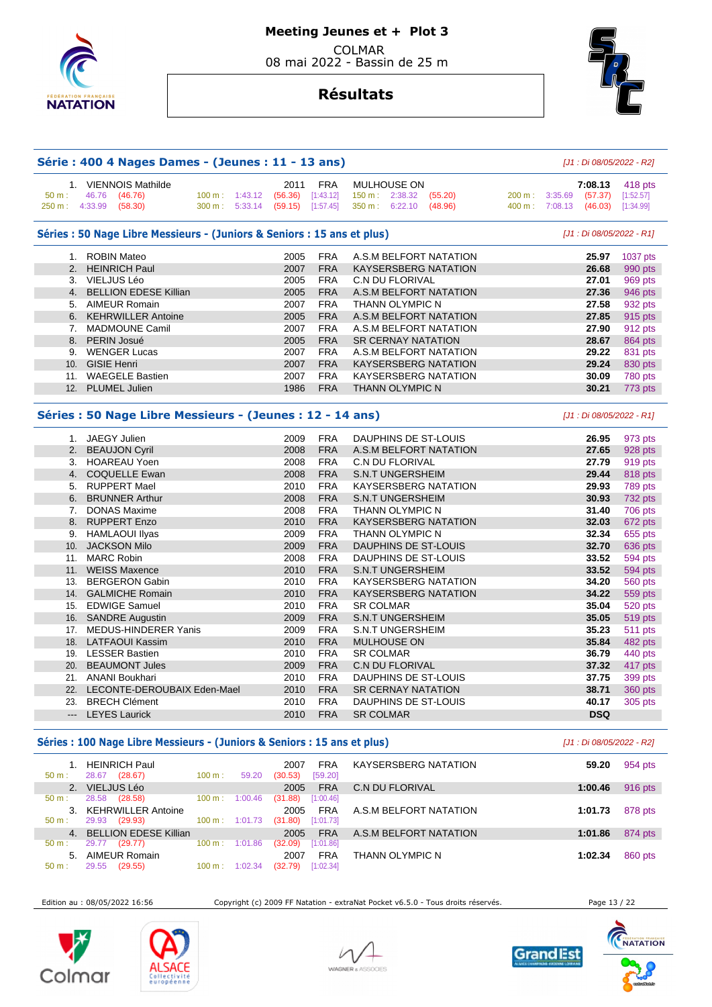

# **Résultats**

**Série : 400 4 Nages Dames - (Jeunes : 11 - 13 ans)** [J1 : Di 08/05/2022 - R2]

| 50 m:<br>250 m: 4:33.99 | 1. VIENNOIS Mathilde<br>46.76<br>(46.76)<br>(58.30)                          | $100 \text{ m}: 1:43.12$<br>300 m: 5:33.14 | 2011<br>(56.36)<br>(59.15) | <b>FRA</b><br>[1:43.12]<br>[1:57.45] | MULHOUSE ON<br>150 m : 2:38.32 (55.20)<br>350 m: 6:22.10 (48.96) | 200 m: 3:35.69<br>400 m: 7:08.13 | 7:08.13<br>(57.37)<br>(46.03) | 418 pts<br>[1:52.57]<br>[1:34.99] |
|-------------------------|------------------------------------------------------------------------------|--------------------------------------------|----------------------------|--------------------------------------|------------------------------------------------------------------|----------------------------------|-------------------------------|-----------------------------------|
|                         | Séries : 50 Nage Libre Messieurs - (Juniors & Seniors : 15 ans et plus)      |                                            |                            |                                      |                                                                  |                                  | [J1 : Di 08/05/2022 - R1]     |                                   |
|                         | 1. ROBIN Mateo                                                               |                                            | 2005                       | <b>FRA</b>                           | A.S.M BELFORT NATATION                                           |                                  | 25.97                         | 1037 pts                          |
|                         | 2. HEINRICH Paul                                                             |                                            | 2007                       | <b>FRA</b>                           | <b>KAYSERSBERG NATATION</b>                                      |                                  | 26.68                         | 990 pts                           |
|                         | 3. VIELJUS Léo                                                               |                                            | 2005                       | <b>FRA</b>                           | <b>C.N DU FLORIVAL</b>                                           |                                  | 27.01                         | 969 pts                           |
|                         | 4. BELLION EDESE Killian                                                     |                                            | 2005                       | <b>FRA</b>                           | A.S.M BELFORT NATATION                                           |                                  | 27.36                         | 946 pts                           |
|                         | 5. AIMEUR Romain                                                             |                                            | 2007                       | <b>FRA</b>                           | <b>THANN OLYMPIC N</b>                                           |                                  | 27.58                         | 932 pts                           |
|                         | 6. KEHRWILLER Antoine                                                        |                                            | 2005                       | <b>FRA</b>                           | A.S.M BELFORT NATATION                                           |                                  | 27.85                         | 915 pts                           |
|                         | 7. MADMOUNE Camil                                                            |                                            | 2007                       | <b>FRA</b>                           | A.S.M BELFORT NATATION                                           |                                  | 27.90                         | 912 pts                           |
|                         | 8. PERIN Josué                                                               |                                            | 2005                       | <b>FRA</b>                           | <b>SR CERNAY NATATION</b>                                        |                                  | 28.67                         | 864 pts                           |
|                         | 9. WENGER Lucas                                                              |                                            | 2007                       | <b>FRA</b>                           | A.S.M BELFORT NATATION                                           |                                  | 29.22                         | 831 pts                           |
|                         | 10. GISIE Henri                                                              |                                            | 2007                       | <b>FRA</b>                           | <b>KAYSERSBERG NATATION</b>                                      |                                  | 29.24                         | 830 pts                           |
|                         | 11. WAEGELE Bastien                                                          |                                            | 2007                       | <b>FRA</b>                           | <b>KAYSERSBERG NATATION</b>                                      |                                  | 30.09                         | 780 pts                           |
|                         | 12. PLUMEL Julien                                                            |                                            | 1986                       | <b>FRA</b>                           | <b>THANN OLYMPIC N</b>                                           |                                  | 30.21                         | 773 pts                           |
|                         | Séries : 50 Nage Libre Messieurs - (Jeunes : 12 - 14 ans)<br>1. JAEGY Julien |                                            | 2009                       | <b>FRA</b>                           | DAUPHINS DE ST-LOUIS                                             |                                  | 26.95                         | 973 pts                           |
|                         | 2. BEAUJON Cyril                                                             |                                            | 2008                       | <b>FRA</b>                           | A.S.M BELFORT NATATION                                           |                                  | 27.65                         | 928 pts                           |
|                         | 3. HOAREAU Yoen                                                              |                                            | 2008                       | <b>FRA</b>                           | <b>C.N DU FLORIVAL</b>                                           |                                  | 27.79                         | 919 pts                           |
|                         | 4. COQUELLE Ewan                                                             |                                            | 2008                       | <b>FRA</b>                           | <b>S.N.T UNGERSHEIM</b>                                          |                                  | 29.44                         | 818 pts                           |
|                         | 5. RUPPERT Mael                                                              |                                            | 2010                       | <b>FRA</b>                           | KAYSERSBERG NATATION                                             |                                  | 29.93                         | 789 pts                           |
|                         | 6. BRUNNER Arthur                                                            |                                            | 2008                       | <b>FRA</b>                           | <b>S.N.T UNGERSHEIM</b>                                          |                                  | 30.93                         | 732 pts                           |
| 7.                      | <b>DONAS Maxime</b>                                                          |                                            | 2008                       | <b>FRA</b>                           | THANN OLYMPIC N                                                  |                                  | 31.40                         | 706 pts                           |
|                         | 8. RUPPERT Enzo                                                              |                                            | 2010                       | <b>FRA</b>                           | <b>KAYSERSBERG NATATION</b>                                      |                                  | 32.03                         | 672 pts                           |
| 9.                      | <b>HAMLAOUI Ilyas</b>                                                        |                                            | 2009                       | <b>FRA</b>                           | THANN OLYMPIC N                                                  |                                  | 32.34                         | 655 pts                           |
|                         | 10. JACKSON Milo                                                             |                                            | 2009                       | <b>FRA</b>                           | DAUPHINS DE ST-LOUIS                                             |                                  | 32.70                         | 636 pts                           |
|                         | 11. MARC Robin                                                               |                                            | 2008                       | <b>FRA</b>                           | DAUPHINS DE ST-LOUIS                                             |                                  | 33.52                         | 594 pts                           |
|                         | 11. WEISS Maxence                                                            |                                            | 2010                       | <b>FRA</b>                           | <b>S.N.T UNGERSHEIM</b>                                          |                                  | 33.52                         | 594 pts                           |
| 13.                     | <b>BERGERON Gabin</b>                                                        |                                            | 2010                       | <b>FRA</b>                           | <b>KAYSERSBERG NATATION</b>                                      |                                  | 34.20                         | <b>560 pts</b>                    |
|                         | 14. GALMICHE Romain                                                          |                                            | 2010                       | <b>FRA</b>                           | <b>KAYSERSBERG NATATION</b>                                      |                                  | 34.22                         | 559 pts                           |
|                         | 15. EDWIGE Samuel                                                            |                                            | 2010                       | <b>FRA</b>                           | <b>SR COLMAR</b>                                                 |                                  | 35.04                         | 520 pts                           |
|                         | 16. SANDRE Augustin                                                          |                                            | 2009                       | <b>FRA</b>                           | <b>S.N.T UNGERSHEIM</b>                                          |                                  | 35.05                         | 519 pts                           |
|                         | 17. MEDUS-HINDERER Yanis                                                     |                                            | 2009                       | <b>FRA</b>                           | <b>S.N.T UNGERSHEIM</b>                                          |                                  | 35.23                         | 511 pts                           |
|                         | 18. LATFAOUI Kassim                                                          |                                            | 2010                       | <b>FRA</b>                           | <b>MULHOUSE ON</b>                                               |                                  | 35.84                         | 482 pts                           |
|                         | 19. LESSER Bastien                                                           |                                            | 2010                       | <b>FRA</b>                           | <b>SR COLMAR</b>                                                 |                                  | 36.79                         | 440 pts                           |
|                         | 20. BEAUMONT Jules                                                           |                                            | 2009                       | <b>FRA</b>                           | <b>C.N DU FLORIVAL</b>                                           |                                  | 37.32                         | 417 pts                           |
|                         | 21. ANANI Boukhari                                                           |                                            | 2010                       | <b>FRA</b>                           | DAUPHINS DE ST-LOUIS                                             |                                  | 37.75                         | 399 pts                           |
|                         | 22. LECONTE-DEROUBAIX Eden-Mael                                              |                                            | 2010                       | <b>FRA</b>                           | <b>SR CERNAY NATATION</b>                                        |                                  | 38.71                         | 360 pts                           |
|                         | 23. BRECH Clément                                                            |                                            | 2010                       | <b>FRA</b>                           | DAUPHINS DE ST-LOUIS                                             |                                  | 40.17                         | 305 pts                           |
|                         | <b>LEYES Laurick</b>                                                         |                                            | 2010                       | <b>FRA</b>                           | <b>SR COLMAR</b>                                                 |                                  | <b>DSQ</b>                    |                                   |

## Séries : 100 Nage Libre Messieurs - (Juniors & Seniors : 15 ans et plus) *[J1 : Di 08/05/2022 - R2]*

 1. HEINRICH Paul 2007 FRA KAYSERSBERG NATATION **59.20** 954 pts 28.67 (28.67) 2. VIELJUS Léo 2005 FRA C.N DU FLORIVAL **1:00.46** 916 pts 28.58 (28.58) 3. KEHRWILLER Antoine 2005 FRA A.S.M BELFORT NATATION **1:01.73** 878 pts 29.93 (29.93) 100 m : 4. BELLION EDESE Killian 2005 FRA A.S.M BELFORT NATATION **1:01.86** 874 pts 50 m : 29.77 (29.77) 100 m : 1:01.86 (32.09) [1:01.86] 5. AIMEUR Romain 2007 FRA THANN OLYMPIC N **1:02.34** 860 pts 50 m : 29.55 (29.55) 100 m : 1:02.34 (32.79) [1:02.34]

Edition au : 08/05/2022 16:56 Copyright (c) 2009 FF Natation - extraNat Pocket v6.5.0 - Tous droits réservés. Page 13 / 22









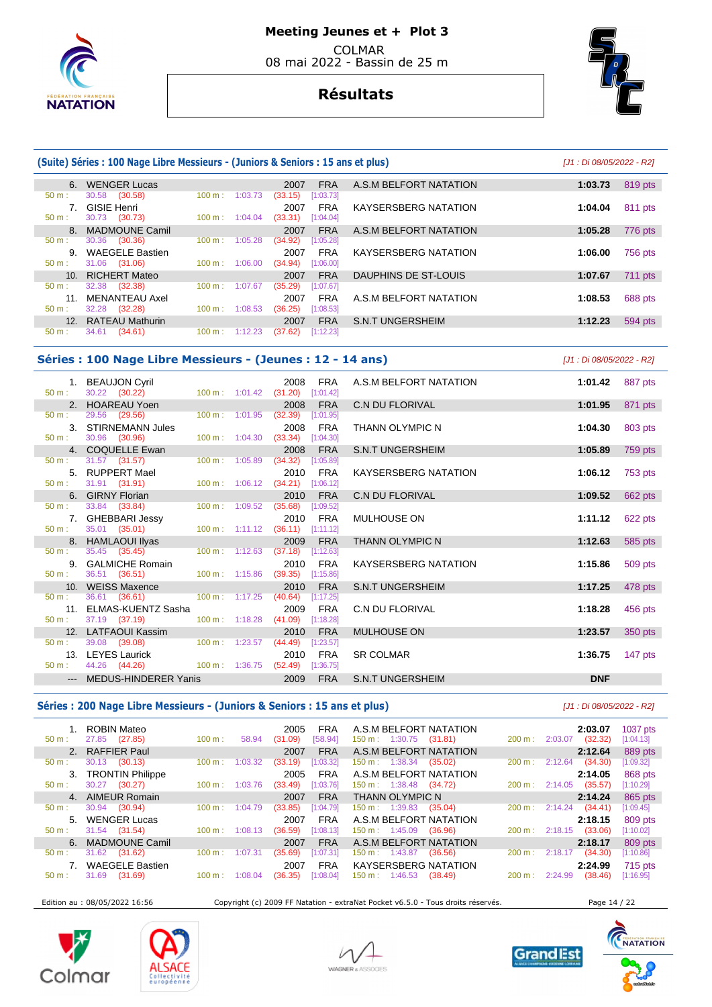

# **Meeting Jeunes et + Plot 3**

 COLMAR 08 mai 2022 - Bassin de 25 m

# **Résultats**



# **(Suite) Séries : 100 Nage Libre Messieurs - (Juniors & Seniors : 15 ans et plus)** [J1 : Di 08/05/2022 - R2]

|          | 6. WENGER Lucas        |                              | <b>FRA</b><br>2007   | A.S.M BELFORT NATATION      | 1:03.73 | 819 pts        |
|----------|------------------------|------------------------------|----------------------|-----------------------------|---------|----------------|
| $50 m$ : | 30.58 (30.58)          | 100 m:<br>1:03.73            | (33.15)<br>[1:03.73] |                             |         |                |
|          | <b>GISIE Henri</b>     |                              | <b>FRA</b><br>2007   | <b>KAYSERSBERG NATATION</b> | 1:04.04 | 811 pts        |
| $50 m$ : | 30.73 (30.73)          | 100 m:<br>1:04.04            | (33.31)<br>[1:04.04] |                             |         |                |
|          | 8. MADMOUNE Camil      |                              | <b>FRA</b><br>2007   | A.S.M BELFORT NATATION      | 1:05.28 | 776 pts        |
| $50 m$ : | 30.36 (30.36)          | 100 m:<br>1:05.28            | (34.92)<br>[1:05.28] |                             |         |                |
| 9.       | <b>WAEGELE Bastien</b> |                              | <b>FRA</b><br>2007   | <b>KAYSERSBERG NATATION</b> | 1:06.00 | 756 pts        |
| $50 m$ : | 31.06 (31.06)          | 100 m:<br>1:06.00            | [1:06.00]<br>(34.94) |                             |         |                |
|          | 10. RICHERT Mateo      |                              | <b>FRA</b><br>2007   | DAUPHINS DE ST-LOUIS        | 1:07.67 | <b>711 pts</b> |
| $50 m$ : | 32.38 (32.38)          | 100 m:<br>1:07.67            | (35.29)<br>[1:07.67] |                             |         |                |
| 11.      | <b>MENANTEAU Axel</b>  |                              | <b>FRA</b><br>2007   | A.S.M BELFORT NATATION      | 1:08.53 | 688 pts        |
| $50 m$ : | 32.28 (32.28)          | 100 m:<br>1:08.53            | (36.25)<br>[1:08.53] |                             |         |                |
|          | 12. RATEAU Mathurin    |                              | <b>FRA</b><br>2007   | <b>S.N.T UNGERSHEIM</b>     | 1:12.23 | 594 pts        |
| 50 m:    | 34.61<br>(34.61)       | 1:12.23<br>$100 \text{ m}$ : | (37.62)<br>[1:12.23] |                             |         |                |
|          |                        |                              |                      |                             |         |                |

## **Séries : 100 Nage Libre Messieurs - (Jeunes : 12 - 14 ans)** [J1 : Di 08/05/2022 - R2]

 1. BEAUJON Cyril 2008 FRA A.S.M BELFORT NATATION **1:01.42** 887 pts 50 m : 30.22 (30.22) 100 m : 1:01.42 (31.20) [1:01.42] 2. HOAREAU Yoen 2008 FRA C.N DU FLORIVAL **1:01.95** 871 pts 50 m : 29.56 (29.56) 100 m : 1:01.95 (32.39) [1:01.95] 3. STIRNEMANN Jules 2008 FRA THANN OLYMPIC N **1:04.30** 803 pts 50 m : 30.96 (30.96) 100 m : 1:04.30 (33.34) [1:04.30] 4. COQUELLE Ewan 2008 FRA S.N.T UNGERSHEIM **1:05.89** 759 pts 50 m : 31.57 (31.57) 100 m : 1:05.89 (34.32) [1:05.89] 5. RUPPERT Mael 2010 FRA KAYSERSBERG NATATION **1:06.12** 753 pts 31.91 (31.91) 6. GIRNY Florian 2010 FRA C.N DU FLORIVAL **1:09.52** 662 pts 50 m : 33.84 (33.84) 100 m : 1:09.52 (35.68) [1:09.52] 7. GHEBBARI Jessy 2010 FRA MULHOUSE ON **1:11.12** 622 pts  $(36.11)$  8. HAMLAOUI Ilyas 2009 FRA THANN OLYMPIC N **1:12.63** 585 pts 50 m : 35.45 (35.45) 100 m : 1:12.63 (37.18) [1:12.63] 9. GALMICHE Romain 2010 FRA KAYSERSBERG NATATION **1:15.86** 509 pts 50 m : 36.51 (36.51) 100 m : 1:15.86 (39.35) [1:15.86] 10. WEISS Maxence 2010 FRA S.N.T UNGERSHEIM **1:17.25** 478 pts 36.61 (36.61) 11. ELMAS-KUENTZ Sasha 2009 FRA C.N DU FLORIVAL **1:18.28** 456 pts 37.19 (37.19) 12. LATFAOUI Kassim 2010 FRA MULHOUSE ON **1:23.57** 350 pts 50 m : 39.08 (39.08) 100 m : 1:23.57 (44.49) [1:23.57] 13. LEYES Laurick 2010 FRA SR COLMAR **1:36.75** 147 pts  $(52.49)$   $[1:36.75]$ --- MEDUS-HINDERER Yanis 2009 FRA S.N.T UNGERSHEIM **DNF** 

## Séries : 200 Nage Libre Messieurs - (Juniors & Seniors : 15 ans et plus) **[J1: Di 08/05/2022 - R2]**

| 50 m :   | ROBIN Mateo<br>27.85 (27.85) | 100 m:            | 58.94   | 2005<br>(31.09) | FRA<br>[58.94] | A.S.M BELFORT NATATION<br>$150 \text{ m}: 1:30.75$ | (31.81) | 200 m:            | 2:03.07        | 2:03.07<br>(32.32) | 1037 pts<br>[1:04.13] |
|----------|------------------------------|-------------------|---------|-----------------|----------------|----------------------------------------------------|---------|-------------------|----------------|--------------------|-----------------------|
|          | 2. RAFFIER Paul              |                   |         | 2007            | <b>FRA</b>     | A.S.M BELFORT NATATION                             |         |                   |                | 2:12.64            | 889 pts               |
| $50 m$ : | $30.13$ $(30.13)$            | 100 m:            | 1:03.32 | (33.19)         | [1:03.32]      | $150 \text{ m}: 1:38.34$                           | (35.02) | 200 m:            | 2:12.64        | (34.30)            | [1:09.32]             |
|          | 3. TRONTIN Philippe          |                   |         | 2005            | FRA            | A.S.M BELFORT NATATION                             |         |                   |                | 2:14.05            | 868 pts               |
| 50 m:    | (30.27)<br>30.27             | 100 m:            | 1:03.76 | (33.49)         | [1:03.76]      | $150 \text{ m}: 1:38.48$                           | (34.72) |                   | 200 m: 2:14.05 | (35.57)            | [1:10.29]             |
|          | 4. AIMEUR Romain             |                   |         | 2007            | <b>FRA</b>     | <b>THANN OLYMPIC N</b>                             |         |                   |                | 2:14.24            | 865 pts               |
| 50 m:    | 30.94 (30.94)                | 100 m:            | 1:04.79 | (33.85)         | [1:04.79]      | $150 \text{ m}: 1:39.83$                           | (35.04) | $200 \text{ m}$ : | 2:14.24        | (34.41)            | [1:09.45]             |
|          | 5. WENGER Lucas              |                   |         | 2007            | <b>FRA</b>     | A.S.M BELFORT NATATION                             |         |                   |                | 2:18.15            | 809 pts               |
| $50 m$ : | 31.54 (31.54)                | 100 m:            | 1:08.13 | (36.59)         | [1:08.13]      | $150 \text{ m}: 1:45.09$                           | (36.96) |                   | 200 m: 2:18.15 | (33.06)            | [1:10.02]             |
|          | 6. MADMOUNE Camil            |                   |         | 2007            | <b>FRA</b>     | A.S.M BELFORT NATATION                             |         |                   |                | 2:18.17            | 809 pts               |
| $50 m$ : | 31.62<br>(31.62)             | $100 \text{ m}$ : | 1:07.31 | (35.69)         | [1:07.31]      | $150 \text{ m}: 1:43.87$                           | (36.56) | 200 m:            | 2:18.17        | (34.30)            | [1:10.86]             |
|          | 7. WAEGELE Bastien           |                   |         | 2007            | <b>FRA</b>     | <b>KAYSERSBERG NATATION</b>                        |         |                   |                | 2:24.99            | 715 pts               |
| $50 m$ : | 31.69<br>(31.69)             | 100 m:            | 1:08.04 | (36.35)         | [1:08.04]      | $150 \text{ m}: 1:46.53$                           | (38.49) | $200 \text{ m}$ : | 2:24.99        | (38.46)            | [1:16.95]             |
|          |                              |                   |         |                 |                |                                                    |         |                   |                |                    |                       |

Edition au : 08/05/2022 16:56 Copyright (c) 2009 FF Natation - extraNat Pocket v6.5.0 - Tous droits réservés. Page 14 / 22









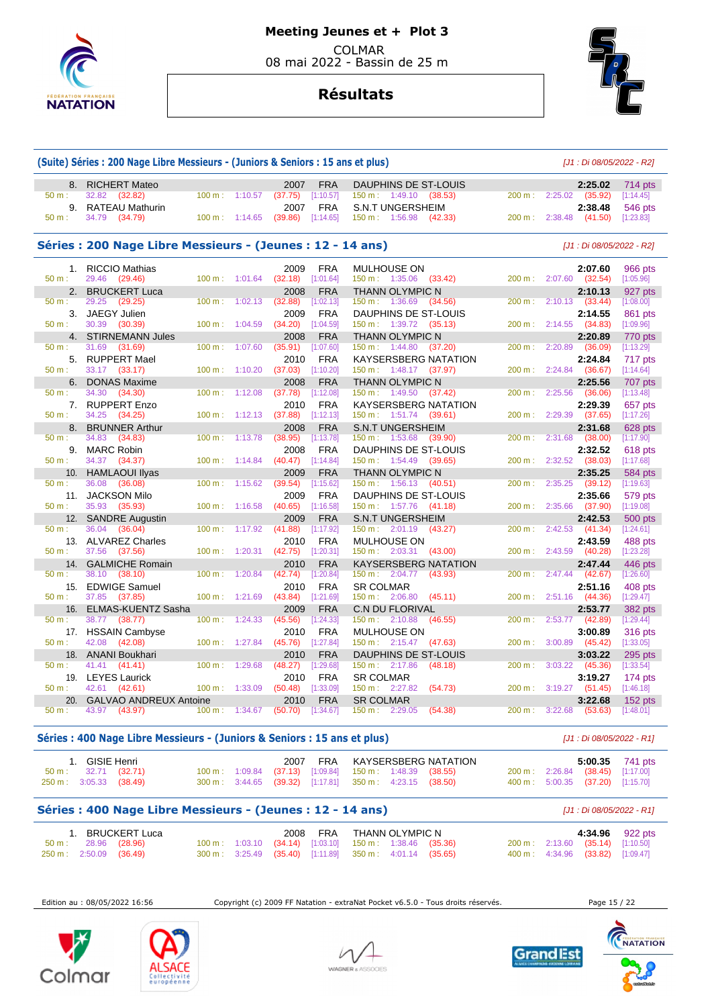

# **Résultats**



| 8.       | <b>RICHERT Mateo</b>                                       |           |                | 2007    | <b>FRA</b> | DAUPHINS DE ST-LOUIS             |         |        |         | 2:25.02                   | 714 pts   |
|----------|------------------------------------------------------------|-----------|----------------|---------|------------|----------------------------------|---------|--------|---------|---------------------------|-----------|
| 50 m:    | 32.82<br>(32.82)                                           | 100 m:    | 1:10.57        | (37.75) | [1:10.57]  | 150 m: 1:49.10 (38.53)           |         | 200 m: | 2:25.02 | (35.92)                   | [1:14.45] |
| 9.       | <b>RATEAU Mathurin</b>                                     |           |                | 2007    | <b>FRA</b> | <b>S.N.T UNGERSHEIM</b>          |         |        |         | 2:38.48                   | 546 pts   |
| 50 m:    | 34.79<br>(34.79)                                           | 100 m:    | 1:14.65        | (39.86) | [1:14.65]  | 150 m: 1:56.98                   | (42.33) | 200 m: | 2:38.48 | (41.50)                   | [1:23.83] |
|          | Séries : 200 Nage Libre Messieurs - (Jeunes : 12 - 14 ans) |           |                |         |            |                                  |         |        |         | [J1 : Di 08/05/2022 - R2] |           |
| 1.       | <b>RICCIO Mathias</b>                                      |           |                | 2009    | <b>FRA</b> | MULHOUSE ON                      |         |        |         | 2:07.60                   | 966 pts   |
| 50 m:    | 29.46<br>(29.46)                                           | 100 m:    | 1:01.64        | (32.18) | [1:01.64]  | $150 \text{ m}: 1:35.06$         | (33.42) | 200 m: | 2:07.60 | (32.54)                   | [1:05.96] |
| 2.       | <b>BRUCKERT Luca</b>                                       |           |                | 2008    | <b>FRA</b> | THANN OLYMPIC N                  |         |        |         | 2:10.13                   | 927 pts   |
| $50 m$ : | 29.25<br>(29.25)                                           | $100 m$ : | 1:02.13        | (32.88) | [1:02.13]  | $150 \text{ m}: 1:36.69$         | (34.56) | 200 m: | 2:10.13 | (33.44)                   | [1:08.00] |
| 3.       | <b>JAEGY Julien</b>                                        |           |                | 2009    | <b>FRA</b> | DAUPHINS DE ST-LOUIS             |         |        |         | 2:14.55                   | 861 pts   |
| 50 m:    | 30.39<br>(30.39)                                           | 100 m:    | 1:04.59        | (34.20) | [1:04.59]  | 150 m: 1:39.72                   | (35.13) | 200 m: | 2:14.55 | (34.83)                   | [1:09.96] |
| 4.       | <b>STIRNEMANN Jules</b>                                    |           |                | 2008    | <b>FRA</b> | THANN OLYMPIC N                  |         |        |         | 2:20.89                   | 770 pts   |
| 50 m:    | 31.69<br>(31.69)                                           | 100 m:    | 1:07.60        | (35.91) | [1:07.60]  | 150 m: 1:44.80                   | (37.20) | 200 m: | 2:20.89 | (36.09)                   | [1:13.29] |
| 5.       | <b>RUPPERT Mael</b>                                        |           |                | 2010    | <b>FRA</b> | <b>KAYSERSBERG NATATION</b>      |         |        |         | 2:24.84                   | 717 pts   |
| 50 m:    | 33.17 (33.17)                                              | 100 m:    | 1:10.20        | (37.03) | [1:10.20]  | 150 m: 1:48.17 (37.97)           |         | 200 m: | 2:24.84 | (36.67)                   | [1:14.64] |
| 6.       | <b>DONAS Maxime</b>                                        |           |                | 2008    | <b>FRA</b> | THANN OLYMPIC N                  |         |        |         | 2:25.56                   | 707 pts   |
| 50 m:    | 34.30<br>(34.30)                                           | 100 m:    | 1:12.08        | (37.78) | [1:12.08]  | 150 m: 1:49.50                   | (37.42) | 200 m: | 2:25.56 | (36.06)                   | [1:13.48] |
| 7.       | <b>RUPPERT Enzo</b>                                        |           |                | 2010    | <b>FRA</b> | <b>KAYSERSBERG NATATION</b>      |         |        |         | 2:29.39                   | 657 pts   |
| 50 m:    | 34.25 (34.25)                                              | 100 m:    | 1:12.13        | (37.88) | [1:12.13]  | 150 m: 1:51.74 (39.61)           |         | 200 m: | 2:29.39 | (37.65)                   | [1:17.26] |
| 8.       | <b>BRUNNER Arthur</b>                                      |           |                | 2008    | <b>FRA</b> | <b>S.N.T UNGERSHEIM</b>          |         |        |         | 2:31.68                   | 628 pts   |
| 50 m:    | 34.83<br>(34.83)                                           | 100 m:    | 1:13.78        | (38.95) | [1:13.78]  | $150 \text{ m}: 1:53.68$         | (39.90) | 200 m: | 2:31.68 | (38.00)                   | [1:17.90] |
| 9.       | <b>MARC Robin</b>                                          |           |                | 2008    | <b>FRA</b> | DAUPHINS DE ST-LOUIS             |         |        |         | 2:32.52                   | 618 pts   |
| $50 m$ : | 34.37<br>(34.37)                                           | 100 m:    | 1:14.84        | (40.47) | [1:14.84]  | 150 m: 1:54.49                   | (39.65) | 200 m: | 2:32.52 | (38.03)                   | [1:17.68] |
| 10.      | <b>HAMLAOUI Ilyas</b>                                      |           |                | 2009    | <b>FRA</b> | <b>THANN OLYMPIC N</b>           |         |        |         | 2:35.25                   | 584 pts   |
| 50 m:    | 36.08<br>(36.08)                                           | 100 m:    | 1:15.62        | (39.54) | [1:15.62]  | 150 m:<br>1:56.13                | (40.51) | 200 m: | 2:35.25 | (39.12)                   | [1:19.63] |
| 11.      | <b>JACKSON Milo</b>                                        |           |                | 2009    | <b>FRA</b> | DAUPHINS DE ST-LOUIS             |         |        |         | 2:35.66                   | 579 pts   |
| $50 m$ : | 35.93<br>(35.93)                                           | 100 m:    | 1:16.58        | (40.65) | [1:16.58]  | 150 m: 1:57.76                   | (41.18) | 200 m: | 2:35.66 | (37.90)                   | [1:19.08] |
| 12.      | <b>SANDRE Augustin</b>                                     |           |                | 2009    | <b>FRA</b> | <b>S.N.T UNGERSHEIM</b>          |         |        |         | 2:42.53                   | 500 pts   |
| 50 m:    | 36.04<br>(36.04)                                           | 100 m:    | 1:17.92        | (41.88) | [1:17.92]  | $150 \text{ m}: 2:01.19$         | (43.27) | 200 m: | 2:42.53 | (41.34)                   | [1:24.61] |
| 13.      | <b>ALVAREZ Charles</b>                                     |           |                | 2010    | <b>FRA</b> | <b>MULHOUSE ON</b>               |         |        |         | 2:43.59                   | 488 pts   |
| $50 m$ : | 37.56<br>(37.56)                                           | 100 m:    | 1:20.31        | (42.75) | [1:20.31]  | 150 m: 2:03.31 (43.00)           |         | 200 m: | 2:43.59 | (40.28)                   | [1:23.28] |
| 14.      | <b>GALMICHE Romain</b>                                     |           |                | 2010    | <b>FRA</b> | KAYSERSBERG NATATION             |         |        |         | 2:47.44                   | 446 pts   |
| 50 m:    | 38.10<br>(38.10)                                           | 100 m:    | 1:20.84        | (42.74) | [1:20.84]  | 150 m: 2:04.77                   | (43.93) | 200 m: | 2:47.44 | (42.67)                   | [1:26.60] |
| 15.      | <b>EDWIGE Samuel</b>                                       |           |                | 2010    | <b>FRA</b> | <b>SR COLMAR</b>                 |         |        |         | 2:51.16                   | 408 pts   |
| $50 m$ : | 37.85<br>(37.85)                                           | 100 m:    | 1:21.69        | (43.84) | [1:21.69]  | $150 \text{ m}: 2:06.80$ (45.11) |         | 200 m: | 2:51.16 | (44.36)                   | [1:29.47] |
| 16.      | ELMAS-KUENTZ Sasha                                         |           |                | 2009    | <b>FRA</b> | <b>C.N DU FLORIVAL</b>           |         |        |         | 2:53.77                   | 382 pts   |
| 50 m:    | 38.77<br>(38.77)                                           | 100 m:    | 1:24.33        | (45.56) | [1:24.33]  | $150 \text{ m}: 2:10.88$         | (46.55) | 200 m: | 2:53.77 | (42.89)                   | [1:29.44] |
| 17.      | <b>HSSAIN Cambyse</b>                                      |           |                | 2010    | <b>FRA</b> | <b>MULHOUSE ON</b>               |         |        |         | 3:00.89                   | 316 pts   |
| $50 m$ : | 42.08<br>(42.08)                                           | 100 m:    | 1:27.84        | (45.76) | [1:27.84]  | 150 m: 2:15.47                   | (47.63) | 200 m: | 3:00.89 | (45.42)                   | [1:33.05] |
| 18.      | <b>ANANI Boukhari</b>                                      |           |                | 2010    | <b>FRA</b> | <b>DAUPHINS DE ST-LOUIS</b>      |         |        |         | 3:03.22                   | 295 pts   |
| 50 m:    | 41.41<br>(41.41)                                           | 100 m:    | 1:29.68        | (48.27) | [1:29.68]  | 150 m: 2:17.86                   | (48.18) | 200 m: | 3:03.22 | (45.36)                   | [1:33.54] |
| 19.      | <b>LEYES Laurick</b>                                       |           |                | 2010    | <b>FRA</b> | <b>SR COLMAR</b>                 |         |        |         | 3:19.27                   | 174 pts   |
| 50 m:    | 42.61<br>(42.61)                                           | 100 m:    | 1:33.09        | (50.48) | [1:33.09]  | 150 m: 2:27.82                   | (54.73) | 200 m: | 3:19.27 | (51.45)                   | [1:46.18] |
| 20.      | <b>GALVAO ANDREUX Antoine</b>                              |           |                | 2010    | <b>FRA</b> | <b>SR COLMAR</b>                 |         |        |         | 3:22.68                   | $152$ pts |
| 50 m:    | 43.97<br>(43.97)                                           |           | 100 m: 1:34.67 | (50.70) | [1:34.67]  | 150 m: 2:29.05                   | (54.38) | 200 m: | 3:22.68 | (53.63)                   | [1:48.01] |

| 1. GISIE Henri                |                         |  |                                                           |  | 2007 FRA KAYSERSBERG NATATION |  |                                  | 5:00.35 741 pts |
|-------------------------------|-------------------------|--|-----------------------------------------------------------|--|-------------------------------|--|----------------------------------|-----------------|
| $50 \text{ m}: 32.71 (32.71)$ |                         |  | 100 m : 1:09.84 (37.13) [1:09.84] 150 m : 1:48.39 (38.55) |  |                               |  | 200 m: 2:26.84 (38.45) [1:17.00] |                 |
|                               | 250 m : 3:05.33 (38.49) |  | 300 m: 3:44.65 (39.32) [1:17.81] 350 m: 4:23.15 (38.50)   |  |                               |  | 400 m: 5:00.35 (37.20) [1:15.70] |                 |

## **Séries : 400 Nage Libre Messieurs - (Jeunes : 12 - 14 ans)** [J1 : Di 08/05/2022 - R1]

|                         |                               | 1. BRUCKERT Luca |  |  | 2008 FRA THANN OLYMPIC N                                |  |  |                                  | 4:34.96 922 pts |
|-------------------------|-------------------------------|------------------|--|--|---------------------------------------------------------|--|--|----------------------------------|-----------------|
|                         | $50 \text{ m}: 28.96 (28.96)$ |                  |  |  | 100 m: 1:03.10 (34.14) [1:03.10] 150 m: 1:38.46 (35.36) |  |  | 200 m: 2:13.60 (35.14) [1:10.50] |                 |
| 250 m : 2:50.09 (36.49) |                               |                  |  |  | 300 m: 3:25.49 (35.40) [1:11.89] 350 m: 4:01.14 (35.65) |  |  | 400 m: 4:34.96 (33.82) [1:09.47] |                 |

Edition au : 08/05/2022 16:56 Copyright (c) 2009 FF Natation - extraNat Pocket v6.5.0 - Tous droits réservés. Page 15 / 22







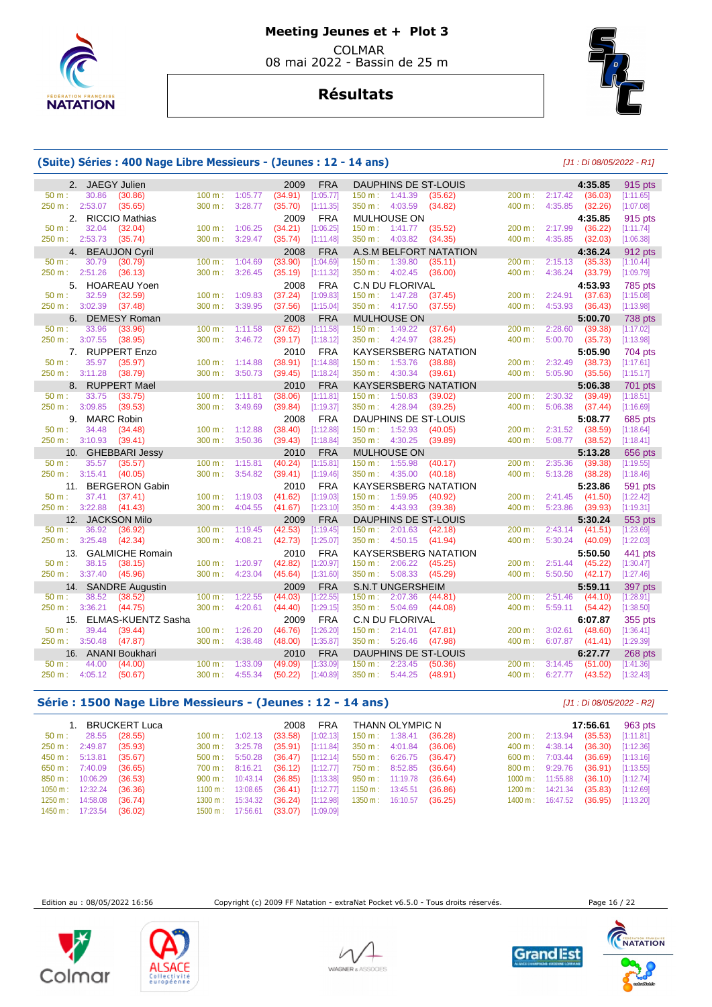



# **Résultats**

## **(Suite) Séries : 400 Nage Libre Messieurs - (Jeunes : 12 - 14 ans)** [J1 : Di 08/05/2022 - R1]

|                | 2. JAEGY Julien        |                        |                   |         | 2009    | <b>FRA</b> |         |                          | <b>DAUPHINS DE ST-LOUIS</b> |                   |                | 4:35.85 | 915 pts   |
|----------------|------------------------|------------------------|-------------------|---------|---------|------------|---------|--------------------------|-----------------------------|-------------------|----------------|---------|-----------|
| $50 m$ :       | 30.86                  | (30.86)                | $100 \text{ m}$ : | 1:05.77 | (34.91) | [1:05.77]  |         | 150 m: 1:41.39           | (35.62)                     |                   | 200 m: 2:17.42 | (36.03) | [1:11.65] |
| 250 m: 2:53.07 |                        | (35.65)                | 300 m:            | 3:28.77 | (35.70) | [1:11.35]  |         | 350 m: 4:03.59           | (34.82)                     | $400 \text{ m}$ : | 4:35.85        | (32.26) | [1:07.08] |
|                |                        | 2. RICCIO Mathias      |                   |         | 2009    | <b>FRA</b> |         | MULHOUSE ON              |                             |                   |                | 4:35.85 | 915 pts   |
| $50 m$ :       | 32.04                  | (32.04)                | 100 m:            | 1:06.25 | (34.21) | [1:06.25]  |         | $150 \text{ m}: 1:41.77$ | (35.52)                     | 200 m:            | 2:17.99        | (36.22) | [1:11.74] |
| 250 m: 2:53.73 |                        | (35.74)                | 300 m:            | 3:29.47 | (35.74) | [1:11.48]  |         | 350 m: 4:03.82           | (34.35)                     | $400 \text{ m}$ : | 4:35.85        | (32.03) | [1:06.38] |
| 4.             |                        | <b>BEAUJON Cyril</b>   |                   |         | 2008    | <b>FRA</b> |         |                          | A.S.M BELFORT NATATION      |                   |                | 4:36.24 | 912 pts   |
| $50 m$ :       | 30.79                  | (30.79)                | 100 m:            | 1:04.69 | (33.90) | [1:04.69]  | 150 m:  | 1:39.80                  | (35.11)                     | 200 m:            | 2:15.13        | (35.33) | [1:10.44] |
| 250 m: 2:51.26 |                        | (36.13)                | 300 m:            | 3:26.45 | (35.19) | [1:11.32]  |         | 350 m: 4:02.45           | (36.00)                     | 400 m:            | 4:36.24        | (33.79) | [1:09.79] |
| 5.             |                        | HOAREAU Yoen           |                   |         | 2008    | <b>FRA</b> |         | C.N DU FLORIVAL          |                             |                   |                | 4:53.93 | 785 pts   |
| $50 m$ :       | 32.59                  | (32.59)                | 100 m:            | 1:09.83 | (37.24) | [1:09.83]  | 150 m:  | 1:47.28                  | (37.45)                     | 200 m:            | 2:24.91        | (37.63) | [1:15.08] |
| 250 m:         | 3:02.39                | (37.48)                | 300 m:            | 3:39.95 | (37.56) | [1:15.04]  |         | 350 m: 4:17.50           | (37.55)                     | 400 m:            | 4:53.93        | (36.43) | [1:13.98] |
| 6.             |                        | <b>DEMESY Roman</b>    |                   |         | 2008    | <b>FRA</b> |         | <b>MULHOUSE ON</b>       |                             |                   |                | 5:00.70 | 738 pts   |
| $50 m$ :       | 33.96                  | (33.96)                | 100 m:            | 1:11.58 | (37.62) | [1:11.58]  | 150 m:  | 1:49.22                  | (37.64)                     | 200 m:            | 2:28.60        | (39.38) | [1:17.02] |
| 250 m: 3:07.55 |                        | (38.95)                | 300 m:            | 3:46.72 | (39.17) | [1:18.12]  |         | 350 m: 4:24.97           | (38.25)                     | 400 m:            | 5:00.70        | (35.73) | [1:13.98] |
|                |                        | 7. RUPPERT Enzo        |                   |         | 2010    | <b>FRA</b> |         |                          | <b>KAYSERSBERG NATATION</b> |                   |                | 5:05.90 | 704 pts   |
| $50 m$ :       | 35.97                  | (35.97)                | 100 m:            | 1:14.88 | (38.91) | [1:14.88]  | 150 m:  | 1:53.76                  | (38.88)                     | 200 m:            | 2:32.49        | (38.73) | [1:17.61] |
| 250 m: 3:11.28 |                        | (38.79)                | 300 m:            | 3:50.73 | (39.45) | [1:18.24]  |         | 350 m: 4:30.34           | (39.61)                     | 400 m:            | 5:05.90        | (35.56) | [1:15.17] |
| 8.             |                        | <b>RUPPERT Mael</b>    |                   |         | 2010    | <b>FRA</b> |         |                          | KAYSERSBERG NATATION        |                   |                | 5:06.38 | 701 pts   |
| 50 m:          | 33.75                  | (33.75)                | 100 m:            | 1:11.81 | (38.06) | [1:11.81]  | 150 m:  | 1:50.83                  | (39.02)                     | 200 m:            | 2:30.32        | (39.49) | [1:18.51] |
| 250 m:         | 3:09.85                | (39.53)                | 300 m:            | 3:49.69 | (39.84) | [1:19.37]  |         | 350 m: 4:28.94           | (39.25)                     | 400 m:            | 5:06.38        | (37.44) | [1:16.69] |
| 9.             | <b>MARC Robin</b>      |                        |                   |         | 2008    | <b>FRA</b> |         |                          | DAUPHINS DE ST-LOUIS        |                   |                | 5:08.77 | 685 pts   |
| $50 m$ :       | 34.48                  | (34.48)                | 100 m:            | 1:12.88 | (38.40) | [1:12.88]  | 150 m:  | 1:52.93                  | (40.05)                     | 200 m:            | 2:31.52        | (38.59) | [1:18.64] |
| 250 m: 3:10.93 |                        | (39.41)                | 300 m:            | 3:50.36 | (39.43) | [1:18.84]  |         | 350 m: 4:30.25           | (39.89)                     | 400 m:            | 5:08.77        | (38.52) | [1:18.41] |
| 10.            |                        | <b>GHEBBARI Jessy</b>  |                   |         | 2010    | <b>FRA</b> |         | <b>MULHOUSE ON</b>       |                             |                   |                | 5:13.28 | 656 pts   |
| 50 m:          | 35.57                  | (35.57)                | 100 m:            | 1:15.81 | (40.24) | [1:15.81]  | 150 m:  | 1:55.98                  | (40.17)                     | 200 m:            | 2:35.36        | (39.38) | [1:19.55] |
|                | 250 m: 3:15.41 (40.05) |                        | 300 m:            | 3:54.82 | (39.41) | [1:19.46]  |         | 350 m: 4:35.00           | (40.18)                     | 400 m:            | 5:13.28        | (38.28) | [1:18.46] |
|                |                        | 11. BERGERON Gabin     |                   |         | 2010    | <b>FRA</b> |         |                          | <b>KAYSERSBERG NATATION</b> |                   |                | 5:23.86 | 591 pts   |
| $50 m$ :       | 37.41                  | (37.41)                | 100 m:            | 1:19.03 | (41.62) | [1:19.03]  | 150 m:  | 1:59.95                  | (40.92)                     |                   | 200 m: 2:41.45 | (41.50) | [1:22.42] |
| 250 m: 3:22.88 |                        | (41.43)                | 300 m:            | 4:04.55 | (41.67) | [1:23.10]  |         | 350 m: 4:43.93           | (39.38)                     | 400 m:            | 5:23.86        | (39.93) | [1:19.31] |
|                |                        | 12. JACKSON Milo       |                   |         | 2009    | <b>FRA</b> |         |                          | DAUPHINS DE ST-LOUIS        |                   |                | 5:30.24 | 553 pts   |
| $50 m$ :       | 36.92                  | (36.92)                | 100 m:            | 1:19.45 | (42.53) | [1:19.45]  |         | 150 m: 2:01.63           | (42.18)                     | 200 m:            | 2:43.14        | (41.51) | [1:23.69] |
| 250 m:         | 3:25.48                | (42.34)                | 300 m:            | 4:08.21 | (42.73) | [1:25.07]  |         | 350 m: 4:50.15           | (41.94)                     | 400 m:            | 5:30.24        | (40.09) | [1:22.03] |
| 13.            |                        | <b>GALMICHE Romain</b> |                   |         | 2010    | <b>FRA</b> |         |                          | <b>KAYSERSBERG NATATION</b> |                   |                | 5:50.50 | 441 pts   |
| 50 m:          | 38.15                  | (38.15)                | 100 m:            | 1:20.97 | (42.82) | [1:20.97]  |         | 150 m: 2:06.22           | (45.25)                     | 200 m:            | 2:51.44        | (45.22) | [1:30.47] |
| 250 m:         | 3:37.40                | (45.96)                | $300 \text{ m}$ : | 4:23.04 | (45.64) | [1:31.60]  |         | 350 m : 5:08.33          | (45.29)                     | 400 m:            | 5:50.50        | (42.17) | [1:27.46] |
|                |                        | 14. SANDRE Augustin    |                   |         | 2009    | <b>FRA</b> |         | <b>S.N.T UNGERSHEIM</b>  |                             |                   |                | 5:59.11 | 397 pts   |
| 50 m:          | 38.52                  | (38.52)                | 100 m:            | 1:22.55 | (44.03) | [1:22.55]  |         | $150 \text{ m}: 2:07.36$ | (44.81)                     | 200 m:            | 2:51.46        | (44.10) | [1:28.91] |
| 250 m:         | 3:36.21                | (44.75)                | 300 m:            | 4:20.61 | (44.40) | [1:29.15]  | 350 m:  | 5:04.69                  | (44.08)                     | 400 m:            | 5:59.11        | (54.42) | [1:38.50] |
| 15.            |                        | ELMAS-KUENTZ Sasha     |                   |         | 2009    | <b>FRA</b> |         | <b>C.N DU FLORIVAL</b>   |                             |                   |                | 6:07.87 | 355 pts   |
| 50 m:          | 39.44                  | (39.44)                | 100 m:            | 1:26.20 | (46.76) | [1:26.20]  |         | $150 \text{ m}: 2:14.01$ | (47.81)                     | 200 m:            | 3:02.61        | (48.60) | [1:36.41] |
| 250 m:         | 3:50.48                | (47.87)                | 300 m:            | 4:38.48 | (48.00) | [1:35.87]  |         | 350 m: 5:26.46           | (47.98)                     |                   | 400 m: 6:07.87 | (41.41) | [1:29.39] |
|                |                        | 16. ANANI Boukhari     |                   |         | 2010    | <b>FRA</b> |         |                          | DAUPHINS DE ST-LOUIS        |                   |                | 6:27.77 | 268 pts   |
| $50 m$ :       | 44.00                  | (44.00)                | 100 m:            | 1:33.09 | (49.09) | [1:33.09]  |         | 150 m: 2:23.45           | (50.36)                     | 200 m:            | 3:14.45        | (51.00) | [1:41.36] |
| 250 m:         | 4:05.12                | (50.67)                | 300 m:            | 4:55.34 | (50.22) | [1:40.89]  | 350 m : | 5:44.25                  | (48.91)                     | 400 m:            | 6:27.77        | (43.52) | [1:32.43] |

## **Série : 1500 Nage Libre Messieurs - (Jeunes : 12 - 14 ans)** [J1 : Di 08/05/2022 - R2]

|                            |                               | BRUCKERT Luca |                                    | 2008 FRA THANN OLYMPIC N                                             |  |         |                                    | <b>17:56.61</b> 963 pts |
|----------------------------|-------------------------------|---------------|------------------------------------|----------------------------------------------------------------------|--|---------|------------------------------------|-------------------------|
|                            | $50 \text{ m}: 28.55 (28.55)$ |               |                                    | $100 \text{ m}$ : $1:02.13$ (33.58) [1:02.13] 150 m: 1:38.41 (36.28) |  |         | 200 m: 2:13.94 (35.53) [1:11.81]   |                         |
|                            | 250 m : 2:49.87 (35.93)       |               |                                    | 300 m : 3:25.78 (35.91) [1:11.84] 350 m : 4:01.84 (36.06)            |  |         | 400 m: 4:38.14 (36.30) [1:12.36]   |                         |
| 450 m : 5:13.81 (35.67)    |                               |               |                                    | 500 m : 5:50.28 (36.47) [1:12.14] 550 m : 6:26.75 (36.47)            |  |         | 600 m: 7:03.44 (36.69) [1:13.16]   |                         |
| 650 m : 7:40.09 (36.65)    |                               |               |                                    | 700 m: 8:16.21 (36.12) [1:12.77] 750 m: 8:52.85                      |  | (36.64) | 800 m: 9:29.76 (36.91) [1:13.55]   |                         |
| 850 m: 10:06.29 (36.53)    |                               |               |                                    | 900 m: 10:43.14 (36.85) [1:13.38] 950 m: 11:19.78                    |  | (36.64) | 1000 m: 11:55.88 (36.10) [1:12.74] |                         |
|                            | 1050 m: 12:32.24 (36.36)      |               |                                    | 1100 m: 13:08.65 (36.41) [1:12.77] 1150 m: 13:45.51                  |  | (36.86) | 1200 m: 14:21.34 (35.83) [1:12.69] |                         |
| $1250 \text{ m}: 14:58.08$ |                               | (36.74)       |                                    | 1300 m: 15:34.32 (36.24) [1:12.98] 1350 m: 16:10.57 (36.25)          |  |         | 1400 m: 16:47.52 (36.95) [1:13.20] |                         |
| 1450 m: 17:23.54 (36.02)   |                               |               | 1500 m: 17:56.61 (33.07) [1:09.09] |                                                                      |  |         |                                    |                         |

Edition au : 08/05/2022 16:56 Copyright (c) 2009 FF Natation - extraNat Pocket v6.5.0 - Tous droits réservés. Page 16 / 22











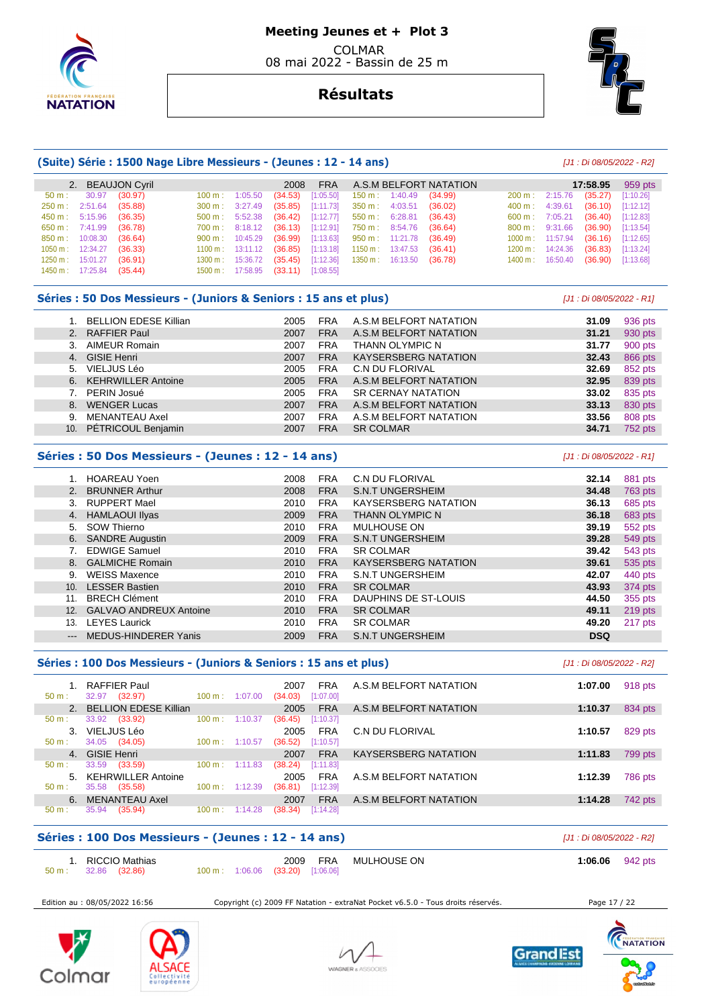

# **Résultats**



|                |          | (Suite) Série : 1500 Nage Libre Messieurs - (Jeunes : 12 - 14 ans) |         |          |         |            |         |                        |                             |         |          |          | [J1 : Di 08/05/2022 - R2] |
|----------------|----------|--------------------------------------------------------------------|---------|----------|---------|------------|---------|------------------------|-----------------------------|---------|----------|----------|---------------------------|
| 2.             |          | <b>BEAUJON Cyril</b>                                               |         |          | 2008    | <b>FRA</b> |         |                        | A.S.M BELFORT NATATION      |         |          | 17:58.95 | 959 pts                   |
| $50 m$ :       | 30.97    | (30.97)                                                            | 100 m:  | 1:05.50  | (34.53) | [1:05.50]  | 150 m:  | 1:40.49                | (34.99)                     | 200 m:  | 2:15.76  | (35.27)  | [1:10.26]                 |
| 250 m:         | 2:51.64  | (35.88)                                                            | 300 m:  | 3:27.49  | (35.85) | [1:11.73]  | 350 m:  | 4:03.51                | (36.02)                     | 400 m:  | 4:39.61  | (36.10)  | [1:12.12]                 |
| 450 m:         | 5:15.96  | (36.35)                                                            | 500 m:  | 5:52.38  | (36.42) | [1:12.77]  | 550 m:  | 6:28.81                | (36.43)                     | 600 m:  | 7:05.21  | (36.40)  | [1:12.83]                 |
| 650 m:         | 7:41.99  | (36.78)                                                            | 700 m:  | 8:18.12  | (36.13) | [1:12.91]  | 750 m : | 8:54.76                | (36.64)                     | 800 m:  | 9:31.66  | (36.90)  | [1:13.54]                 |
| 850 m:         | 10:08.30 | (36.64)                                                            | 900 m:  | 10:45.29 | (36.99) | [1:13.63]  | 950 m:  | 11:21.78               | (36.49)                     | 1000 m: | 11:57.94 | (36.16)  | [1:12.65]                 |
| 1050 m:        | 12:34.27 | (36.33)                                                            | 1100 m: | 13:11.12 | (36.85) | [1:13.18]  | 1150 m: | 13:47.53               | (36.41)                     | 1200 m: | 14:24.36 | (36.83)  | [1:13.24]                 |
| 1250 m:        | 15:01.27 | (36.91)                                                            | 1300 m: | 15:36.72 | (35.45) | [1:12.36]  | 1350 m: | 16:13.50               | (36.78)                     | 1400 m: | 16:50.40 | (36.90)  | [1:13.68]                 |
| 1450 m:        | 17:25.84 | (35.44)                                                            | 1500 m: | 17:58.95 | (33.11) | [1:08.55]  |         |                        |                             |         |          |          |                           |
|                |          | Séries : 50 Dos Messieurs - (Juniors & Seniors : 15 ans et plus)   |         |          |         |            |         |                        |                             |         |          |          | [J1 : Di 08/05/2022 - R1] |
| 1.             |          | <b>BELLION EDESE Killian</b>                                       |         |          | 2005    | <b>FRA</b> |         |                        | A.S.M BELFORT NATATION      |         |          | 31.09    | 936 pts                   |
| 2 <sub>1</sub> |          | <b>RAFFIER Paul</b>                                                |         |          | 2007    | <b>FRA</b> |         |                        | A.S.M BELFORT NATATION      |         |          | 31.21    | 930 pts                   |
| 3.             |          | <b>AIMEUR Romain</b>                                               |         |          | 2007    | <b>FRA</b> |         | THANN OLYMPIC N        |                             |         |          | 31.77    | 900 pts                   |
| 4.             |          | <b>GISIE Henri</b>                                                 |         |          | 2007    | <b>FRA</b> |         |                        | <b>KAYSERSBERG NATATION</b> |         |          | 32.43    | 866 pts                   |
| 5.             |          | VIELJUS Léo                                                        |         |          | 2005    | <b>FRA</b> |         | <b>C.N DU FLORIVAL</b> |                             |         |          | 32.69    | 852 pts                   |
| 6.             |          | <b>KEHRWILLER Antoine</b>                                          |         |          | 2005    | <b>FRA</b> |         |                        | A.S.M BELFORT NATATION      |         |          | 32.95    | 839 pts                   |

| Séries : 50 Dos Messieurs - (Jeunes : 12 - 14 ans) |      |            |                           | [J1 : Di 08/05/2022 - R1] |                |
|----------------------------------------------------|------|------------|---------------------------|---------------------------|----------------|
|                                                    |      |            |                           |                           |                |
| 10. PÉTRICOUL Benjamin                             | 2007 | <b>FRA</b> | <b>SR COLMAR</b>          | 34.71                     | 752 pts        |
| 9. MENANTEAU Axel                                  | 2007 | <b>FRA</b> | A.S.M BELFORT NATATION    | 33.56                     | 808 pts        |
| 8. WENGER Lucas                                    | 2007 | <b>FRA</b> | A.S.M BELFORT NATATION    | 33.13                     | 830 pts        |
| 7. PERIN Josué                                     | 2005 | <b>FRA</b> | <b>SR CERNAY NATATION</b> | 33.02                     | 835 pts        |
| 6. KEHRWILLER Antoine                              | 2005 | <b>FRA</b> | A.S.M BELFORT NATATION    | 32.95                     | 839 pts        |
| <u>J. VILLJUJ LEU</u>                              | zuuu | <b>INA</b> | <b>U.IN DU FLUNIVAL</b>   | JZ.UJ                     | <b>OUZ DIS</b> |

|          | <b>HOAREAU Yoen</b>           | 2008 | <b>FRA</b> | C.N DU FLORIVAL             | 32.14      | 881 pts   |
|----------|-------------------------------|------|------------|-----------------------------|------------|-----------|
| 2.       | <b>BRUNNER Arthur</b>         | 2008 | <b>FRA</b> | <b>S.N.T UNGERSHEIM</b>     | 34.48      | 763 pts   |
| 3.       | <b>RUPPERT Mael</b>           | 2010 | <b>FRA</b> | <b>KAYSERSBERG NATATION</b> | 36.13      | 685 pts   |
| 4.       | <b>HAMLAOUI Ilyas</b>         | 2009 | <b>FRA</b> | THANN OLYMPIC N             | 36.18      | 683 pts   |
| 5.       | SOW Thierno                   | 2010 | <b>FRA</b> | <b>MULHOUSE ON</b>          | 39.19      | 552 pts   |
| 6.       | <b>SANDRE Augustin</b>        | 2009 | <b>FRA</b> | <b>S.N.T UNGERSHEIM</b>     | 39.28      | 549 pts   |
|          | <b>EDWIGE Samuel</b>          | 2010 | <b>FRA</b> | <b>SR COLMAR</b>            | 39.42      | 543 pts   |
|          | 8. GALMICHE Romain            | 2010 | <b>FRA</b> | <b>KAYSERSBERG NATATION</b> | 39.61      | 535 pts   |
| 9.       | <b>WEISS Maxence</b>          | 2010 | <b>FRA</b> | <b>S.N.T UNGERSHEIM</b>     | 42.07      | 440 pts   |
| 10.      | <b>LESSER Bastien</b>         | 2010 | <b>FRA</b> | <b>SR COLMAR</b>            | 43.93      | 374 pts   |
| 11.      | <b>BRECH Clément</b>          | 2010 | <b>FRA</b> | DAUPHINS DE ST-LOUIS        | 44.50      | 355 pts   |
| 12.      | <b>GALVAO ANDREUX Antoine</b> | 2010 | <b>FRA</b> | <b>SR COLMAR</b>            | 49.11      | $219$ pts |
| 13.      | <b>LEYES Laurick</b>          | 2010 | <b>FRA</b> | <b>SR COLMAR</b>            | 49.20      | 217 pts   |
| $\cdots$ | <b>MEDUS-HINDERER Yanis</b>   | 2009 | <b>FRA</b> | <b>S.N.T UNGERSHEIM</b>     | <b>DSQ</b> |           |

|                     | Séries : 100 Dos Messieurs - (Juniors & Seniors : 15 ans et plus) |                   |         |                                            |                             | [J1 : Di 08/05/2022 - R2] |
|---------------------|-------------------------------------------------------------------|-------------------|---------|--------------------------------------------|-----------------------------|---------------------------|
|                     | <b>RAFFIER Paul</b>                                               |                   |         | <b>FRA</b><br>2007                         | A.S.M BELFORT NATATION      | 918 pts<br>1:07.00        |
| $50 m$ :            | 32.97<br>(32.97)<br>2. BELLION EDESE Killian                      | $100 \text{ m}$ : | 1:07.00 | [1:07.00]<br>(34.03)<br><b>FRA</b><br>2005 | A.S.M BELFORT NATATION      | 834 pts<br>1:10.37        |
| $50 m$ :<br>$3_{-}$ | 33.92<br>(33.92)<br>VIELJUS Léo                                   | $100 \text{ m}$ : | 1:10.37 | [1:10.37]<br>(36.45)<br><b>FRA</b><br>2005 | C.N DU FLORIVAL             | 829 pts<br>1:10.57        |
| $50 m$ :            | (34.05)<br>34.05<br>4. GISIE Henri                                | 100 m:            | 1:10.57 | (36.52)<br>[1:10.57]<br><b>FRA</b><br>2007 | <b>KAYSERSBERG NATATION</b> | 1:11.83<br>799 pts        |
| $50 m$ :            | (33.59)<br>33.59<br>5. KEHRWILLER Antoine                         | $100 \text{ m}$ : | 1:11.83 | (38.24)<br>[1:11.83]<br><b>FRA</b><br>2005 | A.S.M BELFORT NATATION      | 1:12.39<br>786 pts        |
| $50 m$ :<br>6.      | 35.58<br>(35.58)<br>MENANTEAU Axel                                | $100 \text{ m}$ : | 1:12.39 | (36.81)<br>[1:12.39]<br><b>FRA</b><br>2007 | A.S.M BELFORT NATATION      | 1:14.28<br>742 pts        |
| $50 m$ :            | 35.94<br>(35.94)                                                  | $100 \text{ m}$ : | 1:14.28 | (38.34)<br>[1:14.28]                       |                             |                           |

|        | Séries : 100 Dos Messieurs - (Jeunes : 12 - 14 ans)<br>[J1 : Di 08/05/2022 - R2] |  |  |                                          |     |             |                           |  |  |  |
|--------|----------------------------------------------------------------------------------|--|--|------------------------------------------|-----|-------------|---------------------------|--|--|--|
| 50 m : | 1. RICCIO Mathias<br>32.86 (32.86)                                               |  |  | 2009<br>100 m: 1:06.06 (33.20) [1:06.06] | FRA | MULHOUSE ON | 1:06.06 $942 \text{ pts}$ |  |  |  |

Edition au : 08/05/2022 16:56 Copyright (c) 2009 FF Natation - extraNat Pocket v6.5.0 - Tous droits réservés. Page 17 / 22







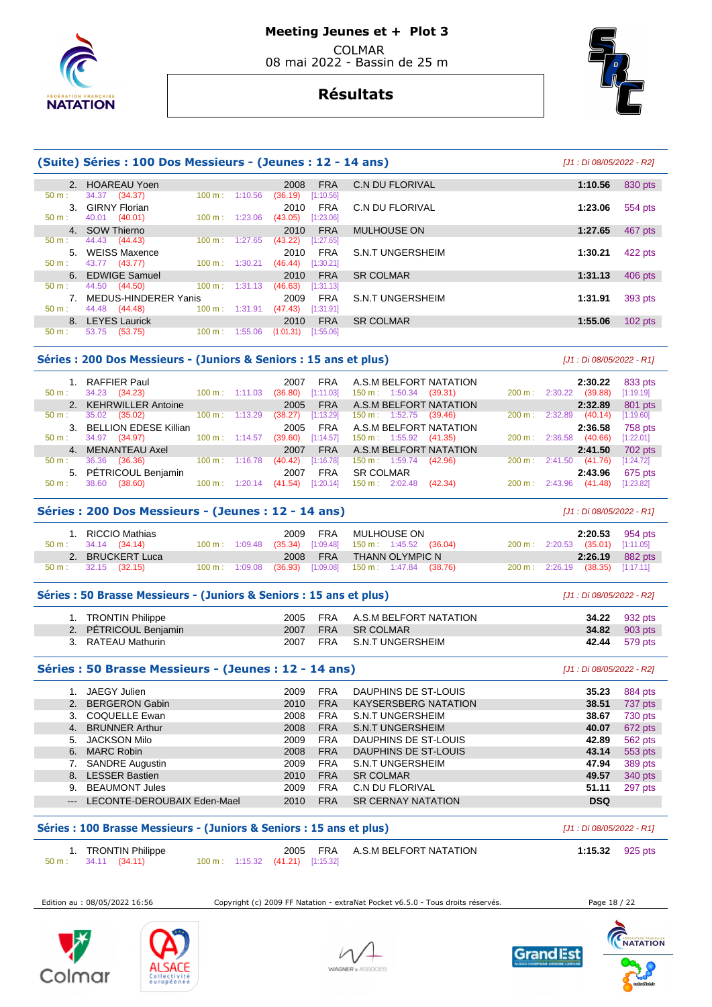

# **Résultats**



|               | (Suite) Séries : 100 Dos Messieurs - (Jeunes : 12 - 14 ans)<br>[J1 : Di 08/05/2022 - R2] |                           |                      |            |                  |                      |  |  |  |  |  |  |
|---------------|------------------------------------------------------------------------------------------|---------------------------|----------------------|------------|------------------|----------------------|--|--|--|--|--|--|
|               | 2. HOAREAU Yoen                                                                          |                           | 2008                 | <b>FRA</b> | C.N DU FLORIVAL  | 1:10.56<br>830 pts   |  |  |  |  |  |  |
| $50 m$ :      | 34.37 (34.37)                                                                            | $100 \text{ m}$ :         | 1:10.56<br>(36.19)   | [1:10.56]  |                  |                      |  |  |  |  |  |  |
| $\mathcal{R}$ | <b>GIRNY Florian</b>                                                                     |                           | 2010                 | <b>FRA</b> | C.N DU FLORIVAL  | 1:23.06<br>554 pts   |  |  |  |  |  |  |
| $50 m$ :      | 40.01 (40.01)                                                                            | $100 \text{ m}$ : 1:23.06 | (43.05)              | [1:23.06]  |                  |                      |  |  |  |  |  |  |
|               | 4. SOW Thierno                                                                           |                           | 2010                 | <b>FRA</b> | MULHOUSE ON      | 1:27.65<br>467 pts   |  |  |  |  |  |  |
| 50 m:         | 44.43 (44.43)                                                                            | $100 \text{ m}$ :         | (43.22)<br>1:27.65   | [1:27.65]  |                  |                      |  |  |  |  |  |  |
| $5 -$         | <b>WEISS Maxence</b>                                                                     |                           | 2010                 | <b>FRA</b> | S.N.T UNGERSHEIM | 1:30.21<br>422 pts   |  |  |  |  |  |  |
| $50 m$ :      | 43.77 (43.77)                                                                            | $100 \text{ m}: 1:30.21$  | (46.44)              | [1:30.21]  |                  |                      |  |  |  |  |  |  |
|               | 6. EDWIGE Samuel                                                                         |                           | 2010                 | <b>FRA</b> | <b>SR COLMAR</b> | 406 pts<br>1:31.13   |  |  |  |  |  |  |
| $50 m$ :      | 44.50 (44.50)                                                                            | $100 \text{ m}: 1:31.13$  | (46.63)              | [1:31.13]  |                  |                      |  |  |  |  |  |  |
| $7^{\circ}$   | MEDUS-HINDERER Yanis                                                                     |                           | 2009                 | <b>FRA</b> | S.N.T UNGERSHEIM | 1:31.91<br>393 pts   |  |  |  |  |  |  |
| $50 m$ :      | 44.48 (44.48)                                                                            | $100 \text{ m}: 1:31.91$  | (47.43)              | [1:31.91]  |                  |                      |  |  |  |  |  |  |
|               | 8. LEYES Laurick                                                                         |                           | 2010                 | <b>FRA</b> | <b>SR COLMAR</b> | 1:55.06<br>$102$ pts |  |  |  |  |  |  |
| $50 m$ :      | 53.75<br>(53.75)                                                                         | 100 m:                    | 1:55.06<br>(1:01.31) | [1:55.06]  |                  |                      |  |  |  |  |  |  |

#### Séries : 200 Dos Messieurs - (Juniors & Seniors : 15 ans et plus) *[J1 : Di 08/05/2022 - R1]*

| 50 m :           | 1. RAFFIER Paul<br>34.23<br>(34.23) | $100 \text{ m}: 1:11.03$ |         | 2007<br>(36.80) | <b>FRA</b><br>[1:11.03] | A.S.M BELFORT NATATION<br>$150 \text{ m}: 1:50.34$ | (39.31) | $200 \text{ m}$ : | 2:30.22 | 2:30.22<br>(39.88) | 833 pts<br>[1:19.19] |
|------------------|-------------------------------------|--------------------------|---------|-----------------|-------------------------|----------------------------------------------------|---------|-------------------|---------|--------------------|----------------------|
|                  | 2. KEHRWILLER Antoine               |                          |         | 2005            | <b>FRA</b>              | A.S.M BELFORT NATATION                             |         |                   |         | 2:32.89            | 801 pts              |
| $50 \text{ m}$ : | 35.02<br>(35.02)                    | $100 \text{ m}$ :        | 1:13.29 | (38.27)         | [1:13.29]               | $150 \text{ m}: 1:52.75$                           | (39.46) | 200 m :           | 2:32.89 | (40.14)            | [1:19.60]            |
|                  | 3. BELLION EDESE Killian            |                          |         | 2005            | <b>FRA</b>              | A.S.M BELFORT NATATION                             |         |                   |         | 2:36.58            | 758 pts              |
| $50 \text{ m}$ : | 34.97 (34.97)                       | $100 \text{ m}: 1:14.57$ |         | (39.60)         | [1:14.57]               | $150 \text{ m}: 1:55.92$                           | (41.35) | 200 m:            | 2:36.58 | (40.66)            | [1:22.01]            |
|                  | 4. MENANTEAU Axel                   |                          |         | 2007            | <b>FRA</b>              | A.S.M BELFORT NATATION                             |         |                   |         | 2:41.50            | 702 pts              |
| $50 \text{ m}$ : | 36.36<br>(36.36)                    | $100 \text{ m}$ :        | 1:16.78 | (40.42)         | [1:16.78]               | $150 \text{ m}: 1:59.74$                           | (42.96) | 200 m :           | 2:41.50 | (41.76)            | [1:24.72]            |
|                  | 5. PÉTRICOUL Benjamin               |                          |         | 2007            | <b>FRA</b>              | <b>SR COLMAR</b>                                   |         |                   |         | 2:43.96            | 675 pts              |
| $50 m$ :         | 38.60<br>(38.60)                    | $100 \text{ m}$ :        | 1:20.14 | (41.54)         | [1:20.14]               | $150 \text{ m}: 2:02.48$                           | (42.34) | $200 \text{ m}$ : | 2:43.96 | (41.48)            | [1:23.82]            |

### **Séries : 200 Dos Messieurs - (Jeunes : 12 - 14 ans)** [J1 : Di 08/05/2022 - R1]

| 1. RICCIO Mathias<br>$50 \text{ m}: 34.14 (34.14)$ | FRA<br>2009 | MULHOUSE ON<br>100 m: 1:09.48 (35.34) [1:09.48] 150 m: 1:45.52 (36.04) | $2:20.53$ 954 pts<br>200 m: 2:20.53 (35.01) [1:11.05] |
|----------------------------------------------------|-------------|------------------------------------------------------------------------|-------------------------------------------------------|
| 2. BRUCKERT Luca                                   |             | 2008 FRA THANN OLYMPIC N                                               | 2:26.19 882 pts                                       |
| $50 \text{ m}: 32.15 (32.15)$                      |             | 100 m: 1:09.08 (36.93) [1:09.08] 150 m: 1:47.84 (38.76)                | 200 m: 2:26.19 (38.35) [1:17.11]                      |

## Séries : 50 Brasse Messieurs - (Juniors & Seniors : 15 ans et plus)  $[J1:Di 08/05/2022 - R2]$

| 1. TRONTIN Philippe   |  | 2005 FRA A.S.M BELFORT NATATION | <b>34.22</b> 932 pts |
|-----------------------|--|---------------------------------|----------------------|
| 2. PETRICOUL Benjamin |  | 2007 FRA SR COLMAR              | <b>34.82</b> 903 pts |
| 3. RATEAU Mathurin    |  | 2007 FRA S.N.T UNGERSHEIM       | 42.44 579 pts        |

## **Séries : 50 Brasse Messieurs - (Jeunes : 12 - 14 ans)** [J1 : Di 08/05/2022 - R2]

|    | JAEGY Julien                | 2009 | <b>FRA</b> | DAUPHINS DE ST-LOUIS        | 35.23      | 884 pts |
|----|-----------------------------|------|------------|-----------------------------|------------|---------|
|    | 2. BERGERON Gabin           | 2010 | <b>FRA</b> | <b>KAYSERSBERG NATATION</b> | 38.51      | 737 pts |
|    | 3. COQUELLE Ewan            | 2008 | <b>FRA</b> | <b>S.N.T UNGERSHEIM</b>     | 38.67      | 730 pts |
|    | 4. BRUNNER Arthur           | 2008 | <b>FRA</b> | <b>S.N.T UNGERSHEIM</b>     | 40.07      | 672 pts |
|    | 5. JACKSON Milo             | 2009 | <b>FRA</b> | DAUPHINS DE ST-LOUIS        | 42.89      | 562 pts |
|    | 6. MARC Robin               | 2008 | <b>FRA</b> | DAUPHINS DE ST-LOUIS        | 43.14      | 553 pts |
|    | 7. SANDRE Augustin          | 2009 | <b>FRA</b> | <b>S.N.T UNGERSHEIM</b>     | 47.94      | 389 pts |
|    | 8. LESSER Bastien           | 2010 | <b>FRA</b> | <b>SR COLMAR</b>            | 49.57      | 340 pts |
| 9. | <b>BEAUMONT Jules</b>       | 2009 | <b>FRA</b> | C.N DU FLORIVAL             | 51.11      | 297 pts |
|    | LECONTE-DEROUBAIX Eden-Mael | 2010 | <b>FRA</b> | <b>SR CERNAY NATATION</b>   | <b>DSQ</b> |         |
|    |                             |      |            |                             |            |         |

## **Séries : 100 Brasse Messieurs - (Juniors & Seniors : 15 ans et plus)** [J1 : Di 08/05/2022 - R1]

| 1. TRONTIN Philippe           |                                  |  | 2005 FRA A.S.M BELFORT NATATION | 1:15.32 925 pts |  |
|-------------------------------|----------------------------------|--|---------------------------------|-----------------|--|
| $50 \text{ m}: 34.11 (34.11)$ | 100 m: 1:15.32 (41.21) [1:15.32] |  |                                 |                 |  |

Edition au : 08/05/2022 16:56 Copyright (c) 2009 FF Natation - extraNat Pocket v6.5.0 - Tous droits réservés. Page 18 / 22







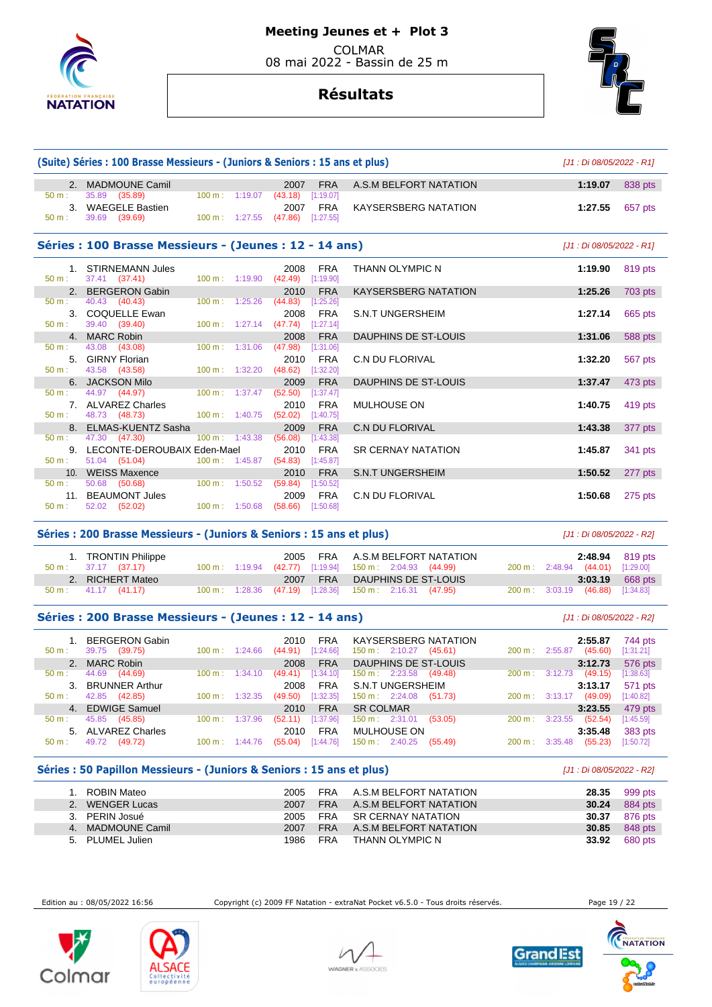

# **Meeting Jeunes et + Plot 3**

 COLMAR 08 mai 2022 - Bassin de 25 m

**Résultats**



|                                                        | (Suite) Séries : 100 Brasse Messieurs - (Juniors & Seniors : 15 ans et plus)<br>[J1 : Di 08/05/2022 - R1] |                           |                                            |                             |                                        |         |  |
|--------------------------------------------------------|-----------------------------------------------------------------------------------------------------------|---------------------------|--------------------------------------------|-----------------------------|----------------------------------------|---------|--|
|                                                        | 2. MADMOUNE Camil                                                                                         |                           | <b>FRA</b><br>2007                         | A.S.M BELFORT NATATION      | 1:19.07                                | 838 pts |  |
| 50 m:                                                  | 35.89 (35.89)                                                                                             | 100 m: 1:19.07            | (43.18)<br>[1:19.07]                       |                             |                                        |         |  |
|                                                        | 3. WAEGELE Bastien                                                                                        |                           | <b>FRA</b><br>2007                         | <b>KAYSERSBERG NATATION</b> | 1:27.55                                | 657 pts |  |
| 50 m:                                                  | 39.69 (39.69)                                                                                             |                           | 100 m: 1:27.55 (47.86) [1:27.55]           |                             |                                        |         |  |
| Séries : 100 Brasse Messieurs - (Jeunes : 12 - 14 ans) | [J1 : Di 08/05/2022 - R1]                                                                                 |                           |                                            |                             |                                        |         |  |
|                                                        | 1. STIRNEMANN Jules                                                                                       |                           | <b>FRA</b><br>2008                         | <b>THANN OLYMPIC N</b>      | 1:19.90                                | 819 pts |  |
| $50 \text{ m}$ :                                       | 37.41 (37.41)                                                                                             | $100 \text{ m}: 1:19.90$  | $(42.49)$ [1:19.90]                        |                             |                                        |         |  |
|                                                        | 2. BERGERON Gabin                                                                                         |                           | <b>FRA</b><br>2010                         | <b>KAYSERSBERG NATATION</b> | 1:25.26                                | 703 pts |  |
| $50 \text{ m}$ :                                       | $40.43$ $(40.43)$                                                                                         | $100 m$ : 1:25.26         | (44.83)<br>[1:25.26]                       |                             |                                        |         |  |
|                                                        | 3. COQUELLE Ewan                                                                                          |                           | 2008<br>FRA                                | <b>S.N.T UNGERSHEIM</b>     | 1:27.14                                | 665 pts |  |
| 50 m:                                                  | 39.40 (39.40)                                                                                             |                           | 100 m: 1:27.14 (47.74) [1:27.14]           |                             |                                        |         |  |
|                                                        | 4. MARC Robin                                                                                             |                           | <b>FRA</b><br>2008                         | DAUPHINS DE ST-LOUIS        | 1:31.06                                | 588 pts |  |
| $50 m$ :                                               | 43.08 (43.08)                                                                                             | $100 m$ : 1:31.06         | (47.98)<br>[1:31.06]                       |                             |                                        |         |  |
| 50 m:                                                  | 5. GIRNY Florian<br>43.58 (43.58)                                                                         | $100 \text{ m}$ : 1:32.20 | <b>FRA</b><br>2010<br>(48.62)<br>[1:32.20] | <b>C.N DU FLORIVAL</b>      | 1:32.20                                | 567 pts |  |
|                                                        | 6. JACKSON Milo                                                                                           |                           | <b>FRA</b><br>2009                         | DAUPHINS DE ST-LOUIS        | 1:37.47                                | 473 pts |  |
| $50 m$ :                                               | 44.97 (44.97)                                                                                             | 100 m: 1:37.47            | (52.50)<br>[1:37.47]                       |                             |                                        |         |  |
|                                                        | 7. ALVAREZ Charles                                                                                        |                           | <b>FRA</b><br>2010                         | <b>MULHOUSE ON</b>          | 1:40.75                                | 419 pts |  |
| 50 m:                                                  | 48.73 (48.73)                                                                                             | 100 m: 1:40.75            | $(52.02)$ [1:40.75]                        |                             |                                        |         |  |
|                                                        | 8. ELMAS-KUENTZ Sasha                                                                                     |                           | 2009<br><b>FRA</b>                         | <b>C.N DU FLORIVAL</b>      | 1:43.38                                | 377 pts |  |
| 50 m:                                                  | 47.30 (47.30)                                                                                             | $100 \text{ m}$ : 1:43.38 | (56.08)<br>[1:43.38]                       |                             |                                        |         |  |
|                                                        | 9. LECONTE-DEROUBAIX Eden-Mael                                                                            |                           | <b>FRA</b><br>2010                         | <b>SR CERNAY NATATION</b>   | 1:45.87                                | 341 pts |  |
| $50 m$ :                                               | 51.04 (51.04)                                                                                             | 100 m: 1:45.87            | (54.83)<br>[1:45.87]                       |                             |                                        |         |  |
|                                                        | 10. WEISS Maxence                                                                                         |                           | <b>FRA</b><br>2010                         | <b>S.N.T UNGERSHEIM</b>     | 1:50.52                                | 277 pts |  |
| 50 m:                                                  | 50.68 (50.68)                                                                                             | $100 m$ : 1:50.52         | (59.84)<br>[1:50.52]                       |                             |                                        |         |  |
|                                                        | 11. BEAUMONT Jules                                                                                        |                           | <b>FRA</b><br>2009                         | <b>C.N DU FLORIVAL</b>      | 1:50.68                                | 275 pts |  |
| $50 m$ :                                               | 52.02 (52.02)                                                                                             | $100 \text{ m}: 1:50.68$  | $(58.66)$ [1:50.68]                        |                             |                                        |         |  |
|                                                        | Cários : 200 Brasso Mossiqurs - (Juniors & Conjors : 15 ans of plus)                                      |                           |                                            |                             | $111 \cdot \text{Di}$ 08/05/2022 - 221 |         |  |

### **Series : 200 Brasse Messieurs - (Juniors & Seniors : 15 ans et plus)** [J1 : Di 08/05/2022 - R2]

| 1. TRONTIN Philippe<br>50 m : 37.17 (37.17)             |  | 2005 FRA A.S.M BELFORT NATATION<br>100 m: 1:19.94 (42.77) [1:19.94] 150 m: 2:04.93 (44.99) | <b>2:48.94</b> 819 pts<br>200 m: 2:48.94 (44.01) [1:29.00] |  |
|---------------------------------------------------------|--|--------------------------------------------------------------------------------------------|------------------------------------------------------------|--|
| 2. RICHERT Mateo<br>$50 \text{ m}: 41.17 \quad (41.17)$ |  | 2007 FRA DAUPHINS DE ST-LOUIS<br>100 m : 1:28.36 (47.19) [1:28.36] 150 m : 2:16.31 (47.95) | $3:03.19$ 668 pts<br>200 m: 3:03.19 (46.88) [1:34.83]      |  |

## **Séries : 200 Brasse Messieurs - (Jeunes : 12 - 14 ans)** [J1 : Di 08/05/2022 - R2]

|          | 1. BERGERON Gabin  |                   |         | 2010<br><b>FRA</b>     | <b>KAYSERSBERG NATATION</b>          |                   | 2:55.87            | 744 pts   |
|----------|--------------------|-------------------|---------|------------------------|--------------------------------------|-------------------|--------------------|-----------|
| $50 m$ : | 39.75<br>(39.75)   | $100 \text{ m}$ : | 1:24.66 | $[1:24.66]$<br>(44.91) | $150 \text{ m}: 2:10.27$<br>(45.61)  | 200 m:            | (45.60)<br>2:55.87 | [1:31.21] |
|          | 2. MARC Robin      |                   |         | <b>FRA</b><br>2008     | DAUPHINS DE ST-LOUIS                 |                   | 3:12.73            | 576 pts   |
| $50 m$ : | (44.69)<br>44.69   | $100 \text{ m}$ : | 1:34.10 | $[1:34.10]$<br>(49.41) | $150 \text{ m}: 2:23.58$<br>(49.48)  | $200 \text{ m}$ : | (49.15)<br>3:12.73 | [1:38.63] |
|          | 3. BRUNNER Arthur  |                   |         | 2008<br><b>FRA</b>     | S.N.T UNGERSHEIM                     |                   | 3:13.17            | 571 pts   |
| $50 m$ : | 42.85<br>(42.85)   | 100 m:            | 1:32.35 | [1:32.35]<br>(49.50)   | $150 \text{ m}: 2:24.08$<br>(51.73)  | 200 m:            | (49.09)<br>3:13.17 | [1:40.82] |
|          | 4. EDWIGE Samuel   |                   |         | <b>FRA</b><br>2010     | <b>SR COLMAR</b>                     |                   | 3:23.55            | 479 pts   |
| $50 m$ : | 45.85<br>(45.85)   | 100 m:            | 1:37.96 | [1:37.96]<br>(52.11)   | $150 \text{ m}: 2:31.01$<br>(53.05)  | 200 m:            | (52.54)<br>3:23.55 | [1:45.59] |
|          | 5. ALVAREZ Charles |                   |         | <b>FRA</b><br>2010     | <b>MULHOUSE ON</b>                   |                   | 3:35.48            | 383 pts   |
| 50 m:    | 49.72<br>(49.72)   | 100 m:            | 1:44.76 | [1:44.76]<br>(55.04)   | $150 \text{ m}$ : 2:40.25<br>(55.49) | 200 m:            | (55.23)<br>3:35.48 | [1:50.72] |

## **Séries : 50 Papillon Messieurs - (Juniors & Seniors : 15 ans et plus)** [J1 : Di 08/05/2022 - R2]

| ROBIN Mateo       | 2005 |            | FRA A.S.M BELFORT NATATION | 28.35 | 999 pts |
|-------------------|------|------------|----------------------------|-------|---------|
| 2. WENGER Lucas   | 2007 |            | FRA A.S.M BELFORT NATATION | 30.24 | 884 pts |
| 3. PERIN Josué    | 2005 |            | FRA SR CERNAY NATATION     | 30.37 | 876 pts |
| 4. MADMOUNE Camil | 2007 | FRA        | A.S.M BELFORT NATATION     | 30.85 | 848 pts |
| 5. PLUMEL Julien  | 1986 | <b>FRA</b> | THANN OLYMPIC N            | 33.92 | 680 pts |

Edition au : 08/05/2022 16:56 Copyright (c) 2009 FF Natation - extraNat Pocket v6.5.0 - Tous droits réservés. Page 19 / 22







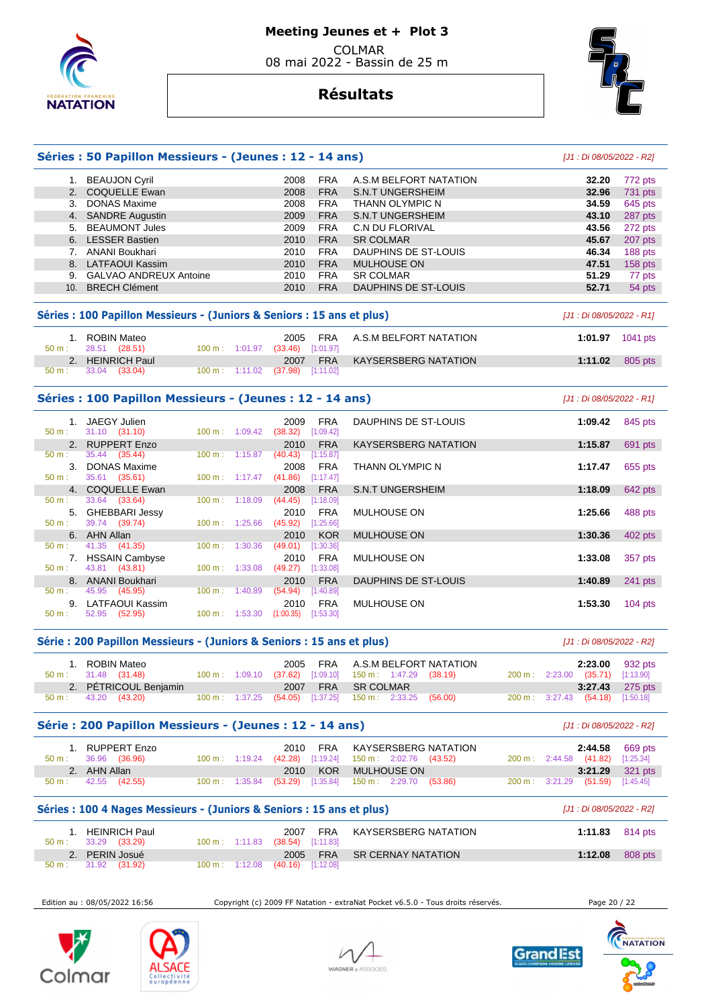

# **Résultats**



## **Séries : 50 Papillon Messieurs - (Jeunes : 12 - 14 ans)** [J1 : Di 08/05/2022 - R2] 1. BEAUJON Cyril 2008 FRA A.S.M BELFORT NATATION **32.20** 772 pts 2. COQUELLE Ewan 2008 FRA S.N.T UNGERSHEIM **32.96** 731 pts 3. DONAS Maxime 2008 FRA THANN OLYMPIC N **34.59** 645 pts 4. SANDRE Augustin 2009 FRA S.N.T UNGERSHEIM **43.10** 287 pts 5. BEAUMONT Jules 2009 FRA C.N DU FLORIVAL **43.56** 272 pts 6. LESSER Bastien **45.67 2010 FRA SR COLMAR <b>45.67 45.67**  7. ANANI Boukhari 2010 FRA DAUPHINS DE ST-LOUIS **46.34** 188 pts 8. LATFAOUI Kassim 2010 FRA MULHOUSE ON **47.51** 158 pts 9. GALVAO ANDREUX Antoine 2010 FRA SR COLMAR **51.29** 77 pts 10. BRECH Clément 2010 FRA DAUPHINS DE ST-LOUIS **52.71** 54 pts **Séries : 100 Papillon Messieurs - (Juniors & Seniors : 15 ans et plus)** [J1 : Di 08/05/2022 - R1] 1. ROBIN Mateo 2005 FRA A.S.M BELFORT NATATION **1:01.97** 1041 pts  $50 m$  : 28.51 (28.51) 2. HEINRICH Paul 2007 FRA KAYSERSBERG NATATION **1:11.02** 805 pts  $(37.98)$ **Séries : 100 Papillon Messieurs - (Jeunes : 12 - 14 ans)** [J1 : Di 08/05/2022 - R1] 1. JAEGY Julien 2009 FRA DAUPHINS DE ST-LOUIS **1:09.42** 845 pts 50 m i 31.10 (31.10) 100 m<br>100 m : 1:09 c.012 (31.100 m i 1:09.42) [1:09.42] [1:09.42] [1:09.42] [1:09.42] [1:09.42] [1:09.42] [1:09.42] 2. RUPPERT Enzo 2010 FRA KAYSERSBERG NATATION **1:15.87** 691 pts **1:15.87** 691 pts 50 m : 35.44 (35.44) 100 m : 1:15.87 (40.43) [1:15.87] 3. DONAS Maxime 2008 FRA THANN OLYMPIC N **1:17.47** 655 pts 50 m : 35.61 (35.61) 100 m : 1:17.47 (41.86) [1:17.47] 4. COQUELLE Ewan 2008 FRA S.N.T UNGERSHEIM **1:18.09** 642 pts 50 m : 33.64 (33.64) 100 m : 1:18.09 (44.45) [1:18.09] 5. GHEBBARI Jessy 2010 FRA MULHOUSE ON **1:25.66** 488 pts  $[1:25.66]$  6. AHN Allan 2010 KOR MULHOUSE ON **1:30.36** 402 pts 50 m : 41.35 (41.35) 100 m : 1:30.36 (49.01) [1:30.36] 7. HSSAIN Cambyse 2010 FRA MULHOUSE ON **1:33.08** 357 pts 50 m : 43.81 (43.81) 100 m : 1:33.08 (49.27) [1:33.08] 8. ANANI Boukhari 2010 FRA DAUPHINS DE ST-LOUIS **1:40.89** 241 pts 45.95 (45.95) 9. LATFAOUI Kassim 2010 FRA MULHOUSE ON **1:53.30** 104 pts 50 m : 52.95 (52.95) 100 m : 1:53.30 (1:00.35) [1:53.30]

## **Série : 200 Papillon Messieurs - (Juniors & Seniors : 15 ans et plus)** [J1 : Di 08/05/2022 - R2]

| 1. ROBIN Mateo<br>$50 \text{ m}: 31.48 (31.48)$ |  | 2005 FRA A.S.M BELFORT NATATION<br>100 m : 1:09.10 (37.62) [1:09.10] 150 m : 1:47.29 (38.19) |  | 200 m: 2:23.00 (35.71) [1:13.90] | $2:23.00$ 932 pts |
|-------------------------------------------------|--|----------------------------------------------------------------------------------------------|--|----------------------------------|-------------------|
| 2. PÉTRICOUL Benjamin                           |  | 2007 FRA SR COLMAR                                                                           |  |                                  | 3:27.43 275 pts   |
| $50 \text{ m}: 43.20 (43.20)$                   |  | 100 m : 1:37.25 (54.05) [1:37.25] 150 m : 2:33.25 (56.00)                                    |  | 200 m: 3:27.43 (54.18) [1:50.18] |                   |

#### **Série : 200 Papillon Messieurs - (Jeunes : 12 - 14 ans)** [J1 : Di 08/05/2022 - R2]

| 1. RUPPERT Enzo               |  | 2010 FRA KAYSERSBERG NATATION                             | $2:44.58$ 669 pts                |                 |
|-------------------------------|--|-----------------------------------------------------------|----------------------------------|-----------------|
| $50 \text{ m}: 36.96 (36.96)$ |  | 100 m : 1:19.24 (42.28) [1:19.24] 150 m : 2:02.76 (43.52) | 200 m: 2:44.58 (41.82) [1:25.34] |                 |
| 2. AHN Allan                  |  | 2010 KOR MULHOUSE ON                                      |                                  | 3:21.29 321 pts |
| $50 \text{ m}: 42.55 (42.55)$ |  | 100 m: 1:35.84 (53.29) [1:35.84] 150 m: 2:29.70 (53.86)   | 200 m: 3:21.29 (51.59) [1:45.45] |                 |

#### **Séries : 100 4 Nages Messieurs - (Juniors & Seniors : 15 ans et plus)** [J1 : Di 08/05/2022 - R2]

| HEINRICH Paul<br>$50 \text{ m}: 33.29 (33.29)$ | 100 m: 1:11.83 (38.54) [1:11.83] | <b>FRA</b><br>2007 | KAYSERSBERG NATATION | 1:11.83 $814 \text{ pts}$ |         |
|------------------------------------------------|----------------------------------|--------------------|----------------------|---------------------------|---------|
| 2. PERIN Josué                                 |                                  | 2005 FRA           | SR CERNAY NATATION   | 1:12.08                   | 808 pts |
| $50 \text{ m}: 31.92 (31.92)$                  | 100 m: 1:12.08 (40.16) [1:12.08] |                    |                      |                           |         |

Edition au : 08/05/2022 16:56 Copyright (c) 2009 FF Natation - extraNat Pocket v6.5.0 - Tous droits réservés. Page 20 / 22









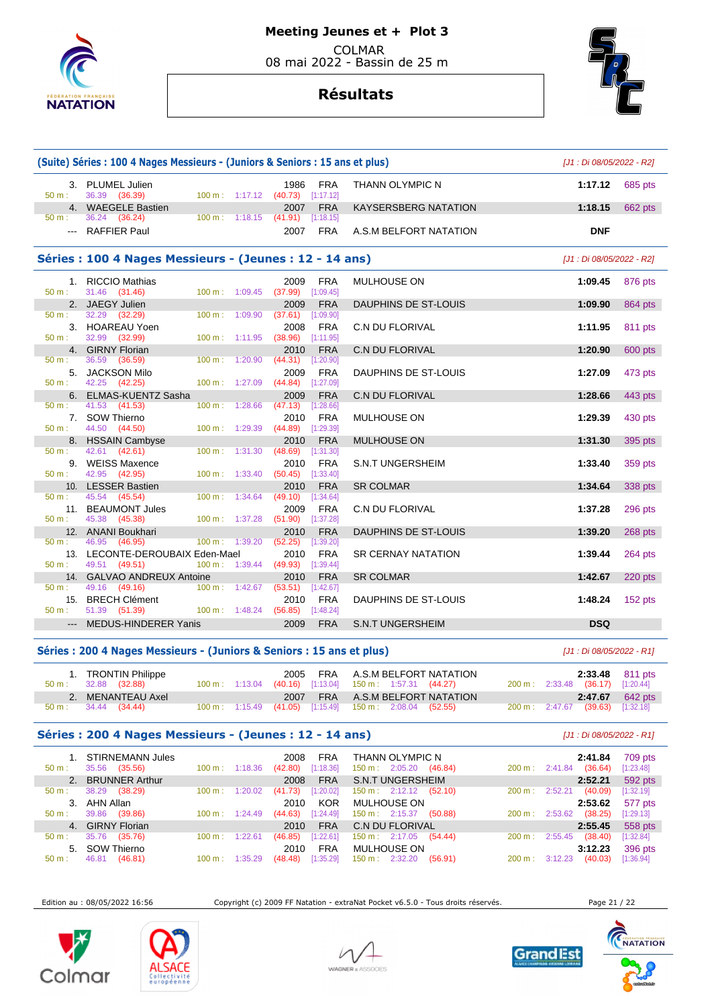

# **Résultats**



|                  | (Suite) Séries : 100 4 Nages Messieurs - (Juniors & Seniors : 15 ans et plus) |                                           |                             |            |           |  |  |  |  |
|------------------|-------------------------------------------------------------------------------|-------------------------------------------|-----------------------------|------------|-----------|--|--|--|--|
| 50 m:            | 3. PLUMEL Julien<br>36.39 (36.39)<br>$100 \text{ m}: 1:17.12$ (40.73)         | 1986<br><b>FRA</b><br>[1:17.12]           | <b>THANN OLYMPIC N</b>      | 1:17.12    | 685 pts   |  |  |  |  |
|                  | 4. WAEGELE Bastien                                                            | <b>FRA</b><br>2007                        | <b>KAYSERSBERG NATATION</b> | 1:18.15    | 662 pts   |  |  |  |  |
| $50 m$ :         | 36.24 (36.24)<br>100 m: 1:18.15                                               | (41.91)<br>[1:18.15]                      |                             |            |           |  |  |  |  |
|                  | --- RAFFIER Paul                                                              | <b>FRA</b><br>2007                        | A.S.M BELFORT NATATION      | <b>DNF</b> |           |  |  |  |  |
|                  | Séries : 100 4 Nages Messieurs - (Jeunes : 12 - 14 ans)                       |                                           | [J1 : Di 08/05/2022 - R2]   |            |           |  |  |  |  |
|                  | 1. RICCIO Mathias                                                             | 2009<br><b>FRA</b>                        | <b>MULHOUSE ON</b>          | 1:09.45    | 876 pts   |  |  |  |  |
| $50 m$ :         | 31.46 (31.46)<br>$100 m$ : $1:09.45$                                          | $(37.99)$ [1:09.45]                       |                             |            |           |  |  |  |  |
|                  | 2. JAEGY Julien                                                               | 2009<br><b>FRA</b>                        | DAUPHINS DE ST-LOUIS        | 1:09.90    | 864 pts   |  |  |  |  |
| 50 m:            | 32.29 (32.29)<br>100 m: 1:09.90<br>3. HOAREAU Yoen                            | $(37.61)$ [1:09.90]<br>2008<br><b>FRA</b> | <b>C.N DU FLORIVAL</b>      | 1:11.95    | 811 pts   |  |  |  |  |
| 50 m:            | 32.99 (32.99)<br>$100 m$ : 1:11.95                                            | $(38.96)$ [1:11.95]                       |                             |            |           |  |  |  |  |
|                  | 4. GIRNY Florian                                                              | 2010<br><b>FRA</b>                        | C.N DU FLORIVAL             | 1:20.90    | 600 pts   |  |  |  |  |
| $50 \text{ m}$ : | 36.59<br>(36.59)<br>$100 \text{ m}: 1:20.90$                                  | (44.31)<br>[1:20.90]                      |                             |            |           |  |  |  |  |
|                  | 5. JACKSON Milo                                                               | 2009<br><b>FRA</b>                        | DAUPHINS DE ST-LOUIS        | 1:27.09    | 473 pts   |  |  |  |  |
| $50 m$ :         | 42.25 (42.25)<br>100 m: 1:27.09                                               | $(44.84)$ [1:27.09]                       |                             |            |           |  |  |  |  |
|                  | 6. ELMAS-KUENTZ Sasha                                                         | <b>FRA</b><br>2009                        | C.N DU FLORIVAL             | 1:28.66    | 443 pts   |  |  |  |  |
| $50 \text{ m}$ : | 41.53 (41.53)<br>100 m: 1:28.66                                               | $(47.13)$ [1:28.66]                       |                             |            |           |  |  |  |  |
| $50 m$ :         | 7. SOW Thierno<br>44.50 (44.50)<br>$100 \text{ m}: 1:29.39$                   | 2010<br><b>FRA</b><br>$(44.89)$ [1:29.39] | MULHOUSE ON                 | 1:29.39    | 430 pts   |  |  |  |  |
|                  | 8. HSSAIN Cambyse                                                             | <b>FRA</b><br>2010                        | <b>MULHOUSE ON</b>          | 1:31.30    | 395 pts   |  |  |  |  |
| $50 m$ :         | 42.61<br>(42.61)<br>$100 \text{ m}: 1:31.30$                                  | $(48.69)$ [1:31.30]                       |                             |            |           |  |  |  |  |
|                  | 9. WEISS Maxence                                                              | 2010<br><b>FRA</b>                        | <b>S.N.T UNGERSHEIM</b>     | 1:33.40    | 359 pts   |  |  |  |  |
| $50 m$ :         | 42.95 (42.95)<br>$100 \text{ m}: 1:33.40$                                     | $(50.45)$ [1:33.40]                       |                             |            |           |  |  |  |  |
|                  | 10. LESSER Bastien                                                            | 2010<br><b>FRA</b>                        | <b>SR COLMAR</b>            | 1:34.64    | 338 pts   |  |  |  |  |
| $50 m$ :         | 45.54 (45.54)<br>$100 \text{ m}: 1:34.64$                                     | (49.10)<br>[1:34.64]                      |                             |            |           |  |  |  |  |
|                  | 11. BEAUMONT Jules                                                            | <b>FRA</b><br>2009                        | C.N DU FLORIVAL             | 1:37.28    | 296 pts   |  |  |  |  |
| 50 m:            | 45.38 (45.38)<br>100 m: 1:37.28<br>12. ANANI Boukhari                         | $(51.90)$ [1:37.28]<br>2010<br><b>FRA</b> | <b>DAUPHINS DE ST-LOUIS</b> | 1:39.20    |           |  |  |  |  |
| 50 m:            | 100 m: 1:39.20<br>46.95<br>(46.95)                                            | (52.25)<br>[1:39.20]                      |                             |            | 268 pts   |  |  |  |  |
|                  | 13. LECONTE-DEROUBAIX Eden-Mael                                               | <b>FRA</b><br>2010                        | <b>SR CERNAY NATATION</b>   | 1:39.44    | 264 pts   |  |  |  |  |
| $50 m$ :         | 49.51 (49.51)<br>$100 m$ : 1:39.44                                            | (49.93)<br>[1:39.44]                      |                             |            |           |  |  |  |  |
|                  | 14. GALVAO ANDREUX Antoine                                                    | <b>FRA</b><br>2010                        | <b>SR COLMAR</b>            | 1:42.67    | $220$ pts |  |  |  |  |
| 50 m:            | 49.16 (49.16)<br>$100 m$ : 1:42.67                                            | $(53.51)$ [1:42.67]                       |                             |            |           |  |  |  |  |
|                  | 15. BRECH Clément                                                             | <b>FRA</b><br>2010                        | DAUPHINS DE ST-LOUIS        | 1:48.24    | 152 pts   |  |  |  |  |
| $50 m$ :         | 51.39 (51.39)<br>$100 \text{ m}$ : 1:48.24                                    | $(56.85)$ [1:48.24]                       |                             |            |           |  |  |  |  |
|                  | --- MEDUS-HINDERER Yanis                                                      | 2009<br><b>FRA</b>                        | <b>S.N.T UNGERSHEIM</b>     | <b>DSQ</b> |           |  |  |  |  |

## **Séries : 200 4 Nages Messieurs - (Juniors & Seniors : 15 ans et plus)** [J1 : Di 08/05/2022 - R1]

| 1. TRONTIN Philippe<br>$50 \text{ m}: 32.88 (32.88)$ |  | 2005 FRA A.S.M BELFORT NATATION<br>100 m: 1:13.04 (40.16) [1:13.04] 150 m: 1:57.31 (44.27) | 2:33.48 811 pts<br>200 m: 2:33.48 (36.17) [1:20.44] |  |
|------------------------------------------------------|--|--------------------------------------------------------------------------------------------|-----------------------------------------------------|--|
| 2. MENANTEAU Axel                                    |  | 2007 FRA A.S.M BELFORT NATATION                                                            | $2:47.67$ 642 pts                                   |  |
| $50 \text{ m}: 34.44 (34.44)$                        |  | 100 m: 1:15.49 (41.05) [1:15.49] 150 m: 2:08.04 (52.55)                                    | 200 m: 2:47.67 (39.63) [1:32.18]                    |  |

## **Séries : 200 4 Nages Messieurs - (Jeunes : 12 - 14 ans)** [J1 : Di 08/05/2022 - R1]

|                  | 1. STIRNEMANN Jules |                   |         | 2008<br><b>FRA</b>   | THANN OLYMPIC N                              |                   | 2:41.84            | 709 pts   |
|------------------|---------------------|-------------------|---------|----------------------|----------------------------------------------|-------------------|--------------------|-----------|
| 50 m:            | 35.56<br>(35.56)    | $100 \text{ m}$ : | 1:18.36 | [1:18.36]<br>(42.80) | $150 \text{ m}: 2:05.20$<br>(46.84)          | $200 \text{ m}$ : | (36.64)<br>2:41.84 | [1:23.48] |
|                  | 2. BRUNNER Arthur   |                   |         | <b>FRA</b><br>2008   | <b>S.N.T UNGERSHEIM</b>                      |                   | 2:52.21            | 592 pts   |
| $50 m$ :         | 38.29<br>(38.29)    | $100 \text{ m}$ : | 1:20.02 | [1:20.02]<br>(41.73) | $150 \text{ m}: \quad 2:12.12 \quad (52.10)$ | $200 \text{ m}$ : | 2:52.21<br>(40.09) | [1:32.19] |
|                  | 3. AHN Allan        |                   |         | <b>KOR</b><br>2010   | MULHOUSE ON                                  |                   | 2:53.62            | 577 pts   |
| $50 \text{ m}$ : | (39.86)<br>39.86    | $100 \text{ m}$ : | 1:24.49 | [1:24.49]<br>(44.63) | $150 \text{ m}: 2:15.37$<br>(50.88)          | $200 \text{ m}$ : | (38.25)<br>2:53.62 | [1:29.13] |
|                  | 4. GIRNY Florian    |                   |         | <b>FRA</b><br>2010   | C.N DU FLORIVAL                              |                   | 2:55.45            | 558 pts   |
| $50 m$ :         | 35.76<br>(35.76)    | $100 \text{ m}$ : | 1:22.61 | [1:22.61]<br>(46.85) | 150 m: 2:17.05<br>(54.44)                    | $200 \text{ m}$ : | (38.40)<br>2:55.45 | [1:32.84] |
|                  | 5. SOW Thierno      |                   |         | <b>FRA</b><br>2010   | MULHOUSE ON                                  |                   | 3:12.23            | 396 pts   |
| $50 m$ :         | 46.81<br>(46.81)    | $100 \text{ m}$ : | 1:35.29 | [1:35.29]<br>(48.48) | $150 \text{ m}: 2:32.20$<br>(56.91)          | $200 \text{ m}$ : | (40.03)<br>3:12.23 | [1:36.94] |

Edition au : 08/05/2022 16:56 Copyright (c) 2009 FF Natation - extraNat Pocket v6.5.0 - Tous droits réservés. Page 21 / 22